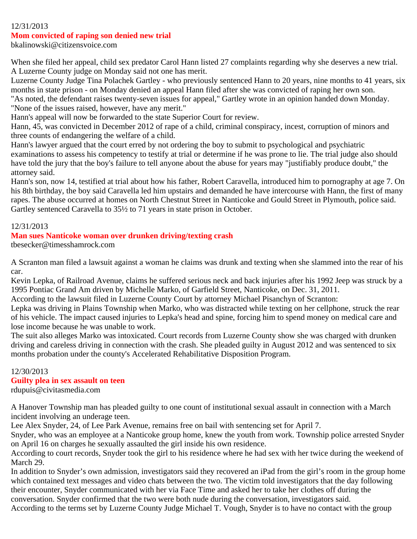### 12/31/2013

### **Mom convicted of raping son denied new trial**

bkalinowski@citizensvoice.com

When she filed her appeal, child sex predator Carol Hann listed 27 complaints regarding why she deserves a new trial. A Luzerne County judge on Monday said not one has merit.

Luzerne County Judge Tina Polachek Gartley - who previously sentenced Hann to 20 years, nine months to 41 years, six months in state prison - on Monday denied an appeal Hann filed after she was convicted of raping her own son. "As noted, the defendant raises twenty-seven issues for appeal," Gartley wrote in an opinion handed down Monday.

"None of the issues raised, however, have any merit."

Hann's appeal will now be forwarded to the state Superior Court for review.

Hann, 45, was convicted in December 2012 of rape of a child, criminal conspiracy, incest, corruption of minors and three counts of endangering the welfare of a child.

Hann's lawyer argued that the court erred by not ordering the boy to submit to psychological and psychiatric examinations to assess his competency to testify at trial or determine if he was prone to lie. The trial judge also should have told the jury that the boy's failure to tell anyone about the abuse for years may "justifiably produce doubt," the attorney said.

Hann's son, now 14, testified at trial about how his father, Robert Caravella, introduced him to pornography at age 7. On his 8th birthday, the boy said Caravella led him upstairs and demanded he have intercourse with Hann, the first of many rapes. The abuse occurred at homes on North Chestnut Street in Nanticoke and Gould Street in Plymouth, police said. Gartley sentenced Caravella to 35½ to 71 years in state prison in October.

### 12/31/2013

### **Man sues Nanticoke woman over drunken driving/texting crash**

tbesecker@timesshamrock.com

A Scranton man filed a lawsuit against a woman he claims was drunk and texting when she slammed into the rear of his car.

Kevin Lepka, of Railroad Avenue, claims he suffered serious neck and back injuries after his 1992 Jeep was struck by a 1995 Pontiac Grand Am driven by Michelle Marko, of Garfield Street, Nanticoke, on Dec. 31, 2011.

According to the lawsuit filed in Luzerne County Court by attorney Michael Pisanchyn of Scranton:

Lepka was driving in Plains Township when Marko, who was distracted while texting on her cellphone, struck the rear of his vehicle. The impact caused injuries to Lepka's head and spine, forcing him to spend money on medical care and lose income because he was unable to work.

The suit also alleges Marko was intoxicated. Court records from Luzerne County show she was charged with drunken driving and careless driving in connection with the crash. She pleaded guilty in August 2012 and was sentenced to six months probation under the county's Accelerated Rehabilitative Disposition Program.

# 12/30/2013 **Guilty plea in sex assault on teen**

rdupuis@civitasmedia.com

A Hanover Township man has pleaded guilty to one count of institutional sexual assault in connection with a March incident involving an underage teen.

Lee Alex Snyder, 24, of Lee Park Avenue, remains free on bail with sentencing set for April 7.

Snyder, who was an employee at a Nanticoke group home, knew the youth from work. Township police arrested Snyder on April 16 on charges he sexually assaulted the girl inside his own residence.

According to court records, Snyder took the girl to his residence where he had sex with her twice during the weekend of March 29.

In addition to Snyder's own admission, investigators said they recovered an iPad from the girl's room in the group home which contained text messages and video chats between the two. The victim told investigators that the day following their encounter, Snyder communicated with her via Face Time and asked her to take her clothes off during the conversation. Snyder confirmed that the two were both nude during the conversation, investigators said.

According to the terms set by Luzerne County Judge Michael T. Vough, Snyder is to have no contact with the group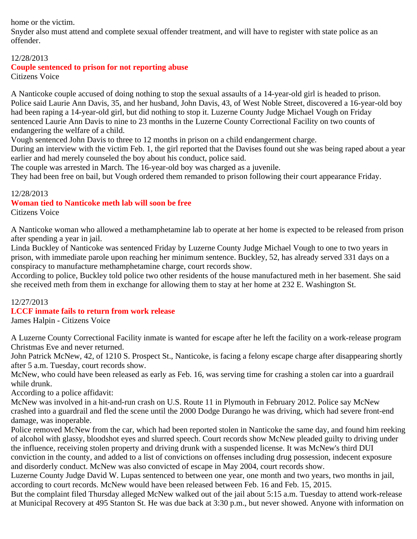home or the victim.

Snyder also must attend and complete sexual offender treatment, and will have to register with state police as an offender.

## 12/28/2013

# **Couple sentenced to prison for not reporting abuse**

Citizens Voice

A Nanticoke couple accused of doing nothing to stop the sexual assaults of a 14-year-old girl is headed to prison. Police said Laurie Ann Davis, 35, and her husband, John Davis, 43, of West Noble Street, discovered a 16-year-old boy had been raping a 14-year-old girl, but did nothing to stop it. Luzerne County Judge Michael Vough on Friday sentenced Laurie Ann Davis to nine to 23 months in the Luzerne County Correctional Facility on two counts of endangering the welfare of a child.

Vough sentenced John Davis to three to 12 months in prison on a child endangerment charge.

During an interview with the victim Feb. 1, the girl reported that the Davises found out she was being raped about a year earlier and had merely counseled the boy about his conduct, police said.

The couple was arrested in March. The 16-year-old boy was charged as a juvenile.

They had been free on bail, but Vough ordered them remanded to prison following their court appearance Friday.

## 12/28/2013

## **Woman tied to Nanticoke meth lab will soon be free**

Citizens Voice

A Nanticoke woman who allowed a methamphetamine lab to operate at her home is expected to be released from prison after spending a year in jail.

Linda Buckley of Nanticoke was sentenced Friday by Luzerne County Judge Michael Vough to one to two years in prison, with immediate parole upon reaching her minimum sentence. Buckley, 52, has already served 331 days on a conspiracy to manufacture methamphetamine charge, court records show.

According to police, Buckley told police two other residents of the house manufactured meth in her basement. She said she received meth from them in exchange for allowing them to stay at her home at 232 E. Washington St.

# 12/27/2013

# **LCCF inmate fails to return from work release**

James Halpin - Citizens Voice

A Luzerne County Correctional Facility inmate is wanted for escape after he left the facility on a work-release program Christmas Eve and never returned.

John Patrick McNew, 42, of 1210 S. Prospect St., Nanticoke, is facing a felony escape charge after disappearing shortly after 5 a.m. Tuesday, court records show.

McNew, who could have been released as early as Feb. 16, was serving time for crashing a stolen car into a guardrail while drunk.

According to a police affidavit:

McNew was involved in a hit-and-run crash on U.S. Route 11 in Plymouth in February 2012. Police say McNew crashed into a guardrail and fled the scene until the 2000 Dodge Durango he was driving, which had severe front-end damage, was inoperable.

Police removed McNew from the car, which had been reported stolen in Nanticoke the same day, and found him reeking of alcohol with glassy, bloodshot eyes and slurred speech. Court records show McNew pleaded guilty to driving under the influence, receiving stolen property and driving drunk with a suspended license. It was McNew's third DUI conviction in the county, and added to a list of convictions on offenses including drug possession, indecent exposure and disorderly conduct. McNew was also convicted of escape in May 2004, court records show.

Luzerne County Judge David W. Lupas sentenced to between one year, one month and two years, two months in jail, according to court records. McNew would have been released between Feb. 16 and Feb. 15, 2015.

But the complaint filed Thursday alleged McNew walked out of the jail about 5:15 a.m. Tuesday to attend work-release at Municipal Recovery at 495 Stanton St. He was due back at 3:30 p.m., but never showed. Anyone with information on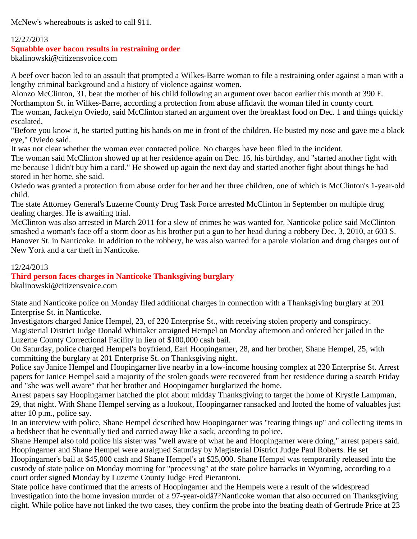McNew's whereabouts is asked to call 911.

## 12/27/2013

## **Squabble over bacon results in restraining order**

bkalinowski@citizensvoice.com

A beef over bacon led to an assault that prompted a Wilkes-Barre woman to file a restraining order against a man with a lengthy criminal background and a history of violence against women.

Alonzo McClinton, 31, beat the mother of his child following an argument over bacon earlier this month at 390 E.

Northampton St. in Wilkes-Barre, according a protection from abuse affidavit the woman filed in county court.

The woman, Jackelyn Oviedo, said McClinton started an argument over the breakfast food on Dec. 1 and things quickly escalated.

"Before you know it, he started putting his hands on me in front of the children. He busted my nose and gave me a black eye," Oviedo said.

It was not clear whether the woman ever contacted police. No charges have been filed in the incident.

The woman said McClinton showed up at her residence again on Dec. 16, his birthday, and "started another fight with me because I didn't buy him a card." He showed up again the next day and started another fight about things he had stored in her home, she said.

Oviedo was granted a protection from abuse order for her and her three children, one of which is McClinton's 1-year-old child.

The state Attorney General's Luzerne County Drug Task Force arrested McClinton in September on multiple drug dealing charges. He is awaiting trial.

McClinton was also arrested in March 2011 for a slew of crimes he was wanted for. Nanticoke police said McClinton smashed a woman's face off a storm door as his brother put a gun to her head during a robbery Dec. 3, 2010, at 603 S. Hanover St. in Nanticoke. In addition to the robbery, he was also wanted for a parole violation and drug charges out of New York and a car theft in Nanticoke.

## 12/24/2013

# **Third person faces charges in Nanticoke Thanksgiving burglary**

bkalinowski@citizensvoice.com

State and Nanticoke police on Monday filed additional charges in connection with a Thanksgiving burglary at 201 Enterprise St. in Nanticoke.

Investigators charged Janice Hempel, 23, of 220 Enterprise St., with receiving stolen property and conspiracy. Magisterial District Judge Donald Whittaker arraigned Hempel on Monday afternoon and ordered her jailed in the Luzerne County Correctional Facility in lieu of \$100,000 cash bail.

On Saturday, police charged Hempel's boyfriend, Earl Hoopingarner, 28, and her brother, Shane Hempel, 25, with committing the burglary at 201 Enterprise St. on Thanksgiving night.

Police say Janice Hempel and Hoopingarner live nearby in a low-income housing complex at 220 Enterprise St. Arrest papers for Janice Hempel said a majority of the stolen goods were recovered from her residence during a search Friday and "she was well aware" that her brother and Hoopingarner burglarized the home.

Arrest papers say Hoopingarner hatched the plot about midday Thanksgiving to target the home of Krystle Lampman, 29, that night. With Shane Hempel serving as a lookout, Hoopingarner ransacked and looted the home of valuables just after 10 p.m., police say.

In an interview with police, Shane Hempel described how Hoopingarner was "tearing things up" and collecting items in a bedsheet that he eventually tied and carried away like a sack, according to police.

Shane Hempel also told police his sister was "well aware of what he and Hoopingarner were doing," arrest papers said. Hoopingarner and Shane Hempel were arraigned Saturday by Magisterial District Judge Paul Roberts. He set

Hoopingarner's bail at \$45,000 cash and Shane Hempel's at \$25,000. Shane Hempel was temporarily released into the custody of state police on Monday morning for "processing" at the state police barracks in Wyoming, according to a court order signed Monday by Luzerne County Judge Fred Pierantoni.

State police have confirmed that the arrests of Hoopingarner and the Hempels were a result of the widespread investigation into the home invasion murder of a 97-year-oldâ??Nanticoke woman that also occurred on Thanksgiving night. While police have not linked the two cases, they confirm the probe into the beating death of Gertrude Price at 23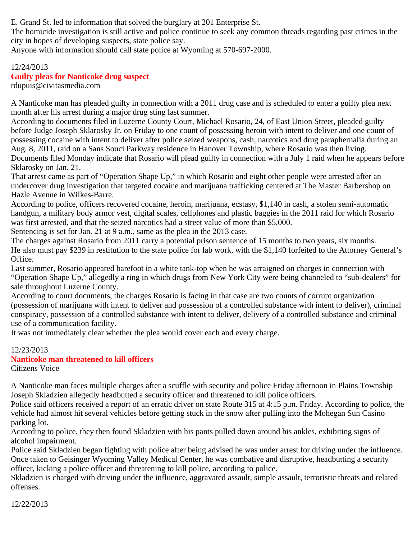E. Grand St. led to information that solved the burglary at 201 Enterprise St.

The homicide investigation is still active and police continue to seek any common threads regarding past crimes in the city in hopes of developing suspects, state police say.

Anyone with information should call state police at Wyoming at 570-697-2000.

# 12/24/2013 **Guilty pleas for Nanticoke drug suspect**

rdupuis@civitasmedia.com

A Nanticoke man has pleaded guilty in connection with a 2011 drug case and is scheduled to enter a guilty plea next month after his arrest during a major drug sting last summer.

According to documents filed in Luzerne County Court, Michael Rosario, 24, of East Union Street, pleaded guilty before Judge Joseph Sklarosky Jr. on Friday to one count of possessing heroin with intent to deliver and one count of possessing cocaine with intent to deliver after police seized weapons, cash, narcotics and drug paraphernalia during an Aug. 8, 2011, raid on a Sans Souci Parkway residence in Hanover Township, where Rosario was then living. Documents filed Monday indicate that Rosario will plead guilty in connection with a July 1 raid when he appears before Sklarosky on Jan. 21.

That arrest came as part of "Operation Shape Up," in which Rosario and eight other people were arrested after an undercover drug investigation that targeted cocaine and marijuana trafficking centered at The Master Barbershop on Hazle Avenue in Wilkes-Barre.

According to police, officers recovered cocaine, heroin, marijuana, ecstasy, \$1,140 in cash, a stolen semi-automatic handgun, a military body armor vest, digital scales, cellphones and plastic baggies in the 2011 raid for which Rosario was first arrested, and that the seized narcotics had a street value of more than \$5,000.

Sentencing is set for Jan. 21 at 9 a.m., same as the plea in the 2013 case.

The charges against Rosario from 2011 carry a potential prison sentence of 15 months to two years, six months. He also must pay \$239 in restitution to the state police for lab work, with the \$1,140 forfeited to the Attorney General's Office.

Last summer, Rosario appeared barefoot in a white tank-top when he was arraigned on charges in connection with "Operation Shape Up," allegedly a ring in which drugs from New York City were being channeled to "sub-dealers" for sale throughout Luzerne County.

According to court documents, the charges Rosario is facing in that case are two counts of corrupt organization (possession of marijuana with intent to deliver and possession of a controlled substance with intent to deliver), criminal conspiracy, possession of a controlled substance with intent to deliver, delivery of a controlled substance and criminal use of a communication facility.

It was not immediately clear whether the plea would cover each and every charge.

# 12/23/2013

# **Nanticoke man threatened to kill officers**

Citizens Voice

A Nanticoke man faces multiple charges after a scuffle with security and police Friday afternoon in Plains Township Joseph Skladzien allegedly headbutted a security officer and threatened to kill police officers.

Police said officers received a report of an erratic driver on state Route 315 at 4:15 p.m. Friday. According to police, the vehicle had almost hit several vehicles before getting stuck in the snow after pulling into the Mohegan Sun Casino parking lot.

According to police, they then found Skladzien with his pants pulled down around his ankles, exhibiting signs of alcohol impairment.

Police said Skladzien began fighting with police after being advised he was under arrest for driving under the influence. Once taken to Geisinger Wyoming Valley Medical Center, he was combative and disruptive, headbutting a security officer, kicking a police officer and threatening to kill police, according to police.

Skladzien is charged with driving under the influence, aggravated assault, simple assault, terroristic threats and related offenses.

12/22/2013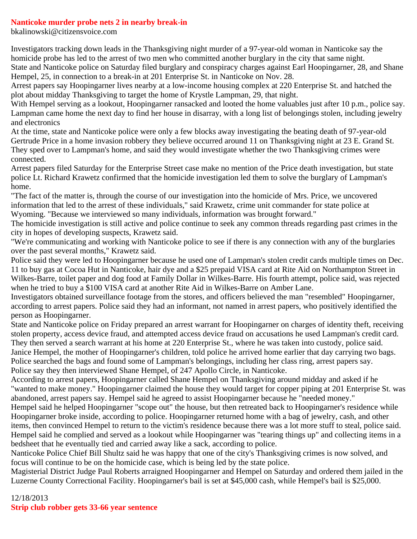### **Nanticoke murder probe nets 2 in nearby break-in**

bkalinowski@citizensvoice.com

Investigators tracking down leads in the Thanksgiving night murder of a 97-year-old woman in Nanticoke say the homicide probe has led to the arrest of two men who committed another burglary in the city that same night.

State and Nanticoke police on Saturday filed burglary and conspiracy charges against Earl Hoopingarner, 28, and Shane Hempel, 25, in connection to a break-in at 201 Enterprise St. in Nanticoke on Nov. 28.

Arrest papers say Hoopingarner lives nearby at a low-income housing complex at 220 Enterprise St. and hatched the plot about midday Thanksgiving to target the home of Krystle Lampman, 29, that night.

With Hempel serving as a lookout, Hoopingarner ransacked and looted the home valuables just after 10 p.m., police say. Lampman came home the next day to find her house in disarray, with a long list of belongings stolen, including jewelry and electronics

At the time, state and Nanticoke police were only a few blocks away investigating the beating death of 97-year-old Gertrude Price in a home invasion robbery they believe occurred around 11 on Thanksgiving night at 23 E. Grand St. They sped over to Lampman's home, and said they would investigate whether the two Thanksgiving crimes were connected.

Arrest papers filed Saturday for the Enterprise Street case make no mention of the Price death investigation, but state police Lt. Richard Krawetz confirmed that the homicide investigation led them to solve the burglary of Lampman's home.

"The fact of the matter is, through the course of our investigation into the homicide of Mrs. Price, we uncovered information that led to the arrest of these individuals," said Krawetz, crime unit commander for state police at Wyoming. "Because we interviewed so many individuals, information was brought forward."

The homicide investigation is still active and police continue to seek any common threads regarding past crimes in the city in hopes of developing suspects, Krawetz said.

"We're communicating and working with Nanticoke police to see if there is any connection with any of the burglaries over the past several months," Krawetz said.

Police said they were led to Hoopingarner because he used one of Lampman's stolen credit cards multiple times on Dec. 11 to buy gas at Cocoa Hut in Nanticoke, hair dye and a \$25 prepaid VISA card at Rite Aid on Northampton Street in Wilkes-Barre, toilet paper and dog food at Family Dollar in Wilkes-Barre. His fourth attempt, police said, was rejected when he tried to buy a \$100 VISA card at another Rite Aid in Wilkes-Barre on Amber Lane.

Investigators obtained surveillance footage from the stores, and officers believed the man "resembled" Hoopingarner, according to arrest papers. Police said they had an informant, not named in arrest papers, who positively identified the person as Hoopingarner.

State and Nanticoke police on Friday prepared an arrest warrant for Hoopingarner on charges of identity theft, receiving stolen property, access device fraud, and attempted access device fraud on accusations he used Lampman's credit card. They then served a search warrant at his home at 220 Enterprise St., where he was taken into custody, police said. Janice Hempel, the mother of Hoopingarner's children, told police he arrived home earlier that day carrying two bags. Police searched the bags and found some of Lampman's belongings, including her class ring, arrest papers say. Police say they then interviewed Shane Hempel, of 247 Apollo Circle, in Nanticoke.

According to arrest papers, Hoopingarner called Shane Hempel on Thanksgiving around midday and asked if he "wanted to make money." Hoopingarner claimed the house they would target for copper piping at 201 Enterprise St. was abandoned, arrest papers say. Hempel said he agreed to assist Hoopingarner because he "needed money."

Hempel said he helped Hoopingarner "scope out" the house, but then retreated back to Hoopingarner's residence while Hoopingarner broke inside, according to police. Hoopingarner returned home with a bag of jewelry, cash, and other items, then convinced Hempel to return to the victim's residence because there was a lot more stuff to steal, police said. Hempel said he complied and served as a lookout while Hoopingarner was "tearing things up" and collecting items in a bedsheet that he eventually tied and carried away like a sack, according to police.

Nanticoke Police Chief Bill Shultz said he was happy that one of the city's Thanksgiving crimes is now solved, and focus will continue to be on the homicide case, which is being led by the state police.

Magisterial District Judge Paul Roberts arraigned Hoopingarner and Hempel on Saturday and ordered them jailed in the Luzerne County Correctional Facility. Hoopingarner's bail is set at \$45,000 cash, while Hempel's bail is \$25,000.

## 12/18/2013 **Strip club robber gets 33-66 year sentence**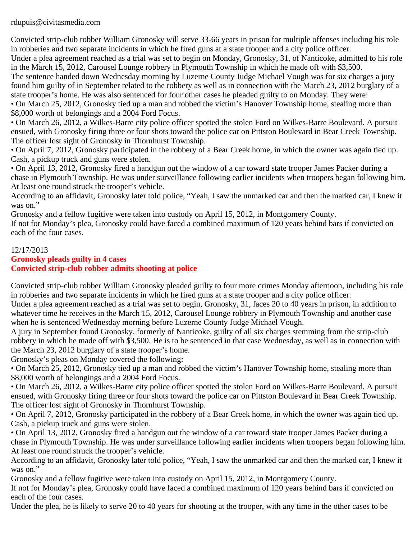rdupuis@civitasmedia.com

Convicted strip-club robber William Gronosky will serve 33-66 years in prison for multiple offenses including his role in robberies and two separate incidents in which he fired guns at a state trooper and a city police officer.

Under a plea agreement reached as a trial was set to begin on Monday, Gronosky, 31, of Nanticoke, admitted to his role in the March 15, 2012, Carousel Lounge robbery in Plymouth Township in which he made off with \$3,500.

The sentence handed down Wednesday morning by Luzerne County Judge Michael Vough was for six charges a jury found him guilty of in September related to the robbery as well as in connection with the March 23, 2012 burglary of a state trooper's home. He was also sentenced for four other cases he pleaded guilty to on Monday. They were:

• On March 25, 2012, Gronosky tied up a man and robbed the victim's Hanover Township home, stealing more than \$8,000 worth of belongings and a 2004 Ford Focus.

• On March 26, 2012, a Wilkes-Barre city police officer spotted the stolen Ford on Wilkes-Barre Boulevard. A pursuit ensued, with Gronosky firing three or four shots toward the police car on Pittston Boulevard in Bear Creek Township. The officer lost sight of Gronosky in Thornhurst Township.

• On April 7, 2012, Gronosky participated in the robbery of a Bear Creek home, in which the owner was again tied up. Cash, a pickup truck and guns were stolen.

• On April 13, 2012, Gronosky fired a handgun out the window of a car toward state trooper James Packer during a chase in Plymouth Township. He was under surveillance following earlier incidents when troopers began following him. At least one round struck the trooper's vehicle.

According to an affidavit, Gronosky later told police, "Yeah, I saw the unmarked car and then the marked car, I knew it was on."

Gronosky and a fellow fugitive were taken into custody on April 15, 2012, in Montgomery County.

If not for Monday's plea, Gronosky could have faced a combined maximum of 120 years behind bars if convicted on each of the four cases.

12/17/2013 **Gronosky pleads guilty in 4 cases Convicted strip-club robber admits shooting at police**

Convicted strip-club robber William Gronosky pleaded guilty to four more crimes Monday afternoon, including his role in robberies and two separate incidents in which he fired guns at a state trooper and a city police officer.

Under a plea agreement reached as a trial was set to begin, Gronosky, 31, faces 20 to 40 years in prison, in addition to whatever time he receives in the March 15, 2012, Carousel Lounge robbery in Plymouth Township and another case when he is sentenced Wednesday morning before Luzerne County Judge Michael Vough.

A jury in September found Gronosky, formerly of Nanticoke, guilty of all six charges stemming from the strip-club robbery in which he made off with \$3,500. He is to be sentenced in that case Wednesday, as well as in connection with the March 23, 2012 burglary of a state trooper's home.

Gronosky's pleas on Monday covered the following:

• On March 25, 2012, Gronosky tied up a man and robbed the victim's Hanover Township home, stealing more than \$8,000 worth of belongings and a 2004 Ford Focus.

• On March 26, 2012, a Wilkes-Barre city police officer spotted the stolen Ford on Wilkes-Barre Boulevard. A pursuit ensued, with Gronosky firing three or four shots toward the police car on Pittston Boulevard in Bear Creek Township. The officer lost sight of Gronosky in Thornhurst Township.

• On April 7, 2012, Gronosky participated in the robbery of a Bear Creek home, in which the owner was again tied up. Cash, a pickup truck and guns were stolen.

• On April 13, 2012, Gronosky fired a handgun out the window of a car toward state trooper James Packer during a chase in Plymouth Township. He was under surveillance following earlier incidents when troopers began following him. At least one round struck the trooper's vehicle.

According to an affidavit, Gronosky later told police, "Yeah, I saw the unmarked car and then the marked car, I knew it was on."

Gronosky and a fellow fugitive were taken into custody on April 15, 2012, in Montgomery County.

If not for Monday's plea, Gronosky could have faced a combined maximum of 120 years behind bars if convicted on each of the four cases.

Under the plea, he is likely to serve 20 to 40 years for shooting at the trooper, with any time in the other cases to be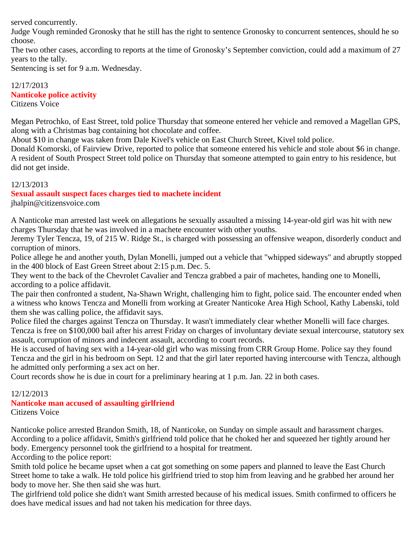served concurrently.

Judge Vough reminded Gronosky that he still has the right to sentence Gronosky to concurrent sentences, should he so choose.

The two other cases, according to reports at the time of Gronosky's September conviction, could add a maximum of 27 years to the tally.

Sentencing is set for 9 a.m. Wednesday.

### 12/17/2013 **Nanticoke police activity** Citizens Voice

Megan Petrochko, of East Street, told police Thursday that someone entered her vehicle and removed a Magellan GPS, along with a Christmas bag containing hot chocolate and coffee.

About \$10 in change was taken from Dale Kivel's vehicle on East Church Street, Kivel told police.

Donald Komorski, of Fairview Drive, reported to police that someone entered his vehicle and stole about \$6 in change. A resident of South Prospect Street told police on Thursday that someone attempted to gain entry to his residence, but did not get inside.

# 12/13/2013

# **Sexual assault suspect faces charges tied to machete incident**

jhalpin@citizensvoice.com

A Nanticoke man arrested last week on allegations he sexually assaulted a missing 14-year-old girl was hit with new charges Thursday that he was involved in a machete encounter with other youths.

Jeremy Tyler Tencza, 19, of 215 W. Ridge St., is charged with possessing an offensive weapon, disorderly conduct and corruption of minors.

Police allege he and another youth, Dylan Monelli, jumped out a vehicle that "whipped sideways" and abruptly stopped in the 400 block of East Green Street about 2:15 p.m. Dec. 5.

They went to the back of the Chevrolet Cavalier and Tencza grabbed a pair of machetes, handing one to Monelli, according to a police affidavit.

The pair then confronted a student, Na-Shawn Wright, challenging him to fight, police said. The encounter ended when a witness who knows Tencza and Monelli from working at Greater Nanticoke Area High School, Kathy Labenski, told them she was calling police, the affidavit says.

Police filed the charges against Tencza on Thursday. It wasn't immediately clear whether Monelli will face charges. Tencza is free on \$100,000 bail after his arrest Friday on charges of involuntary deviate sexual intercourse, statutory sex assault, corruption of minors and indecent assault, according to court records.

He is accused of having sex with a 14-year-old girl who was missing from CRR Group Home. Police say they found Tencza and the girl in his bedroom on Sept. 12 and that the girl later reported having intercourse with Tencza, although he admitted only performing a sex act on her.

Court records show he is due in court for a preliminary hearing at 1 p.m. Jan. 22 in both cases.

### 12/12/2013 **Nanticoke man accused of assaulting girlfriend** Citizens Voice

Nanticoke police arrested Brandon Smith, 18, of Nanticoke, on Sunday on simple assault and harassment charges. According to a police affidavit, Smith's girlfriend told police that he choked her and squeezed her tightly around her body. Emergency personnel took the girlfriend to a hospital for treatment.

According to the police report:

Smith told police he became upset when a cat got something on some papers and planned to leave the East Church Street home to take a walk. He told police his girlfriend tried to stop him from leaving and he grabbed her around her body to move her. She then said she was hurt.

The girlfriend told police she didn't want Smith arrested because of his medical issues. Smith confirmed to officers he does have medical issues and had not taken his medication for three days.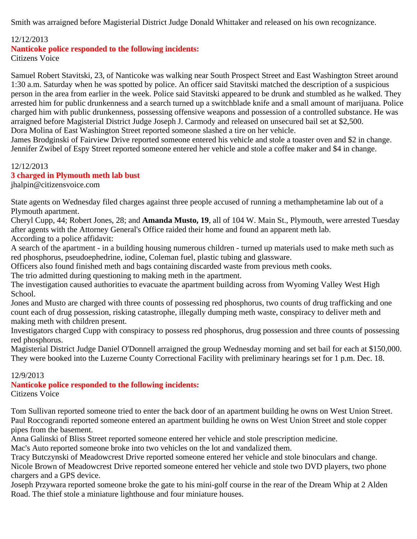Smith was arraigned before Magisterial District Judge Donald Whittaker and released on his own recognizance.

## 12/12/2013

**Nanticoke police responded to the following incidents:**

Citizens Voice

Samuel Robert Stavitski, 23, of Nanticoke was walking near South Prospect Street and East Washington Street around 1:30 a.m. Saturday when he was spotted by police. An officer said Stavitski matched the description of a suspicious person in the area from earlier in the week. Police said Stavitski appeared to be drunk and stumbled as he walked. They arrested him for public drunkenness and a search turned up a switchblade knife and a small amount of marijuana. Police charged him with public drunkenness, possessing offensive weapons and possession of a controlled substance. He was arraigned before Magisterial District Judge Joseph J. Carmody and released on unsecured bail set at \$2,500. Dora Molina of East Washington Street reported someone slashed a tire on her vehicle.

James Brodginski of Fairview Drive reported someone entered his vehicle and stole a toaster oven and \$2 in change. Jennifer Zwibel of Espy Street reported someone entered her vehicle and stole a coffee maker and \$4 in change.

### 12/12/2013

### **3 charged in Plymouth meth lab bust**

jhalpin@citizensvoice.com

State agents on Wednesday filed charges against three people accused of running a methamphetamine lab out of a Plymouth apartment.

Cheryl Cupp, 44; Robert Jones, 28; and **Amanda Musto, 19**, all of 104 W. Main St., Plymouth, were arrested Tuesday after agents with the Attorney General's Office raided their home and found an apparent meth lab. According to a police affidavit:

A search of the apartment - in a building housing numerous children - turned up materials used to make meth such as red phosphorus, pseudoephedrine, iodine, Coleman fuel, plastic tubing and glassware.

Officers also found finished meth and bags containing discarded waste from previous meth cooks.

The trio admitted during questioning to making meth in the apartment.

The investigation caused authorities to evacuate the apartment building across from Wyoming Valley West High School.

Jones and Musto are charged with three counts of possessing red phosphorus, two counts of drug trafficking and one count each of drug possession, risking catastrophe, illegally dumping meth waste, conspiracy to deliver meth and making meth with children present.

Investigators charged Cupp with conspiracy to possess red phosphorus, drug possession and three counts of possessing red phosphorus.

Magisterial District Judge Daniel O'Donnell arraigned the group Wednesday morning and set bail for each at \$150,000. They were booked into the Luzerne County Correctional Facility with preliminary hearings set for 1 p.m. Dec. 18.

## 12/9/2013

# **Nanticoke police responded to the following incidents:**

Citizens Voice

Tom Sullivan reported someone tried to enter the back door of an apartment building he owns on West Union Street. Paul Roccograndi reported someone entered an apartment building he owns on West Union Street and stole copper pipes from the basement.

Anna Galinski of Bliss Street reported someone entered her vehicle and stole prescription medicine.

Mac's Auto reported someone broke into two vehicles on the lot and vandalized them.

Tracy Butczynski of Meadowcrest Drive reported someone entered her vehicle and stole binoculars and change. Nicole Brown of Meadowcrest Drive reported someone entered her vehicle and stole two DVD players, two phone chargers and a GPS device.

Joseph Przywara reported someone broke the gate to his mini-golf course in the rear of the Dream Whip at 2 Alden Road. The thief stole a miniature lighthouse and four miniature houses.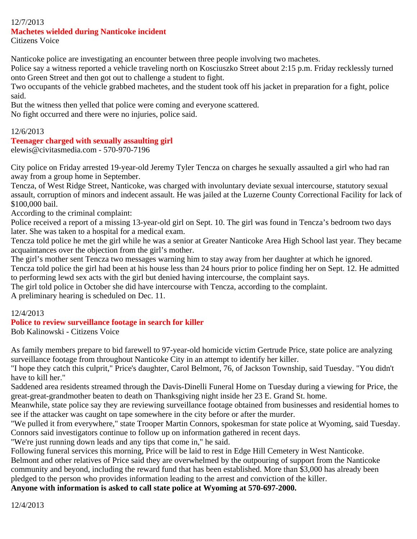# 12/7/2013 **Machetes wielded during Nanticoke incident**

Citizens Voice

Nanticoke police are investigating an encounter between three people involving two machetes.

Police say a witness reported a vehicle traveling north on Kosciuszko Street about 2:15 p.m. Friday recklessly turned onto Green Street and then got out to challenge a student to fight.

Two occupants of the vehicle grabbed machetes, and the student took off his jacket in preparation for a fight, police said.

But the witness then yelled that police were coming and everyone scattered.

No fight occurred and there were no injuries, police said.

### 12/6/2013

## **Teenager charged with sexually assaulting girl**

elewis@civitasmedia.com - 570-970-7196

City police on Friday arrested 19-year-old Jeremy Tyler Tencza on charges he sexually assaulted a girl who had ran away from a group home in September.

Tencza, of West Ridge Street, Nanticoke, was charged with involuntary deviate sexual intercourse, statutory sexual assault, corruption of minors and indecent assault. He was jailed at the Luzerne County Correctional Facility for lack of \$100,000 bail.

According to the criminal complaint:

Police received a report of a missing 13-year-old girl on Sept. 10. The girl was found in Tencza's bedroom two days later. She was taken to a hospital for a medical exam.

Tencza told police he met the girl while he was a senior at Greater Nanticoke Area High School last year. They became acquaintances over the objection from the girl's mother.

The girl's mother sent Tencza two messages warning him to stay away from her daughter at which he ignored.

Tencza told police the girl had been at his house less than 24 hours prior to police finding her on Sept. 12. He admitted to performing lewd sex acts with the girl but denied having intercourse, the complaint says.

The girl told police in October she did have intercourse with Tencza, according to the complaint.

A preliminary hearing is scheduled on Dec. 11.

## 12/4/2013

## **Police to review surveillance footage in search for killer**

Bob Kalinowski - Citizens Voice

As family members prepare to bid farewell to 97-year-old homicide victim Gertrude Price, state police are analyzing surveillance footage from throughout Nanticoke City in an attempt to identify her killer.

"I hope they catch this culprit," Price's daughter, Carol Belmont, 76, of Jackson Township, said Tuesday. "You didn't have to kill her."

Saddened area residents streamed through the Davis-Dinelli Funeral Home on Tuesday during a viewing for Price, the great-great-grandmother beaten to death on Thanksgiving night inside her 23 E. Grand St. home.

Meanwhile, state police say they are reviewing surveillance footage obtained from businesses and residential homes to see if the attacker was caught on tape somewhere in the city before or after the murder.

"We pulled it from everywhere," state Trooper Martin Connors, spokesman for state police at Wyoming, said Tuesday. Connors said investigators continue to follow up on information gathered in recent days.

"We're just running down leads and any tips that come in," he said.

Following funeral services this morning, Price will be laid to rest in Edge Hill Cemetery in West Nanticoke.

Belmont and other relatives of Price said they are overwhelmed by the outpouring of support from the Nanticoke community and beyond, including the reward fund that has been established. More than \$3,000 has already been pledged to the person who provides information leading to the arrest and conviction of the killer.

**Anyone with information is asked to call state police at Wyoming at 570-697-2000.**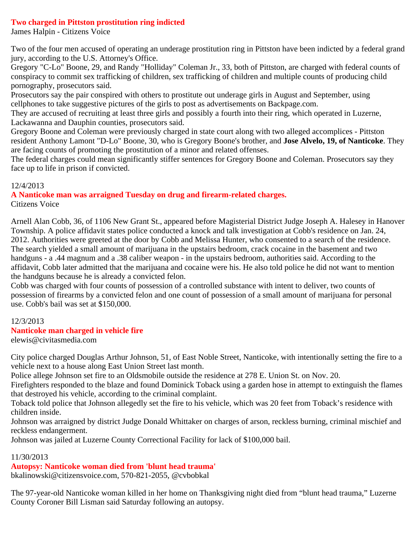## **Two charged in Pittston prostitution ring indicted**

James Halpin - Citizens Voice

Two of the four men accused of operating an underage prostitution ring in Pittston have been indicted by a federal grand jury, according to the U.S. Attorney's Office.

Gregory "C-Lo" Boone, 29, and Randy "Holliday" Coleman Jr., 33, both of Pittston, are charged with federal counts of conspiracy to commit sex trafficking of children, sex trafficking of children and multiple counts of producing child pornography, prosecutors said.

Prosecutors say the pair conspired with others to prostitute out underage girls in August and September, using cellphones to take suggestive pictures of the girls to post as advertisements on Backpage.com.

They are accused of recruiting at least three girls and possibly a fourth into their ring, which operated in Luzerne, Lackawanna and Dauphin counties, prosecutors said.

Gregory Boone and Coleman were previously charged in state court along with two alleged accomplices - Pittston resident Anthony Lamont "D-Lo" Boone, 30, who is Gregory Boone's brother, and **Jose Alvelo, 19, of Nanticoke**. They are facing counts of promoting the prostitution of a minor and related offenses.

The federal charges could mean significantly stiffer sentences for Gregory Boone and Coleman. Prosecutors say they face up to life in prison if convicted.

## 12/4/2013

**A Nanticoke man was arraigned Tuesday on drug and firearm-related charges.** Citizens Voice

Arnell Alan Cobb, 36, of 1106 New Grant St., appeared before Magisterial District Judge Joseph A. Halesey in Hanover Township. A police affidavit states police conducted a knock and talk investigation at Cobb's residence on Jan. 24, 2012. Authorities were greeted at the door by Cobb and Melissa Hunter, who consented to a search of the residence. The search yielded a small amount of marijuana in the upstairs bedroom, crack cocaine in the basement and two handguns - a .44 magnum and a .38 caliber weapon - in the upstairs bedroom, authorities said. According to the affidavit, Cobb later admitted that the marijuana and cocaine were his. He also told police he did not want to mention the handguns because he is already a convicted felon.

Cobb was charged with four counts of possession of a controlled substance with intent to deliver, two counts of possession of firearms by a convicted felon and one count of possession of a small amount of marijuana for personal use. Cobb's bail was set at \$150,000.

## 12/3/2013

## **Nanticoke man charged in vehicle fire**

elewis@civitasmedia.com

City police charged Douglas Arthur Johnson, 51, of East Noble Street, Nanticoke, with intentionally setting the fire to a vehicle next to a house along East Union Street last month.

Police allege Johnson set fire to an Oldsmobile outside the residence at 278 E. Union St. on Nov. 20.

Firefighters responded to the blaze and found Dominick Toback using a garden hose in attempt to extinguish the flames that destroyed his vehicle, according to the criminal complaint.

Toback told police that Johnson allegedly set the fire to his vehicle, which was 20 feet from Toback's residence with children inside.

Johnson was arraigned by district Judge Donald Whittaker on charges of arson, reckless burning, criminal mischief and reckless endangerment.

Johnson was jailed at Luzerne County Correctional Facility for lack of \$100,000 bail.

## 11/30/2013

**Autopsy: Nanticoke woman died from 'blunt head trauma'**

bkalinowski@citizensvoice.com, 570-821-2055, @cvbobkal

The 97-year-old Nanticoke woman killed in her home on Thanksgiving night died from "blunt head trauma," Luzerne County Coroner Bill Lisman said Saturday following an autopsy.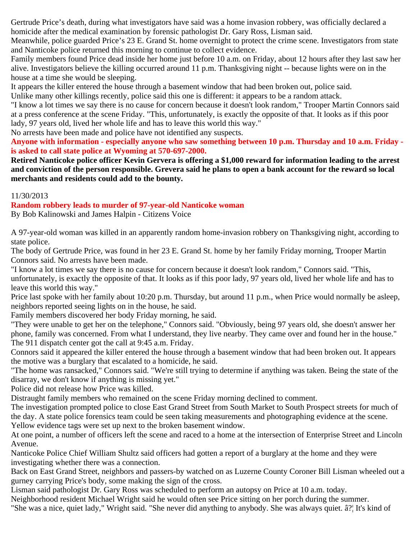Gertrude Price's death, during what investigators have said was a home invasion robbery, was officially declared a homicide after the medical examination by forensic pathologist Dr. Gary Ross, Lisman said.

Meanwhile, police guarded Price's 23 E. Grand St. home overnight to protect the crime scene. Investigators from state and Nanticoke police returned this morning to continue to collect evidence.

Family members found Price dead inside her home just before 10 a.m. on Friday, about 12 hours after they last saw her alive. Investigators believe the killing occurred around 11 p.m. Thanksgiving night -- because lights were on in the house at a time she would be sleeping.

It appears the killer entered the house through a basement window that had been broken out, police said.

Unlike many other killings recently, police said this one is different: it appears to be a random attack.

"I know a lot times we say there is no cause for concern because it doesn't look random," Trooper Martin Connors said at a press conference at the scene Friday. "This, unfortunately, is exactly the opposite of that. It looks as if this poor lady, 97 years old, lived her whole life and has to leave this world this way."

No arrests have been made and police have not identified any suspects.

**Anyone with information - especially anyone who saw something between 10 p.m. Thursday and 10 a.m. Friday is asked to call state police at Wyoming at 570-697-2000.**

**Retired Nanticoke police officer Kevin Gervera is offering a \$1,000 reward for information leading to the arrest and conviction of the person responsible. Grevera said he plans to open a bank account for the reward so local merchants and residents could add to the bounty.**

## 11/30/2013

**Random robbery leads to murder of 97-year-old Nanticoke woman**

By Bob Kalinowski and James Halpin - Citizens Voice

A 97-year-old woman was killed in an apparently random home-invasion robbery on Thanksgiving night, according to state police.

The body of Gertrude Price, was found in her 23 E. Grand St. home by her family Friday morning, Trooper Martin Connors said. No arrests have been made.

"I know a lot times we say there is no cause for concern because it doesn't look random," Connors said. "This, unfortunately, is exactly the opposite of that. It looks as if this poor lady, 97 years old, lived her whole life and has to leave this world this way."

Price last spoke with her family about 10:20 p.m. Thursday, but around 11 p.m., when Price would normally be asleep, neighbors reported seeing lights on in the house, he said.

Family members discovered her body Friday morning, he said.

"They were unable to get her on the telephone," Connors said. "Obviously, being 97 years old, she doesn't answer her phone, family was concerned. From what I understand, they live nearby. They came over and found her in the house." The 911 dispatch center got the call at 9:45 a.m. Friday.

Connors said it appeared the killer entered the house through a basement window that had been broken out. It appears the motive was a burglary that escalated to a homicide, he said.

"The home was ransacked," Connors said. "We're still trying to determine if anything was taken. Being the state of the disarray, we don't know if anything is missing yet."

Police did not release how Price was killed.

Distraught family members who remained on the scene Friday morning declined to comment.

The investigation prompted police to close East Grand Street from South Market to South Prospect streets for much of the day. A state police forensics team could be seen taking measurements and photographing evidence at the scene. Yellow evidence tags were set up next to the broken basement window.

At one point, a number of officers left the scene and raced to a home at the intersection of Enterprise Street and Lincoln Avenue.

Nanticoke Police Chief William Shultz said officers had gotten a report of a burglary at the home and they were investigating whether there was a connection.

Back on East Grand Street, neighbors and passers-by watched on as Luzerne County Coroner Bill Lisman wheeled out a gurney carrying Price's body, some making the sign of the cross.

Lisman said pathologist Dr. Gary Ross was scheduled to perform an autopsy on Price at 10 a.m. today.

Neighborhood resident Michael Wright said he would often see Price sitting on her porch during the summer.

"She was a nice, quiet lady," Wright said. "She never did anything to anybody. She was always quiet. â?¦ It's kind of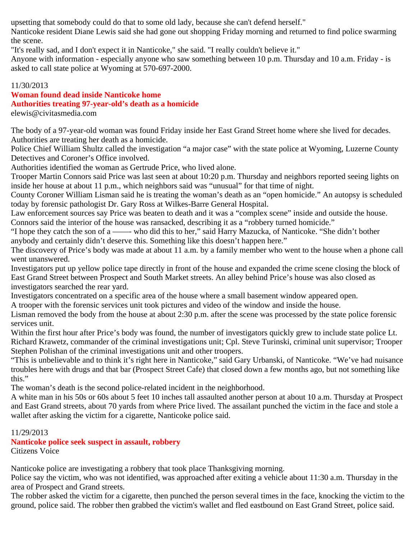upsetting that somebody could do that to some old lady, because she can't defend herself."

Nanticoke resident Diane Lewis said she had gone out shopping Friday morning and returned to find police swarming the scene.

"It's really sad, and I don't expect it in Nanticoke," she said. "I really couldn't believe it."

Anyone with information - especially anyone who saw something between 10 p.m. Thursday and 10 a.m. Friday - is asked to call state police at Wyoming at 570-697-2000.

# 11/30/2013

# **Woman found dead inside Nanticoke home**

## **Authorities treating 97-year-old's death as a homicide**

elewis@civitasmedia.com

The body of a 97-year-old woman was found Friday inside her East Grand Street home where she lived for decades. Authorities are treating her death as a homicide.

Police Chief William Shultz called the investigation "a major case" with the state police at Wyoming, Luzerne County Detectives and Coroner's Office involved.

Authorities identified the woman as Gertrude Price, who lived alone.

Trooper Martin Connors said Price was last seen at about 10:20 p.m. Thursday and neighbors reported seeing lights on inside her house at about 11 p.m., which neighbors said was "unusual" for that time of night.

County Coroner William Lisman said he is treating the woman's death as an "open homicide." An autopsy is scheduled today by forensic pathologist Dr. Gary Ross at Wilkes-Barre General Hospital.

Law enforcement sources say Price was beaten to death and it was a "complex scene" inside and outside the house. Connors said the interior of the house was ransacked, describing it as a "robbery turned homicide."

"I hope they catch the son of a ——- who did this to her," said Harry Mazucka, of Nanticoke. "She didn't bother anybody and certainly didn't deserve this. Something like this doesn't happen here."

The discovery of Price's body was made at about 11 a.m. by a family member who went to the house when a phone call went unanswered.

Investigators put up yellow police tape directly in front of the house and expanded the crime scene closing the block of East Grand Street between Prospect and South Market streets. An alley behind Price's house was also closed as investigators searched the rear yard.

Investigators concentrated on a specific area of the house where a small basement window appeared open.

A trooper with the forensic services unit took pictures and video of the window and inside the house.

Lisman removed the body from the house at about 2:30 p.m. after the scene was processed by the state police forensic services unit.

Within the first hour after Price's body was found, the number of investigators quickly grew to include state police Lt. Richard Krawetz, commander of the criminal investigations unit; Cpl. Steve Turinski, criminal unit supervisor; Trooper Stephen Polishan of the criminal investigations unit and other troopers.

"This is unbelievable and to think it's right here in Nanticoke," said Gary Urbanski, of Nanticoke. "We've had nuisance troubles here with drugs and that bar (Prospect Street Cafe) that closed down a few months ago, but not something like this."

The woman's death is the second police-related incident in the neighborhood.

A white man in his 50s or 60s about 5 feet 10 inches tall assaulted another person at about 10 a.m. Thursday at Prospect and East Grand streets, about 70 yards from where Price lived. The assailant punched the victim in the face and stole a wallet after asking the victim for a cigarette, Nanticoke police said.

11/29/2013

**Nanticoke police seek suspect in assault, robbery** Citizens Voice

Nanticoke police are investigating a robbery that took place Thanksgiving morning.

Police say the victim, who was not identified, was approached after exiting a vehicle about 11:30 a.m. Thursday in the area of Prospect and Grand streets.

The robber asked the victim for a cigarette, then punched the person several times in the face, knocking the victim to the ground, police said. The robber then grabbed the victim's wallet and fled eastbound on East Grand Street, police said.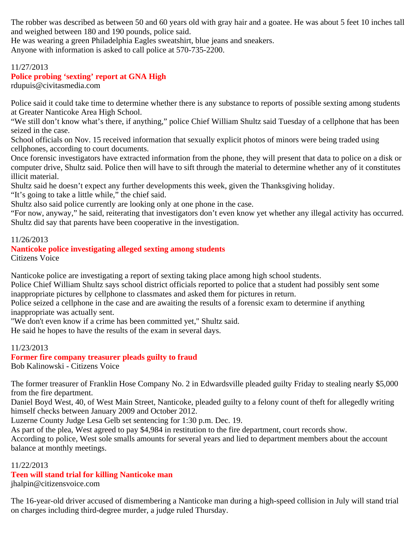The robber was described as between 50 and 60 years old with gray hair and a goatee. He was about 5 feet 10 inches tall and weighed between 180 and 190 pounds, police said.

He was wearing a green Philadelphia Eagles sweatshirt, blue jeans and sneakers.

Anyone with information is asked to call police at 570-735-2200.

# 11/27/2013

# **Police probing 'sexting' report at GNA High**

rdupuis@civitasmedia.com

Police said it could take time to determine whether there is any substance to reports of possible sexting among students at Greater Nanticoke Area High School.

"We still don't know what's there, if anything," police Chief William Shultz said Tuesday of a cellphone that has been seized in the case.

School officials on Nov. 15 received information that sexually explicit photos of minors were being traded using cellphones, according to court documents.

Once forensic investigators have extracted information from the phone, they will present that data to police on a disk or computer drive, Shultz said. Police then will have to sift through the material to determine whether any of it constitutes illicit material.

Shultz said he doesn't expect any further developments this week, given the Thanksgiving holiday.

"It's going to take a little while," the chief said.

Shultz also said police currently are looking only at one phone in the case.

"For now, anyway," he said, reiterating that investigators don't even know yet whether any illegal activity has occurred. Shultz did say that parents have been cooperative in the investigation.

### 11/26/2013

#### **Nanticoke police investigating alleged sexting among students** Citizens Voice

Nanticoke police are investigating a report of sexting taking place among high school students.

Police Chief William Shultz says school district officials reported to police that a student had possibly sent some inappropriate pictures by cellphone to classmates and asked them for pictures in return.

Police seized a cellphone in the case and are awaiting the results of a forensic exam to determine if anything inappropriate was actually sent.

"We don't even know if a crime has been committed yet," Shultz said.

He said he hopes to have the results of the exam in several days.

### 11/23/2013 **Former fire company treasurer pleads guilty to fraud** Bob Kalinowski - Citizens Voice

The former treasurer of Franklin Hose Company No. 2 in Edwardsville pleaded guilty Friday to stealing nearly \$5,000 from the fire department.

Daniel Boyd West, 40, of West Main Street, Nanticoke, pleaded guilty to a felony count of theft for allegedly writing himself checks between January 2009 and October 2012.

Luzerne County Judge Lesa Gelb set sentencing for 1:30 p.m. Dec. 19.

As part of the plea, West agreed to pay \$4,984 in restitution to the fire department, court records show.

According to police, West sole smalls amounts for several years and lied to department members about the account balance at monthly meetings.

### 11/22/2013

## **Teen will stand trial for killing Nanticoke man**

jhalpin@citizensvoice.com

The 16-year-old driver accused of dismembering a Nanticoke man during a high-speed collision in July will stand trial on charges including third-degree murder, a judge ruled Thursday.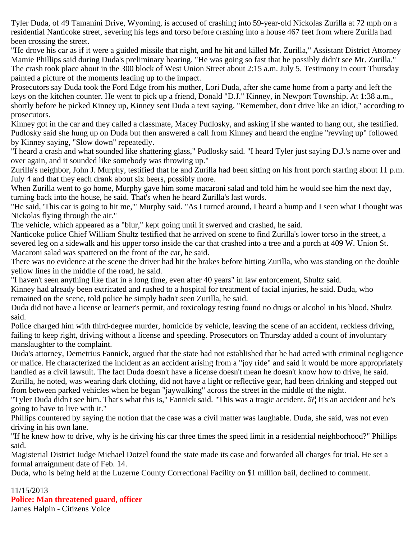Tyler Duda, of 49 Tamanini Drive, Wyoming, is accused of crashing into 59-year-old Nickolas Zurilla at 72 mph on a residential Nanticoke street, severing his legs and torso before crashing into a house 467 feet from where Zurilla had been crossing the street.

"He drove his car as if it were a guided missile that night, and he hit and killed Mr. Zurilla," Assistant District Attorney Mamie Phillips said during Duda's preliminary hearing. "He was going so fast that he possibly didn't see Mr. Zurilla." The crash took place about in the 300 block of West Union Street about 2:15 a.m. July 5. Testimony in court Thursday painted a picture of the moments leading up to the impact.

Prosecutors say Duda took the Ford Edge from his mother, Lori Duda, after she came home from a party and left the keys on the kitchen counter. He went to pick up a friend, Donald "D.J." Kinney, in Newport Township. At 1:38 a.m., shortly before he picked Kinney up, Kinney sent Duda a text saying, "Remember, don't drive like an idiot," according to prosecutors.

Kinney got in the car and they called a classmate, Macey Pudlosky, and asking if she wanted to hang out, she testified. Pudlosky said she hung up on Duda but then answered a call from Kinney and heard the engine "revving up" followed by Kinney saying, "Slow down" repeatedly.

"I heard a crash and what sounded like shattering glass," Pudlosky said. "I heard Tyler just saying D.J.'s name over and over again, and it sounded like somebody was throwing up."

Zurilla's neighbor, John J. Murphy, testified that he and Zurilla had been sitting on his front porch starting about 11 p.m. July 4 and that they each drank about six beers, possibly more.

When Zurilla went to go home, Murphy gave him some macaroni salad and told him he would see him the next day, turning back into the house, he said. That's when he heard Zurilla's last words.

"He said, 'This car is going to hit me,'" Murphy said. "As I turned around, I heard a bump and I seen what I thought was Nickolas flying through the air."

The vehicle, which appeared as a "blur," kept going until it swerved and crashed, he said.

Nanticoke police Chief William Shultz testified that he arrived on scene to find Zurilla's lower torso in the street, a severed leg on a sidewalk and his upper torso inside the car that crashed into a tree and a porch at 409 W. Union St. Macaroni salad was spattered on the front of the car, he said.

There was no evidence at the scene the driver had hit the brakes before hitting Zurilla, who was standing on the double yellow lines in the middle of the road, he said.

"I haven't seen anything like that in a long time, even after 40 years" in law enforcement, Shultz said.

Kinney had already been extricated and rushed to a hospital for treatment of facial injuries, he said. Duda, who remained on the scene, told police he simply hadn't seen Zurilla, he said.

Duda did not have a license or learner's permit, and toxicology testing found no drugs or alcohol in his blood, Shultz said.

Police charged him with third-degree murder, homicide by vehicle, leaving the scene of an accident, reckless driving, failing to keep right, driving without a license and speeding. Prosecutors on Thursday added a count of involuntary manslaughter to the complaint.

Duda's attorney, Demetrius Fannick, argued that the state had not established that he had acted with criminal negligence or malice. He characterized the incident as an accident arising from a "joy ride" and said it would be more appropriately handled as a civil lawsuit. The fact Duda doesn't have a license doesn't mean he doesn't know how to drive, he said. Zurilla, he noted, was wearing dark clothing, did not have a light or reflective gear, had been drinking and stepped out from between parked vehicles when he began "jaywalking" across the street in the middle of the night.

"Tyler Duda didn't see him. That's what this is," Fannick said. "This was a tragic accident. â?¦ It's an accident and he's going to have to live with it."

Phillips countered by saying the notion that the case was a civil matter was laughable. Duda, she said, was not even driving in his own lane.

"If he knew how to drive, why is he driving his car three times the speed limit in a residential neighborhood?" Phillips said.

Magisterial District Judge Michael Dotzel found the state made its case and forwarded all charges for trial. He set a formal arraignment date of Feb. 14.

Duda, who is being held at the Luzerne County Correctional Facility on \$1 million bail, declined to comment.

### 11/15/2013 **Police: Man threatened guard, officer** James Halpin - Citizens Voice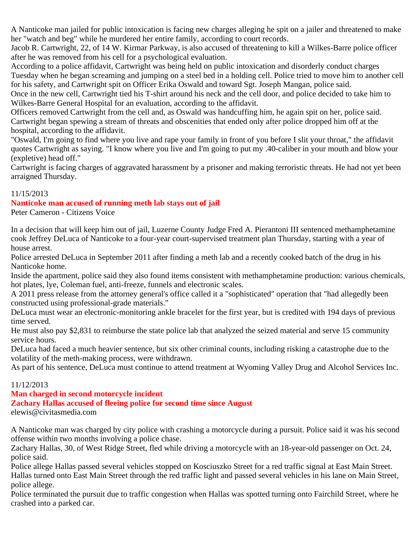A Nanticoke man jailed for public intoxication is facing new charges alleging he spit on a jailer and threatened to make her "watch and beg" while he murdered her entire family, according to court records.

Jacob R. Cartwright, 22, of 14 W. Kirmar Parkway, is also accused of threatening to kill a Wilkes-Barre police officer after he was removed from his cell for a psychological evaluation.

According to a police affidavit, Cartwright was being held on public intoxication and disorderly conduct charges Tuesday when he began screaming and jumping on a steel bed in a holding cell. Police tried to move him to another cell for his safety, and Cartwright spit on Officer Erika Oswald and toward Sgt. Joseph Mangan, police said.

Once in the new cell, Cartwright tied his T-shirt around his neck and the cell door, and police decided to take him to Wilkes-Barre General Hospital for an evaluation, according to the affidavit.

Officers removed Cartwright from the cell and, as Oswald was handcuffing him, he again spit on her, police said. Cartwright began spewing a stream of threats and obscenities that ended only after police dropped him off at the hospital, according to the affidavit.

"Oswald, I'm going to find where you live and rape your family in front of you before I slit your throat," the affidavit quotes Cartwright as saying. "I know where you live and I'm going to put my .40-caliber in your mouth and blow your (expletive) head off."

Cartwright is facing charges of aggravated harassment by a prisoner and making terroristic threats. He had not yet been arraigned Thursday.

## 11/15/2013

## **Nanticoke man accused of running meth lab stays out of jail**

Peter Cameron - Citizens Voice

In a decision that will keep him out of jail, Luzerne County Judge Fred A. Pierantoni III sentenced methamphetamine cook Jeffrey DeLuca of Nanticoke to a four-year court-supervised treatment plan Thursday, starting with a year of house arrest.

Police arrested DeLuca in September 2011 after finding a meth lab and a recently cooked batch of the drug in his Nanticoke home.

Inside the apartment, police said they also found items consistent with methamphetamine production: various chemicals, hot plates, lye, Coleman fuel, anti-freeze, funnels and electronic scales.

A 2011 press release from the attorney general's office called it a "sophisticated" operation that "had allegedly been constructed using professional-grade materials."

DeLuca must wear an electronic-monitoring ankle bracelet for the first year, but is credited with 194 days of previous time served.

He must also pay \$2,831 to reimburse the state police lab that analyzed the seized material and serve 15 community service hours.

DeLuca had faced a much heavier sentence, but six other criminal counts, including risking a catastrophe due to the volatility of the meth-making process, were withdrawn.

As part of his sentence, DeLuca must continue to attend treatment at Wyoming Valley Drug and Alcohol Services Inc.

## 11/12/2013

# **Man charged in second motorcycle incident**

# **Zachary Hallas accused of fleeing police for second time since August**

elewis@civitasmedia.com

A Nanticoke man was charged by city police with crashing a motorcycle during a pursuit. Police said it was his second offense within two months involving a police chase.

Zachary Hallas, 30, of West Ridge Street, fled while driving a motorcycle with an 18-year-old passenger on Oct. 24, police said.

Police allege Hallas passed several vehicles stopped on Kosciuszko Street for a red traffic signal at East Main Street. Hallas turned onto East Main Street through the red traffic light and passed several vehicles in his lane on Main Street, police allege.

Police terminated the pursuit due to traffic congestion when Hallas was spotted turning onto Fairchild Street, where he crashed into a parked car.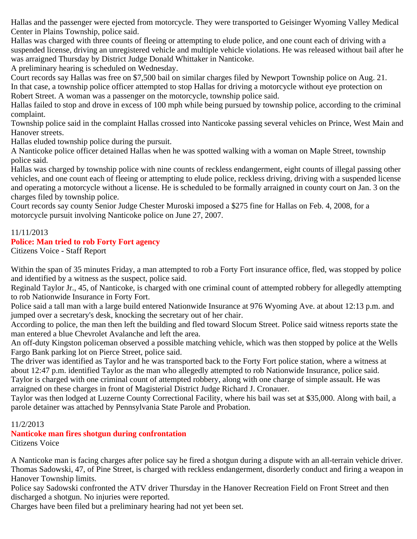Hallas and the passenger were ejected from motorcycle. They were transported to Geisinger Wyoming Valley Medical Center in Plains Township, police said.

Hallas was charged with three counts of fleeing or attempting to elude police, and one count each of driving with a suspended license, driving an unregistered vehicle and multiple vehicle violations. He was released without bail after he was arraigned Thursday by District Judge Donald Whittaker in Nanticoke.

A preliminary hearing is scheduled on Wednesday.

Court records say Hallas was free on \$7,500 bail on similar charges filed by Newport Township police on Aug. 21. In that case, a township police officer attempted to stop Hallas for driving a motorcycle without eye protection on

Robert Street. A woman was a passenger on the motorcycle, township police said.

Hallas failed to stop and drove in excess of 100 mph while being pursued by township police, according to the criminal complaint.

Township police said in the complaint Hallas crossed into Nanticoke passing several vehicles on Prince, West Main and Hanover streets.

Hallas eluded township police during the pursuit.

A Nanticoke police officer detained Hallas when he was spotted walking with a woman on Maple Street, township police said.

Hallas was charged by township police with nine counts of reckless endangerment, eight counts of illegal passing other vehicles, and one count each of fleeing or attempting to elude police, reckless driving, driving with a suspended license and operating a motorcycle without a license. He is scheduled to be formally arraigned in county court on Jan. 3 on the charges filed by township police.

Court records say county Senior Judge Chester Muroski imposed a \$275 fine for Hallas on Feb. 4, 2008, for a motorcycle pursuit involving Nanticoke police on June 27, 2007.

# 11/11/2013 **Police: Man tried to rob Forty Fort agency**

Citizens Voice - Staff Report

Within the span of 35 minutes Friday, a man attempted to rob a Forty Fort insurance office, fled, was stopped by police and identified by a witness as the suspect, police said.

Reginald Taylor Jr., 45, of Nanticoke, is charged with one criminal count of attempted robbery for allegedly attempting to rob Nationwide Insurance in Forty Fort.

Police said a tall man with a large build entered Nationwide Insurance at 976 Wyoming Ave. at about 12:13 p.m. and jumped over a secretary's desk, knocking the secretary out of her chair.

According to police, the man then left the building and fled toward Slocum Street. Police said witness reports state the man entered a blue Chevrolet Avalanche and left the area.

An off-duty Kingston policeman observed a possible matching vehicle, which was then stopped by police at the Wells Fargo Bank parking lot on Pierce Street, police said.

The driver was identified as Taylor and he was transported back to the Forty Fort police station, where a witness at about 12:47 p.m. identified Taylor as the man who allegedly attempted to rob Nationwide Insurance, police said. Taylor is charged with one criminal count of attempted robbery, along with one charge of simple assault. He was arraigned on these charges in front of Magisterial District Judge Richard J. Cronauer.

Taylor was then lodged at Luzerne County Correctional Facility, where his bail was set at \$35,000. Along with bail, a parole detainer was attached by Pennsylvania State Parole and Probation.

# 11/2/2013

# **Nanticoke man fires shotgun during confrontation**

Citizens Voice

A Nanticoke man is facing charges after police say he fired a shotgun during a dispute with an all-terrain vehicle driver. Thomas Sadowski, 47, of Pine Street, is charged with reckless endangerment, disorderly conduct and firing a weapon in Hanover Township limits.

Police say Sadowski confronted the ATV driver Thursday in the Hanover Recreation Field on Front Street and then discharged a shotgun. No injuries were reported.

Charges have been filed but a preliminary hearing had not yet been set.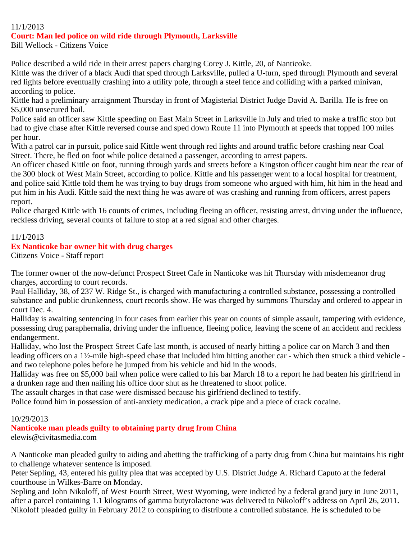### 11/1/2013

### **Court: Man led police on wild ride through Plymouth, Larksville**

Bill Wellock - Citizens Voice

Police described a wild ride in their arrest papers charging Corey J. Kittle, 20, of Nanticoke.

Kittle was the driver of a black Audi that sped through Larksville, pulled a U-turn, sped through Plymouth and several red lights before eventually crashing into a utility pole, through a steel fence and colliding with a parked minivan, according to police.

Kittle had a preliminary arraignment Thursday in front of Magisterial District Judge David A. Barilla. He is free on \$5,000 unsecured bail.

Police said an officer saw Kittle speeding on East Main Street in Larksville in July and tried to make a traffic stop but had to give chase after Kittle reversed course and sped down Route 11 into Plymouth at speeds that topped 100 miles per hour.

With a patrol car in pursuit, police said Kittle went through red lights and around traffic before crashing near Coal Street. There, he fled on foot while police detained a passenger, according to arrest papers.

An officer chased Kittle on foot, running through yards and streets before a Kingston officer caught him near the rear of the 300 block of West Main Street, according to police. Kittle and his passenger went to a local hospital for treatment, and police said Kittle told them he was trying to buy drugs from someone who argued with him, hit him in the head and put him in his Audi. Kittle said the next thing he was aware of was crashing and running from officers, arrest papers report.

Police charged Kittle with 16 counts of crimes, including fleeing an officer, resisting arrest, driving under the influence, reckless driving, several counts of failure to stop at a red signal and other charges.

### 11/1/2013

## **Ex Nanticoke bar owner hit with drug charges**

Citizens Voice - Staff report

The former owner of the now-defunct Prospect Street Cafe in Nanticoke was hit Thursday with misdemeanor drug charges, according to court records.

Paul Halliday, 38, of 237 W. Ridge St., is charged with manufacturing a controlled substance, possessing a controlled substance and public drunkenness, court records show. He was charged by summons Thursday and ordered to appear in court Dec. 4.

Halliday is awaiting sentencing in four cases from earlier this year on counts of simple assault, tampering with evidence, possessing drug paraphernalia, driving under the influence, fleeing police, leaving the scene of an accident and reckless endangerment.

Halliday, who lost the Prospect Street Cafe last month, is accused of nearly hitting a police car on March 3 and then leading officers on a 1½-mile high-speed chase that included him hitting another car - which then struck a third vehicle and two telephone poles before he jumped from his vehicle and hid in the woods.

Halliday was free on \$5,000 bail when police were called to his bar March 18 to a report he had beaten his girlfriend in a drunken rage and then nailing his office door shut as he threatened to shoot police.

The assault charges in that case were dismissed because his girlfriend declined to testify.

Police found him in possession of anti-anxiety medication, a crack pipe and a piece of crack cocaine.

### 10/29/2013

## **Nanticoke man pleads guilty to obtaining party drug from China**

elewis@civitasmedia.com

A Nanticoke man pleaded guilty to aiding and abetting the trafficking of a party drug from China but maintains his right to challenge whatever sentence is imposed.

Peter Sepling, 43, entered his guilty plea that was accepted by U.S. District Judge A. Richard Caputo at the federal courthouse in Wilkes-Barre on Monday.

Sepling and John Nikoloff, of West Fourth Street, West Wyoming, were indicted by a federal grand jury in June 2011, after a parcel containing 1.1 kilograms of gamma butyrolactone was delivered to Nikoloff's address on April 26, 2011. Nikoloff pleaded guilty in February 2012 to conspiring to distribute a controlled substance. He is scheduled to be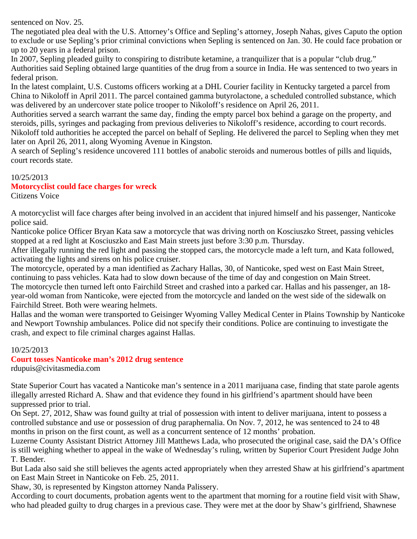sentenced on Nov. 25.

The negotiated plea deal with the U.S. Attorney's Office and Sepling's attorney, Joseph Nahas, gives Caputo the option to exclude or use Sepling's prior criminal convictions when Sepling is sentenced on Jan. 30. He could face probation or up to 20 years in a federal prison.

In 2007, Sepling pleaded guilty to conspiring to distribute ketamine, a tranquilizer that is a popular "club drug." Authorities said Sepling obtained large quantities of the drug from a source in India. He was sentenced to two years in federal prison.

In the latest complaint, U.S. Customs officers working at a DHL Courier facility in Kentucky targeted a parcel from China to Nikoloff in April 2011. The parcel contained gamma butyrolactone, a scheduled controlled substance, which was delivered by an undercover state police trooper to Nikoloff's residence on April 26, 2011.

Authorities served a search warrant the same day, finding the empty parcel box behind a garage on the property, and steroids, pills, syringes and packaging from previous deliveries to Nikoloff's residence, according to court records. Nikoloff told authorities he accepted the parcel on behalf of Sepling. He delivered the parcel to Sepling when they met later on April 26, 2011, along Wyoming Avenue in Kingston.

A search of Sepling's residence uncovered 111 bottles of anabolic steroids and numerous bottles of pills and liquids, court records state.

## 10/25/2013

## **Motorcyclist could face charges for wreck**

Citizens Voice

A motorcyclist will face charges after being involved in an accident that injured himself and his passenger, Nanticoke police said.

Nanticoke police Officer Bryan Kata saw a motorcycle that was driving north on Kosciuszko Street, passing vehicles stopped at a red light at Kosciuszko and East Main streets just before 3:30 p.m. Thursday.

After illegally running the red light and passing the stopped cars, the motorcycle made a left turn, and Kata followed, activating the lights and sirens on his police cruiser.

The motorcycle, operated by a man identified as Zachary Hallas, 30, of Nanticoke, sped west on East Main Street, continuing to pass vehicles. Kata had to slow down because of the time of day and congestion on Main Street. The motorcycle then turned left onto Fairchild Street and crashed into a parked car. Hallas and his passenger, an 18-

year-old woman from Nanticoke, were ejected from the motorcycle and landed on the west side of the sidewalk on Fairchild Street. Both were wearing helmets.

Hallas and the woman were transported to Geisinger Wyoming Valley Medical Center in Plains Township by Nanticoke and Newport Township ambulances. Police did not specify their conditions. Police are continuing to investigate the crash, and expect to file criminal charges against Hallas.

## 10/25/2013

# **Court tosses Nanticoke man's 2012 drug sentence**

rdupuis@civitasmedia.com

State Superior Court has vacated a Nanticoke man's sentence in a 2011 marijuana case, finding that state parole agents illegally arrested Richard A. Shaw and that evidence they found in his girlfriend's apartment should have been suppressed prior to trial.

On Sept. 27, 2012, Shaw was found guilty at trial of possession with intent to deliver marijuana, intent to possess a controlled substance and use or possession of drug paraphernalia. On Nov. 7, 2012, he was sentenced to 24 to 48 months in prison on the first count, as well as a concurrent sentence of 12 months' probation.

Luzerne County Assistant District Attorney Jill Matthews Lada, who prosecuted the original case, said the DA's Office is still weighing whether to appeal in the wake of Wednesday's ruling, written by Superior Court President Judge John T. Bender.

But Lada also said she still believes the agents acted appropriately when they arrested Shaw at his girlfriend's apartment on East Main Street in Nanticoke on Feb. 25, 2011.

Shaw, 30, is represented by Kingston attorney Nanda Palissery.

According to court documents, probation agents went to the apartment that morning for a routine field visit with Shaw, who had pleaded guilty to drug charges in a previous case. They were met at the door by Shaw's girlfriend, Shawnese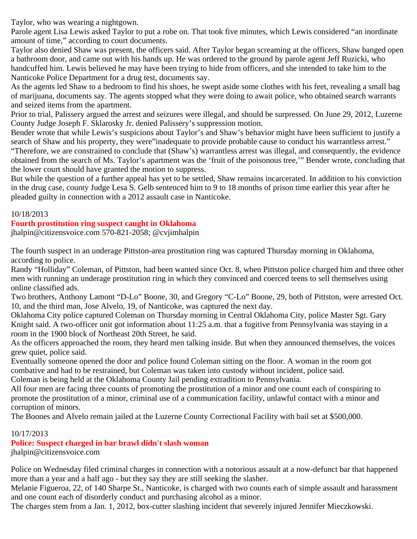Taylor, who was wearing a nightgown.

Parole agent Lisa Lewis asked Taylor to put a robe on. That took five minutes, which Lewis considered "an inordinate amount of time," according to court documents.

Taylor also denied Shaw was present, the officers said. After Taylor began screaming at the officers, Shaw banged open a bathroom door, and came out with his hands up. He was ordered to the ground by parole agent Jeff Ruzicki, who handcuffed him. Lewis believed he may have been trying to hide from officers, and she intended to take him to the Nanticoke Police Department for a drug test, documents say.

As the agents led Shaw to a bedroom to find his shoes, he swept aside some clothes with his feet, revealing a small bag of marijuana, documents say. The agents stopped what they were doing to await police, who obtained search warrants and seized items from the apartment.

Prior to trial, Palissery argued the arrest and seizures were illegal, and should be surpressed. On June 29, 2012, Luzerne County Judge Joseph F. Sklarosky Jr. denied Palissery's suppression motion.

Bender wrote that while Lewis's suspicions about Taylor's and Shaw's behavior might have been sufficient to justify a search of Shaw and his property, they were"inadequate to provide probable cause to conduct his warrantless arrest." "Therefore, we are constrained to conclude that (Shaw's) warrantless arrest was illegal, and consequently, the evidence obtained from the search of Ms. Taylor's apartment was the 'fruit of the poisonous tree,'" Bender wrote, concluding that the lower court should have granted the motion to suppress.

But while the question of a further appeal has yet to be settled, Shaw remains incarcerated. In addition to his conviction in the drug case, county Judge Lesa S. Gelb sentenced him to 9 to 18 months of prison time earlier this year after he pleaded guilty in connection with a 2012 assault case in Nanticoke.

## 10/18/2013

### **Fourth prostitution ring suspect caught in Oklahoma**

jhalpin@citizensvoice.com 570-821-2058; @cvjimhalpin

The fourth suspect in an underage Pittston-area prostitution ring was captured Thursday morning in Oklahoma, according to police.

Randy "Holliday" Coleman, of Pittston, had been wanted since Oct. 8, when Pittston police charged him and three other men with running an underage prostitution ring in which they convinced and coerced teens to sell themselves using online classified ads.

Two brothers, Anthony Lamont "D-Lo" Boone, 30, and Gregory "C-Lo" Boone, 29, both of Pittston, were arrested Oct. 10, and the third man, Jose Alvelo, 19, of Nanticoke, was captured the next day.

Oklahoma City police captured Coleman on Thursday morning in Central Oklahoma City, police Master Sgt. Gary Knight said. A two-officer unit got information about 11:25 a.m. that a fugitive from Pennsylvania was staying in a room in the 1900 block of Northeast 20th Street, he said.

As the officers approached the room, they heard men talking inside. But when they announced themselves, the voices grew quiet, police said.

Eventually someone opened the door and police found Coleman sitting on the floor. A woman in the room got combative and had to be restrained, but Coleman was taken into custody without incident, police said. Coleman is being held at the Oklahoma County Jail pending extradition to Pennsylvania.

All four men are facing three counts of promoting the prostitution of a minor and one count each of conspiring to promote the prostitution of a minor, criminal use of a communication facility, unlawful contact with a minor and corruption of minors.

The Boones and Alvelo remain jailed at the Luzerne County Correctional Facility with bail set at \$500,000.

## 10/17/2013

**Police: Suspect charged in bar brawl didn't slash woman** jhalpin@citizensvoice.com

Police on Wednesday filed criminal charges in connection with a notorious assault at a now-defunct bar that happened more than a year and a half ago - but they say they are still seeking the slasher.

Melanie Figueroa, 22, of 140 Sharpe St., Nanticoke, is charged with two counts each of simple assault and harassment and one count each of disorderly conduct and purchasing alcohol as a minor.

The charges stem from a Jan. 1, 2012, box-cutter slashing incident that severely injured Jennifer Mieczkowski.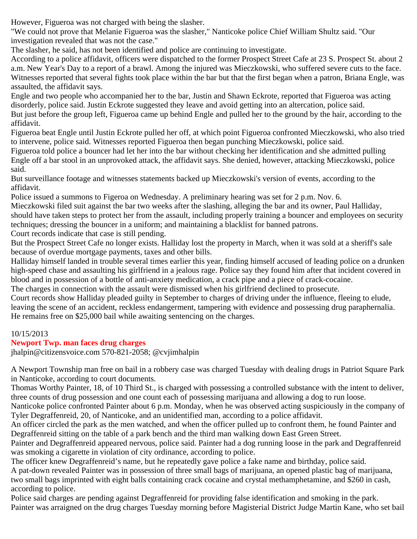However, Figueroa was not charged with being the slasher.

"We could not prove that Melanie Figueroa was the slasher," Nanticoke police Chief William Shultz said. "Our investigation revealed that was not the case."

The slasher, he said, has not been identified and police are continuing to investigate.

According to a police affidavit, officers were dispatched to the former Prospect Street Cafe at 23 S. Prospect St. about 2 a.m. New Year's Day to a report of a brawl. Among the injured was Mieczkowski, who suffered severe cuts to the face. Witnesses reported that several fights took place within the bar but that the first began when a patron, Briana Engle, was assaulted, the affidavit says.

Engle and two people who accompanied her to the bar, Justin and Shawn Eckrote, reported that Figueroa was acting disorderly, police said. Justin Eckrote suggested they leave and avoid getting into an altercation, police said. But just before the group left, Figueroa came up behind Engle and pulled her to the ground by the hair, according to the

affidavit.

Figueroa beat Engle until Justin Eckrote pulled her off, at which point Figueroa confronted Mieczkowski, who also tried to intervene, police said. Witnesses reported Figueroa then began punching Mieczkowski, police said.

Figueroa told police a bouncer had let her into the bar without checking her identification and she admitted pulling Engle off a bar stool in an unprovoked attack, the affidavit says. She denied, however, attacking Mieczkowski, police said.

But surveillance footage and witnesses statements backed up Mieczkowski's version of events, according to the affidavit.

Police issued a summons to Figeroa on Wednesday. A preliminary hearing was set for 2 p.m. Nov. 6.

Mieczkowski filed suit against the bar two weeks after the slashing, alleging the bar and its owner, Paul Halliday, should have taken steps to protect her from the assault, including properly training a bouncer and employees on security techniques; dressing the bouncer in a uniform; and maintaining a blacklist for banned patrons.

Court records indicate that case is still pending.

But the Prospect Street Cafe no longer exists. Halliday lost the property in March, when it was sold at a sheriff's sale because of overdue mortgage payments, taxes and other bills.

Halliday himself landed in trouble several times earlier this year, finding himself accused of leading police on a drunken high-speed chase and assaulting his girlfriend in a jealous rage. Police say they found him after that incident covered in blood and in possession of a bottle of anti-anxiety medication, a crack pipe and a piece of crack-cocaine.

The charges in connection with the assault were dismissed when his girlfriend declined to prosecute.

Court records show Halliday pleaded guilty in September to charges of driving under the influence, fleeing to elude, leaving the scene of an accident, reckless endangerment, tampering with evidence and possessing drug paraphernalia. He remains free on \$25,000 bail while awaiting sentencing on the charges.

# 10/15/2013

# **Newport Twp. man faces drug charges**

jhalpin@citizensvoice.com 570-821-2058; @cvjimhalpin

A Newport Township man free on bail in a robbery case was charged Tuesday with dealing drugs in Patriot Square Park in Nanticoke, according to court documents.

Thomas Worthy Painter, 18, of 10 Third St., is charged with possessing a controlled substance with the intent to deliver, three counts of drug possession and one count each of possessing marijuana and allowing a dog to run loose.

Nanticoke police confronted Painter about 6 p.m. Monday, when he was observed acting suspiciously in the company of Tyler Degraffenreid, 20, of Nanticoke, and an unidentified man, according to a police affidavit.

An officer circled the park as the men watched, and when the officer pulled up to confront them, he found Painter and Degraffenreid sitting on the table of a park bench and the third man walking down East Green Street.

Painter and Degraffenreid appeared nervous, police said. Painter had a dog running loose in the park and Degraffenreid was smoking a cigarette in violation of city ordinance, according to police.

The officer knew Degraffenreid's name, but he repeatedly gave police a fake name and birthday, police said.

A pat-down revealed Painter was in possession of three small bags of marijuana, an opened plastic bag of marijuana, two small bags imprinted with eight balls containing crack cocaine and crystal methamphetamine, and \$260 in cash, according to police.

Police said charges are pending against Degraffenreid for providing false identification and smoking in the park. Painter was arraigned on the drug charges Tuesday morning before Magisterial District Judge Martin Kane, who set bail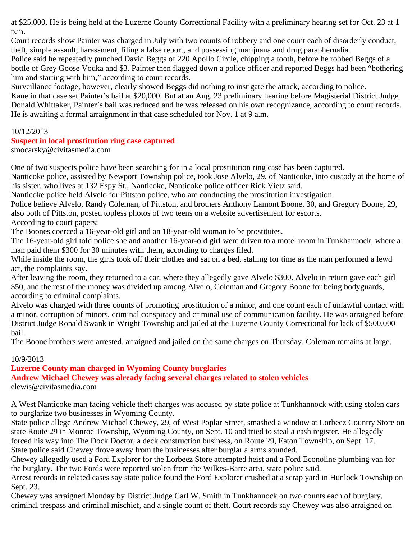at \$25,000. He is being held at the Luzerne County Correctional Facility with a preliminary hearing set for Oct. 23 at 1 p.m.

Court records show Painter was charged in July with two counts of robbery and one count each of disorderly conduct, theft, simple assault, harassment, filing a false report, and possessing marijuana and drug paraphernalia.

Police said he repeatedly punched David Beggs of 220 Apollo Circle, chipping a tooth, before he robbed Beggs of a bottle of Grey Goose Vodka and \$3. Painter then flagged down a police officer and reported Beggs had been "bothering him and starting with him," according to court records.

Surveillance footage, however, clearly showed Beggs did nothing to instigate the attack, according to police. Kane in that case set Painter's bail at \$20,000. But at an Aug. 23 preliminary hearing before Magisterial District Judge Donald Whittaker, Painter's bail was reduced and he was released on his own recognizance, according to court records. He is awaiting a formal arraignment in that case scheduled for Nov. 1 at 9 a.m.

## 10/12/2013

## **Suspect in local prostitution ring case captured**

smocarsky@civitasmedia.com

One of two suspects police have been searching for in a local prostitution ring case has been captured.

Nanticoke police, assisted by Newport Township police, took Jose Alvelo, 29, of Nanticoke, into custody at the home of his sister, who lives at 132 Espy St., Nanticoke, Nanticoke police officer Rick Vietz said.

Nanticoke police held Alvelo for Pittston police, who are conducting the prostitution investigation.

Police believe Alvelo, Randy Coleman, of Pittston, and brothers Anthony Lamont Boone, 30, and Gregory Boone, 29, also both of Pittston, posted topless photos of two teens on a website advertisement for escorts.

According to court papers:

The Boones coerced a 16-year-old girl and an 18-year-old woman to be prostitutes.

The 16-year-old girl told police she and another 16-year-old girl were driven to a motel room in Tunkhannock, where a man paid them \$300 for 30 minutes with them, according to charges filed.

While inside the room, the girls took off their clothes and sat on a bed, stalling for time as the man performed a lewd act, the complaints say.

After leaving the room, they returned to a car, where they allegedly gave Alvelo \$300. Alvelo in return gave each girl \$50, and the rest of the money was divided up among Alvelo, Coleman and Gregory Boone for being bodyguards, according to criminal complaints.

Alvelo was charged with three counts of promoting prostitution of a minor, and one count each of unlawful contact with a minor, corruption of minors, criminal conspiracy and criminal use of communication facility. He was arraigned before District Judge Ronald Swank in Wright Township and jailed at the Luzerne County Correctional for lack of \$500,000 bail.

The Boone brothers were arrested, arraigned and jailed on the same charges on Thursday. Coleman remains at large.

# 10/9/2013

# **Luzerne County man charged in Wyoming County burglaries**

# **Andrew Michael Chewey was already facing several charges related to stolen vehicles**

elewis@civitasmedia.com

A West Nanticoke man facing vehicle theft charges was accused by state police at Tunkhannock with using stolen cars to burglarize two businesses in Wyoming County.

State police allege Andrew Michael Chewey, 29, of West Poplar Street, smashed a window at Lorbeez Country Store on state Route 29 in Monroe Township, Wyoming County, on Sept. 10 and tried to steal a cash register. He allegedly forced his way into The Dock Doctor, a deck construction business, on Route 29, Eaton Township, on Sept. 17. State police said Chewey drove away from the businesses after burglar alarms sounded.

Chewey allegedly used a Ford Explorer for the Lorbeez Store attempted heist and a Ford Econoline plumbing van for the burglary. The two Fords were reported stolen from the Wilkes-Barre area, state police said.

Arrest records in related cases say state police found the Ford Explorer crushed at a scrap yard in Hunlock Township on Sept. 23.

Chewey was arraigned Monday by District Judge Carl W. Smith in Tunkhannock on two counts each of burglary, criminal trespass and criminal mischief, and a single count of theft. Court records say Chewey was also arraigned on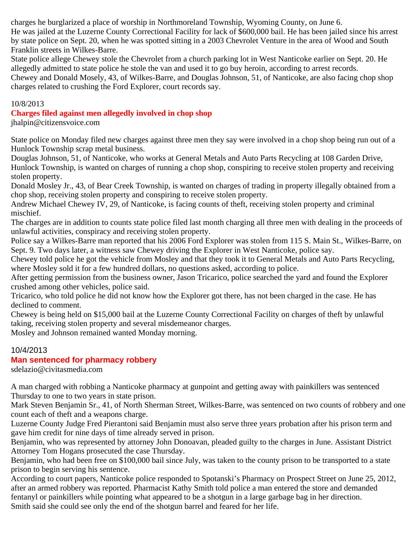charges he burglarized a place of worship in Northmoreland Township, Wyoming County, on June 6.

He was jailed at the Luzerne County Correctional Facility for lack of \$600,000 bail. He has been jailed since his arrest by state police on Sept. 20, when he was spotted sitting in a 2003 Chevrolet Venture in the area of Wood and South Franklin streets in Wilkes-Barre.

State police allege Chewey stole the Chevrolet from a church parking lot in West Nanticoke earlier on Sept. 20. He allegedly admitted to state police he stole the van and used it to go buy heroin, according to arrest records.

Chewey and Donald Mosely, 43, of Wilkes-Barre, and Douglas Johnson, 51, of Nanticoke, are also facing chop shop charges related to crushing the Ford Explorer, court records say.

### 10/8/2013

**Charges filed against men allegedly involved in chop shop**

jhalpin@citizensvoice.com

State police on Monday filed new charges against three men they say were involved in a chop shop being run out of a Hunlock Township scrap metal business.

Douglas Johnson, 51, of Nanticoke, who works at General Metals and Auto Parts Recycling at 108 Garden Drive, Hunlock Township, is wanted on charges of running a chop shop, conspiring to receive stolen property and receiving stolen property.

Donald Mosley Jr., 43, of Bear Creek Township, is wanted on charges of trading in property illegally obtained from a chop shop, receiving stolen property and conspiring to receive stolen property.

Andrew Michael Chewey IV, 29, of Nanticoke, is facing counts of theft, receiving stolen property and criminal mischief.

The charges are in addition to counts state police filed last month charging all three men with dealing in the proceeds of unlawful activities, conspiracy and receiving stolen property.

Police say a Wilkes-Barre man reported that his 2006 Ford Explorer was stolen from 115 S. Main St., Wilkes-Barre, on Sept. 9. Two days later, a witness saw Chewey driving the Explorer in West Nanticoke, police say.

Chewey told police he got the vehicle from Mosley and that they took it to General Metals and Auto Parts Recycling, where Mosley sold it for a few hundred dollars, no questions asked, according to police.

After getting permission from the business owner, Jason Tricarico, police searched the yard and found the Explorer crushed among other vehicles, police said.

Tricarico, who told police he did not know how the Explorer got there, has not been charged in the case. He has declined to comment.

Chewey is being held on \$15,000 bail at the Luzerne County Correctional Facility on charges of theft by unlawful taking, receiving stolen property and several misdemeanor charges.

Mosley and Johnson remained wanted Monday morning.

# 10/4/2013

# **Man sentenced for pharmacy robbery**

sdelazio@civitasmedia.com

A man charged with robbing a Nanticoke pharmacy at gunpoint and getting away with painkillers was sentenced Thursday to one to two years in state prison.

Mark Steven Benjamin Sr., 41, of North Sherman Street, Wilkes-Barre, was sentenced on two counts of robbery and one count each of theft and a weapons charge.

Luzerne County Judge Fred Pierantoni said Benjamin must also serve three years probation after his prison term and gave him credit for nine days of time already served in prison.

Benjamin, who was represented by attorney John Donoavan, pleaded guilty to the charges in June. Assistant District Attorney Tom Hogans prosecuted the case Thursday.

Benjamin, who had been free on \$100,000 bail since July, was taken to the county prison to be transported to a state prison to begin serving his sentence.

According to court papers, Nanticoke police responded to Spotanski's Pharmacy on Prospect Street on June 25, 2012, after an armed robbery was reported. Pharmacist Kathy Smith told police a man entered the store and demanded fentanyl or painkillers while pointing what appeared to be a shotgun in a large garbage bag in her direction. Smith said she could see only the end of the shotgun barrel and feared for her life.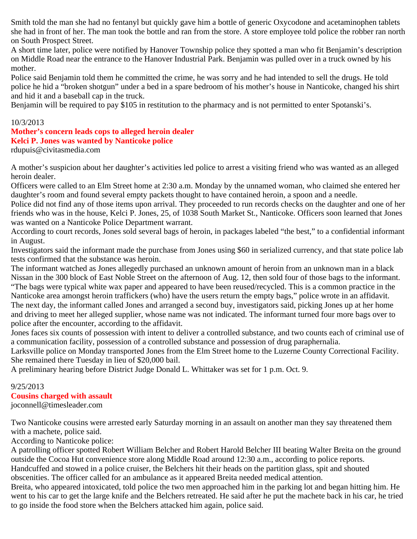Smith told the man she had no fentanyl but quickly gave him a bottle of generic Oxycodone and acetaminophen tablets she had in front of her. The man took the bottle and ran from the store. A store employee told police the robber ran north on South Prospect Street.

A short time later, police were notified by Hanover Township police they spotted a man who fit Benjamin's description on Middle Road near the entrance to the Hanover Industrial Park. Benjamin was pulled over in a truck owned by his mother.

Police said Benjamin told them he committed the crime, he was sorry and he had intended to sell the drugs. He told police he hid a "broken shotgun" under a bed in a spare bedroom of his mother's house in Nanticoke, changed his shirt and hid it and a baseball cap in the truck.

Benjamin will be required to pay \$105 in restitution to the pharmacy and is not permitted to enter Spotanski's.

## 10/3/2013

# **Mother's concern leads cops to alleged heroin dealer Kelci P. Jones was wanted by Nanticoke police**

rdupuis@civitasmedia.com

A mother's suspicion about her daughter's activities led police to arrest a visiting friend who was wanted as an alleged heroin dealer.

Officers were called to an Elm Street home at 2:30 a.m. Monday by the unnamed woman, who claimed she entered her daughter's room and found several empty packets thought to have contained heroin, a spoon and a needle.

Police did not find any of those items upon arrival. They proceeded to run records checks on the daughter and one of her friends who was in the house, Kelci P. Jones, 25, of 1038 South Market St., Nanticoke. Officers soon learned that Jones was wanted on a Nanticoke Police Department warrant.

According to court records, Jones sold several bags of heroin, in packages labeled "the best," to a confidential informant in August.

Investigators said the informant made the purchase from Jones using \$60 in serialized currency, and that state police lab tests confirmed that the substance was heroin.

The informant watched as Jones allegedly purchased an unknown amount of heroin from an unknown man in a black Nissan in the 300 block of East Noble Street on the afternoon of Aug. 12, then sold four of those bags to the informant. "The bags were typical white wax paper and appeared to have been reused/recycled. This is a common practice in the Nanticoke area amongst heroin traffickers (who) have the users return the empty bags," police wrote in an affidavit. The next day, the informant called Jones and arranged a second buy, investigators said, picking Jones up at her home and driving to meet her alleged supplier, whose name was not indicated. The informant turned four more bags over to police after the encounter, according to the affidavit.

Jones faces six counts of possession with intent to deliver a controlled substance, and two counts each of criminal use of a communication facility, possession of a controlled substance and possession of drug paraphernalia.

Larksville police on Monday transported Jones from the Elm Street home to the Luzerne County Correctional Facility. She remained there Tuesday in lieu of \$20,000 bail.

A preliminary hearing before District Judge Donald L. Whittaker was set for 1 p.m. Oct. 9.

## 9/25/2013

## **Cousins charged with assault**

joconnell@timesleader.com

Two Nanticoke cousins were arrested early Saturday morning in an assault on another man they say threatened them with a machete, police said.

According to Nanticoke police:

A patrolling officer spotted Robert William Belcher and Robert Harold Belcher III beating Walter Breita on the ground outside the Cocoa Hut convenience store along Middle Road around 12:30 a.m., according to police reports.

Handcuffed and stowed in a police cruiser, the Belchers hit their heads on the partition glass, spit and shouted obscenities. The officer called for an ambulance as it appeared Breita needed medical attention.

Breita, who appeared intoxicated, told police the two men approached him in the parking lot and began hitting him. He went to his car to get the large knife and the Belchers retreated. He said after he put the machete back in his car, he tried to go inside the food store when the Belchers attacked him again, police said.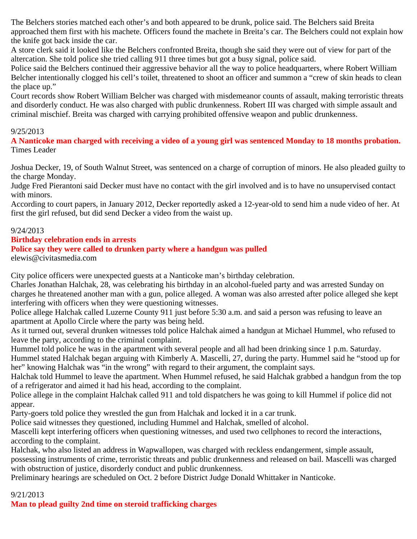The Belchers stories matched each other's and both appeared to be drunk, police said. The Belchers said Breita approached them first with his machete. Officers found the machete in Breita's car. The Belchers could not explain how the knife got back inside the car.

A store clerk said it looked like the Belchers confronted Breita, though she said they were out of view for part of the altercation. She told police she tried calling 911 three times but got a busy signal, police said.

Police said the Belchers continued their aggressive behavior all the way to police headquarters, where Robert William Belcher intentionally clogged his cell's toilet, threatened to shoot an officer and summon a "crew of skin heads to clean the place up."

Court records show Robert William Belcher was charged with misdemeanor counts of assault, making terroristic threats and disorderly conduct. He was also charged with public drunkenness. Robert III was charged with simple assault and criminal mischief. Breita was charged with carrying prohibited offensive weapon and public drunkenness.

### 9/25/2013

**A Nanticoke man charged with receiving a video of a young girl was sentenced Monday to 18 months probation.** Times Leader

Joshua Decker, 19, of South Walnut Street, was sentenced on a charge of corruption of minors. He also pleaded guilty to the charge Monday.

Judge Fred Pierantoni said Decker must have no contact with the girl involved and is to have no unsupervised contact with minors.

According to court papers, in January 2012, Decker reportedly asked a 12-year-old to send him a nude video of her. At first the girl refused, but did send Decker a video from the waist up.

### 9/24/2013

### **Birthday celebration ends in arrests**

### **Police say they were called to drunken party where a handgun was pulled**

elewis@civitasmedia.com

City police officers were unexpected guests at a Nanticoke man's birthday celebration.

Charles Jonathan Halchak, 28, was celebrating his birthday in an alcohol-fueled party and was arrested Sunday on charges he threatened another man with a gun, police alleged. A woman was also arrested after police alleged she kept interfering with officers when they were questioning witnesses.

Police allege Halchak called Luzerne County 911 just before 5:30 a.m. and said a person was refusing to leave an apartment at Apollo Circle where the party was being held.

As it turned out, several drunken witnesses told police Halchak aimed a handgun at Michael Hummel, who refused to leave the party, according to the criminal complaint.

Hummel told police he was in the apartment with several people and all had been drinking since 1 p.m. Saturday.

Hummel stated Halchak began arguing with Kimberly A. Mascelli, 27, during the party. Hummel said he "stood up for her" knowing Halchak was "in the wrong" with regard to their argument, the complaint says.

Halchak told Hummel to leave the apartment. When Hummel refused, he said Halchak grabbed a handgun from the top of a refrigerator and aimed it had his head, according to the complaint.

Police allege in the complaint Halchak called 911 and told dispatchers he was going to kill Hummel if police did not appear.

Party-goers told police they wrestled the gun from Halchak and locked it in a car trunk.

Police said witnesses they questioned, including Hummel and Halchak, smelled of alcohol.

Mascelli kept interfering officers when questioning witnesses, and used two cellphones to record the interactions, according to the complaint.

Halchak, who also listed an address in Wapwallopen, was charged with reckless endangerment, simple assault,

possessing instruments of crime, terroristic threats and public drunkenness and released on bail. Mascelli was charged with obstruction of justice, disorderly conduct and public drunkenness.

Preliminary hearings are scheduled on Oct. 2 before District Judge Donald Whittaker in Nanticoke.

## 9/21/2013

**Man to plead guilty 2nd time on steroid trafficking charges**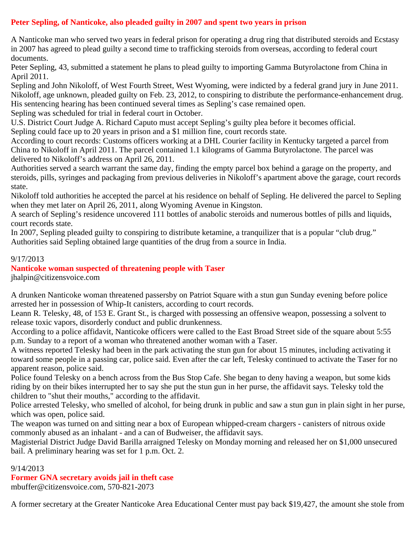# **Peter Sepling, of Nanticoke, also pleaded guilty in 2007 and spent two years in prison**

A Nanticoke man who served two years in federal prison for operating a drug ring that distributed steroids and Ecstasy in 2007 has agreed to plead guilty a second time to trafficking steroids from overseas, according to federal court documents.

Peter Sepling, 43, submitted a statement he plans to plead guilty to importing Gamma Butyrolactone from China in April 2011.

Sepling and John Nikoloff, of West Fourth Street, West Wyoming, were indicted by a federal grand jury in June 2011. Nikoloff, age unknown, pleaded guilty on Feb. 23, 2012, to conspiring to distribute the performance-enhancement drug. His sentencing hearing has been continued several times as Sepling's case remained open.

Sepling was scheduled for trial in federal court in October.

U.S. District Court Judge A. Richard Caputo must accept Sepling's guilty plea before it becomes official.

Sepling could face up to 20 years in prison and a \$1 million fine, court records state.

According to court records: Customs officers working at a DHL Courier facility in Kentucky targeted a parcel from China to Nikoloff in April 2011. The parcel contained 1.1 kilograms of Gamma Butyrolactone. The parcel was delivered to Nikoloff's address on April 26, 2011.

Authorities served a search warrant the same day, finding the empty parcel box behind a garage on the property, and steroids, pills, syringes and packaging from previous deliveries in Nikoloff's apartment above the garage, court records state.

Nikoloff told authorities he accepted the parcel at his residence on behalf of Sepling. He delivered the parcel to Sepling when they met later on April 26, 2011, along Wyoming Avenue in Kingston.

A search of Sepling's residence uncovered 111 bottles of anabolic steroids and numerous bottles of pills and liquids, court records state.

In 2007, Sepling pleaded guilty to conspiring to distribute ketamine, a tranquilizer that is a popular "club drug." Authorities said Sepling obtained large quantities of the drug from a source in India.

## 9/17/2013

# **Nanticoke woman suspected of threatening people with Taser**

jhalpin@citizensvoice.com

A drunken Nanticoke woman threatened passersby on Patriot Square with a stun gun Sunday evening before police arrested her in possession of Whip-It canisters, according to court records.

Leann R. Telesky, 48, of 153 E. Grant St., is charged with possessing an offensive weapon, possessing a solvent to release toxic vapors, disorderly conduct and public drunkenness.

According to a police affidavit, Nanticoke officers were called to the East Broad Street side of the square about 5:55 p.m. Sunday to a report of a woman who threatened another woman with a Taser.

A witness reported Telesky had been in the park activating the stun gun for about 15 minutes, including activating it toward some people in a passing car, police said. Even after the car left, Telesky continued to activate the Taser for no apparent reason, police said.

Police found Telesky on a bench across from the Bus Stop Cafe. She began to deny having a weapon, but some kids riding by on their bikes interrupted her to say she put the stun gun in her purse, the affidavit says. Telesky told the children to "shut their mouths," according to the affidavit.

Police arrested Telesky, who smelled of alcohol, for being drunk in public and saw a stun gun in plain sight in her purse, which was open, police said.

The weapon was turned on and sitting near a box of European whipped-cream chargers - canisters of nitrous oxide commonly abused as an inhalant - and a can of Budweiser, the affidavit says.

Magisterial District Judge David Barilla arraigned Telesky on Monday morning and released her on \$1,000 unsecured bail. A preliminary hearing was set for 1 p.m. Oct. 2.

## 9/14/2013

# **Former GNA secretary avoids jail in theft case**

mbuffer@citizensvoice.com, 570-821-2073

A former secretary at the Greater Nanticoke Area Educational Center must pay back \$19,427, the amount she stole from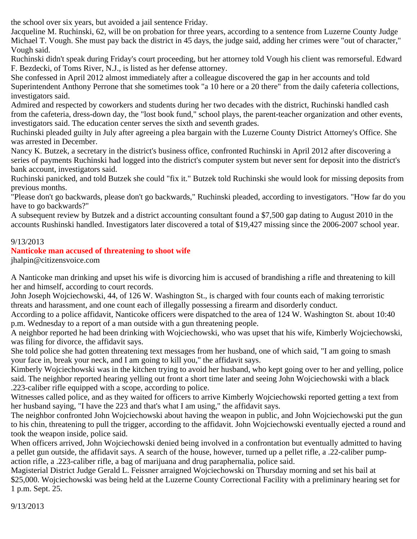the school over six years, but avoided a jail sentence Friday.

Jacqueline M. Ruchinski, 62, will be on probation for three years, according to a sentence from Luzerne County Judge Michael T. Vough. She must pay back the district in 45 days, the judge said, adding her crimes were "out of character," Vough said.

Ruchinski didn't speak during Friday's court proceeding, but her attorney told Vough his client was remorseful. Edward F. Bezdecki, of Toms River, N.J., is listed as her defense attorney.

She confessed in April 2012 almost immediately after a colleague discovered the gap in her accounts and told Superintendent Anthony Perrone that she sometimes took "a 10 here or a 20 there" from the daily cafeteria collections, investigators said.

Admired and respected by coworkers and students during her two decades with the district, Ruchinski handled cash from the cafeteria, dress-down day, the "lost book fund," school plays, the parent-teacher organization and other events, investigators said. The education center serves the sixth and seventh grades.

Ruchinski pleaded guilty in July after agreeing a plea bargain with the Luzerne County District Attorney's Office. She was arrested in December.

Nancy K. Butzek, a secretary in the district's business office, confronted Ruchinski in April 2012 after discovering a series of payments Ruchinski had logged into the district's computer system but never sent for deposit into the district's bank account, investigators said.

Ruchinski panicked, and told Butzek she could "fix it." Butzek told Ruchinski she would look for missing deposits from previous months.

"Please don't go backwards, please don't go backwards," Ruchinski pleaded, according to investigators. "How far do you have to go backwards?"

A subsequent review by Butzek and a district accounting consultant found a \$7,500 gap dating to August 2010 in the accounts Rushinski handled. Investigators later discovered a total of \$19,427 missing since the 2006-2007 school year.

# 9/13/2013

## **Nanticoke man accused of threatening to shoot wife**

jhalpin@citizensvoice.com

A Nanticoke man drinking and upset his wife is divorcing him is accused of brandishing a rifle and threatening to kill her and himself, according to court records.

John Joseph Wojciechowski, 44, of 126 W. Washington St., is charged with four counts each of making terroristic threats and harassment, and one count each of illegally possessing a firearm and disorderly conduct.

According to a police affidavit, Nanticoke officers were dispatched to the area of 124 W. Washington St. about 10:40 p.m. Wednesday to a report of a man outside with a gun threatening people.

A neighbor reported he had been drinking with Wojciechowski, who was upset that his wife, Kimberly Wojciechowski, was filing for divorce, the affidavit says.

She told police she had gotten threatening text messages from her husband, one of which said, "I am going to smash your face in, break your neck, and I am going to kill you," the affidavit says.

Kimberly Wojciechowski was in the kitchen trying to avoid her husband, who kept going over to her and yelling, police said. The neighbor reported hearing yelling out front a short time later and seeing John Wojciechowski with a black .223-caliber rifle equipped with a scope, according to police.

Witnesses called police, and as they waited for officers to arrive Kimberly Wojciechowski reported getting a text from her husband saying, "I have the 223 and that's what I am using," the affidavit says.

The neighbor confronted John Wojciechowski about having the weapon in public, and John Wojciechowski put the gun to his chin, threatening to pull the trigger, according to the affidavit. John Wojciechowski eventually ejected a round and took the weapon inside, police said.

When officers arrived, John Wojciechowski denied being involved in a confrontation but eventually admitted to having a pellet gun outside, the affidavit says. A search of the house, however, turned up a pellet rifle, a .22-caliber pumpaction rifle, a .223-caliber rifle, a bag of marijuana and drug paraphernalia, police said.

Magisterial District Judge Gerald L. Feissner arraigned Wojciechowski on Thursday morning and set his bail at \$25,000. Wojciechowski was being held at the Luzerne County Correctional Facility with a preliminary hearing set for 1 p.m. Sept. 25.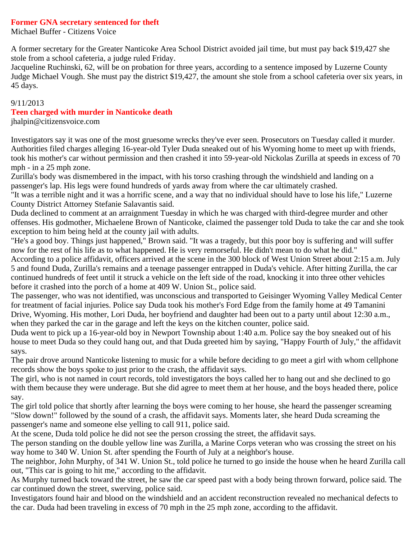### **Former GNA secretary sentenced for theft**

Michael Buffer - Citizens Voice

A former secretary for the Greater Nanticoke Area School District avoided jail time, but must pay back \$19,427 she stole from a school cafeteria, a judge ruled Friday.

Jacqueline Ruchinski, 62, will be on probation for three years, according to a sentence imposed by Luzerne County Judge Michael Vough. She must pay the district \$19,427, the amount she stole from a school cafeteria over six years, in 45 days.

### 9/11/2013

### **Teen charged with murder in Nanticoke death**

jhalpin@citizensvoice.com

Investigators say it was one of the most gruesome wrecks they've ever seen. Prosecutors on Tuesday called it murder. Authorities filed charges alleging 16-year-old Tyler Duda sneaked out of his Wyoming home to meet up with friends, took his mother's car without permission and then crashed it into 59-year-old Nickolas Zurilla at speeds in excess of 70 mph - in a 25 mph zone.

Zurilla's body was dismembered in the impact, with his torso crashing through the windshield and landing on a passenger's lap. His legs were found hundreds of yards away from where the car ultimately crashed.

"It was a terrible night and it was a horrific scene, and a way that no individual should have to lose his life," Luzerne County District Attorney Stefanie Salavantis said.

Duda declined to comment at an arraignment Tuesday in which he was charged with third-degree murder and other offenses. His godmother, Michaelene Brown of Nanticoke, claimed the passenger told Duda to take the car and she took exception to him being held at the county jail with adults.

"He's a good boy. Things just happened," Brown said. "It was a tragedy, but this poor boy is suffering and will suffer now for the rest of his life as to what happened. He is very remorseful. He didn't mean to do what he did."

According to a police affidavit, officers arrived at the scene in the 300 block of West Union Street about 2:15 a.m. July 5 and found Duda, Zurilla's remains and a teenage passenger entrapped in Duda's vehicle. After hitting Zurilla, the car continued hundreds of feet until it struck a vehicle on the left side of the road, knocking it into three other vehicles before it crashed into the porch of a home at 409 W. Union St., police said.

The passenger, who was not identified, was unconscious and transported to Geisinger Wyoming Valley Medical Center for treatment of facial injuries. Police say Duda took his mother's Ford Edge from the family home at 49 Tamanini Drive, Wyoming. His mother, Lori Duda, her boyfriend and daughter had been out to a party until about 12:30 a.m., when they parked the car in the garage and left the keys on the kitchen counter, police said.

Duda went to pick up a 16-year-old boy in Newport Township about 1:40 a.m. Police say the boy sneaked out of his house to meet Duda so they could hang out, and that Duda greeted him by saying, "Happy Fourth of July," the affidavit says.

The pair drove around Nanticoke listening to music for a while before deciding to go meet a girl with whom cellphone records show the boys spoke to just prior to the crash, the affidavit says.

The girl, who is not named in court records, told investigators the boys called her to hang out and she declined to go with them because they were underage. But she did agree to meet them at her house, and the boys headed there, police say.

The girl told police that shortly after learning the boys were coming to her house, she heard the passenger screaming "Slow down!" followed by the sound of a crash, the affidavit says. Moments later, she heard Duda screaming the passenger's name and someone else yelling to call 911, police said.

At the scene, Duda told police he did not see the person crossing the street, the affidavit says.

The person standing on the double yellow line was Zurilla, a Marine Corps veteran who was crossing the street on his way home to 340 W. Union St. after spending the Fourth of July at a neighbor's house.

The neighbor, John Murphy, of 341 W. Union St., told police he turned to go inside the house when he heard Zurilla call out, "This car is going to hit me," according to the affidavit.

As Murphy turned back toward the street, he saw the car speed past with a body being thrown forward, police said. The car continued down the street, swerving, police said.

Investigators found hair and blood on the windshield and an accident reconstruction revealed no mechanical defects to the car. Duda had been traveling in excess of 70 mph in the 25 mph zone, according to the affidavit.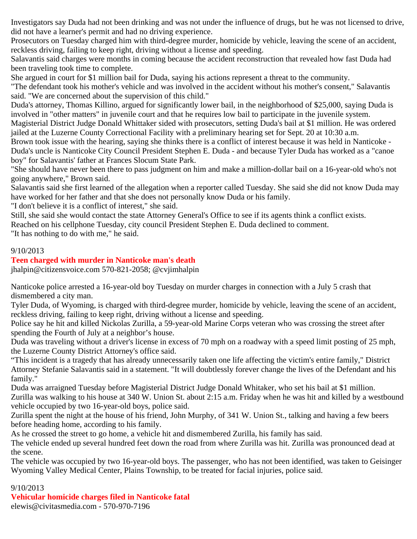Investigators say Duda had not been drinking and was not under the influence of drugs, but he was not licensed to drive, did not have a learner's permit and had no driving experience.

Prosecutors on Tuesday charged him with third-degree murder, homicide by vehicle, leaving the scene of an accident, reckless driving, failing to keep right, driving without a license and speeding.

Salavantis said charges were months in coming because the accident reconstruction that revealed how fast Duda had been traveling took time to complete.

She argued in court for \$1 million bail for Duda, saying his actions represent a threat to the community.

"The defendant took his mother's vehicle and was involved in the accident without his mother's consent," Salavantis said. "We are concerned about the supervision of this child."

Duda's attorney, Thomas Killino, argued for significantly lower bail, in the neighborhood of \$25,000, saying Duda is involved in "other matters" in juvenile court and that he requires low bail to participate in the juvenile system.

Magisterial District Judge Donald Whittaker sided with prosecutors, setting Duda's bail at \$1 million. He was ordered jailed at the Luzerne County Correctional Facility with a preliminary hearing set for Sept. 20 at 10:30 a.m.

Brown took issue with the hearing, saying she thinks there is a conflict of interest because it was held in Nanticoke - Duda's uncle is Nanticoke City Council President Stephen E. Duda - and because Tyler Duda has worked as a "canoe boy" for Salavantis' father at Frances Slocum State Park.

"She should have never been there to pass judgment on him and make a million-dollar bail on a 16-year-old who's not going anywhere," Brown said.

Salavantis said she first learned of the allegation when a reporter called Tuesday. She said she did not know Duda may have worked for her father and that she does not personally know Duda or his family.

"I don't believe it is a conflict of interest," she said.

Still, she said she would contact the state Attorney General's Office to see if its agents think a conflict exists.

Reached on his cellphone Tuesday, city council President Stephen E. Duda declined to comment.

"It has nothing to do with me," he said.

## 9/10/2013

## **Teen charged with murder in Nanticoke man's death**

jhalpin@citizensvoice.com 570-821-2058; @cvjimhalpin

Nanticoke police arrested a 16-year-old boy Tuesday on murder charges in connection with a July 5 crash that dismembered a city man.

Tyler Duda, of Wyoming, is charged with third-degree murder, homicide by vehicle, leaving the scene of an accident, reckless driving, failing to keep right, driving without a license and speeding.

Police say he hit and killed Nickolas Zurilla, a 59-year-old Marine Corps veteran who was crossing the street after spending the Fourth of July at a neighbor's house.

Duda was traveling without a driver's license in excess of 70 mph on a roadway with a speed limit posting of 25 mph, the Luzerne County District Attorney's office said.

"This incident is a tragedy that has already unnecessarily taken one life affecting the victim's entire family," District Attorney Stefanie Salavantis said in a statement. "It will doubtlessly forever change the lives of the Defendant and his family."

Duda was arraigned Tuesday before Magisterial District Judge Donald Whitaker, who set his bail at \$1 million. Zurilla was walking to his house at 340 W. Union St. about 2:15 a.m. Friday when he was hit and killed by a westbound vehicle occupied by two 16-year-old boys, police said.

Zurilla spent the night at the house of his friend, John Murphy, of 341 W. Union St., talking and having a few beers before heading home, according to his family.

As he crossed the street to go home, a vehicle hit and dismembered Zurilla, his family has said.

The vehicle ended up several hundred feet down the road from where Zurilla was hit. Zurilla was pronounced dead at the scene.

The vehicle was occupied by two 16-year-old boys. The passenger, who has not been identified, was taken to Geisinger Wyoming Valley Medical Center, Plains Township, to be treated for facial injuries, police said.

## 9/10/2013

# **Vehicular homicide charges filed in Nanticoke fatal**

elewis@civitasmedia.com - 570-970-7196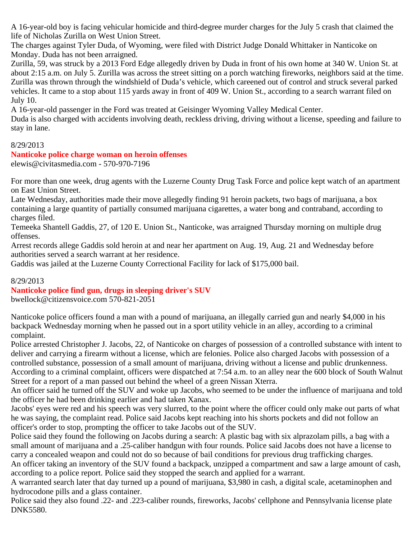A 16-year-old boy is facing vehicular homicide and third-degree murder charges for the July 5 crash that claimed the life of Nicholas Zurilla on West Union Street.

The charges against Tyler Duda, of Wyoming, were filed with District Judge Donald Whittaker in Nanticoke on Monday. Duda has not been arraigned.

Zurilla, 59, was struck by a 2013 Ford Edge allegedly driven by Duda in front of his own home at 340 W. Union St. at about 2:15 a.m. on July 5. Zurilla was across the street sitting on a porch watching fireworks, neighbors said at the time. Zurilla was thrown through the windshield of Duda's vehicle, which careened out of control and struck several parked vehicles. It came to a stop about 115 yards away in front of 409 W. Union St., according to a search warrant filed on July 10.

A 16-year-old passenger in the Ford was treated at Geisinger Wyoming Valley Medical Center.

Duda is also charged with accidents involving death, reckless driving, driving without a license, speeding and failure to stay in lane.

## 8/29/2013

### **Nanticoke police charge woman on heroin offenses** elewis@civitasmedia.com - 570-970-7196

For more than one week, drug agents with the Luzerne County Drug Task Force and police kept watch of an apartment on East Union Street.

Late Wednesday, authorities made their move allegedly finding 91 heroin packets, two bags of marijuana, a box containing a large quantity of partially consumed marijuana cigarettes, a water bong and contraband, according to charges filed.

Temeeka Shantell Gaddis, 27, of 120 E. Union St., Nanticoke, was arraigned Thursday morning on multiple drug offenses.

Arrest records allege Gaddis sold heroin at and near her apartment on Aug. 19, Aug. 21 and Wednesday before authorities served a search warrant at her residence.

Gaddis was jailed at the Luzerne County Correctional Facility for lack of \$175,000 bail.

# 8/29/2013

# **Nanticoke police find gun, drugs in sleeping driver's SUV**

bwellock@citizensvoice.com 570-821-2051

Nanticoke police officers found a man with a pound of marijuana, an illegally carried gun and nearly \$4,000 in his backpack Wednesday morning when he passed out in a sport utility vehicle in an alley, according to a criminal complaint.

Police arrested Christopher J. Jacobs, 22, of Nanticoke on charges of possession of a controlled substance with intent to deliver and carrying a firearm without a license, which are felonies. Police also charged Jacobs with possession of a controlled substance, possession of a small amount of marijuana, driving without a license and public drunkenness. According to a criminal complaint, officers were dispatched at 7:54 a.m. to an alley near the 600 block of South Walnut Street for a report of a man passed out behind the wheel of a green Nissan Xterra.

An officer said he turned off the SUV and woke up Jacobs, who seemed to be under the influence of marijuana and told the officer he had been drinking earlier and had taken Xanax.

Jacobs' eyes were red and his speech was very slurred, to the point where the officer could only make out parts of what he was saying, the complaint read. Police said Jacobs kept reaching into his shorts pockets and did not follow an officer's order to stop, prompting the officer to take Jacobs out of the SUV.

Police said they found the following on Jacobs during a search: A plastic bag with six alprazolam pills, a bag with a small amount of marijuana and a .25-caliber handgun with four rounds. Police said Jacobs does not have a license to carry a concealed weapon and could not do so because of bail conditions for previous drug trafficking charges.

An officer taking an inventory of the SUV found a backpack, unzipped a compartment and saw a large amount of cash, according to a police report. Police said they stopped the search and applied for a warrant.

A warranted search later that day turned up a pound of marijuana, \$3,980 in cash, a digital scale, acetaminophen and hydrocodone pills and a glass container.

Police said they also found .22- and .223-caliber rounds, fireworks, Jacobs' cellphone and Pennsylvania license plate DNK5580.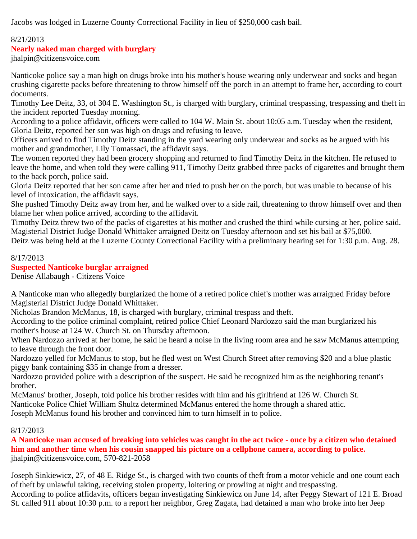Jacobs was lodged in Luzerne County Correctional Facility in lieu of \$250,000 cash bail.

## 8/21/2013

# **Nearly naked man charged with burglary**

jhalpin@citizensvoice.com

Nanticoke police say a man high on drugs broke into his mother's house wearing only underwear and socks and began crushing cigarette packs before threatening to throw himself off the porch in an attempt to frame her, according to court documents.

Timothy Lee Deitz, 33, of 304 E. Washington St., is charged with burglary, criminal trespassing, trespassing and theft in the incident reported Tuesday morning.

According to a police affidavit, officers were called to 104 W. Main St. about 10:05 a.m. Tuesday when the resident, Gloria Deitz, reported her son was high on drugs and refusing to leave.

Officers arrived to find Timothy Deitz standing in the yard wearing only underwear and socks as he argued with his mother and grandmother, Lily Tomassaci, the affidavit says.

The women reported they had been grocery shopping and returned to find Timothy Deitz in the kitchen. He refused to leave the home, and when told they were calling 911, Timothy Deitz grabbed three packs of cigarettes and brought them to the back porch, police said.

Gloria Deitz reported that her son came after her and tried to push her on the porch, but was unable to because of his level of intoxication, the affidavit says.

She pushed Timothy Deitz away from her, and he walked over to a side rail, threatening to throw himself over and then blame her when police arrived, according to the affidavit.

Timothy Deitz threw two of the packs of cigarettes at his mother and crushed the third while cursing at her, police said. Magisterial District Judge Donald Whittaker arraigned Deitz on Tuesday afternoon and set his bail at \$75,000.

Deitz was being held at the Luzerne County Correctional Facility with a preliminary hearing set for 1:30 p.m. Aug. 28.

## 8/17/2013

## **Suspected Nanticoke burglar arraigned**

Denise Allabaugh - Citizens Voice

A Nanticoke man who allegedly burglarized the home of a retired police chief's mother was arraigned Friday before Magisterial District Judge Donald Whittaker.

Nicholas Brandon McManus, 18, is charged with burglary, criminal trespass and theft.

According to the police criminal complaint, retired police Chief Leonard Nardozzo said the man burglarized his mother's house at 124 W. Church St. on Thursday afternoon.

When Nardozzo arrived at her home, he said he heard a noise in the living room area and he saw McManus attempting to leave through the front door.

Nardozzo yelled for McManus to stop, but he fled west on West Church Street after removing \$20 and a blue plastic piggy bank containing \$35 in change from a dresser.

Nardozzo provided police with a description of the suspect. He said he recognized him as the neighboring tenant's brother.

McManus' brother, Joseph, told police his brother resides with him and his girlfriend at 126 W. Church St. Nanticoke Police Chief William Shultz determined McManus entered the home through a shared attic.

Joseph McManus found his brother and convinced him to turn himself in to police.

## 8/17/2013

**A Nanticoke man accused of breaking into vehicles was caught in the act twice - once by a citizen who detained him and another time when his cousin snapped his picture on a cellphone camera, according to police.** jhalpin@citizensvoice.com, 570-821-2058

Joseph Sinkiewicz, 27, of 48 E. Ridge St., is charged with two counts of theft from a motor vehicle and one count each of theft by unlawful taking, receiving stolen property, loitering or prowling at night and trespassing. According to police affidavits, officers began investigating Sinkiewicz on June 14, after Peggy Stewart of 121 E. Broad St. called 911 about 10:30 p.m. to a report her neighbor, Greg Zagata, had detained a man who broke into her Jeep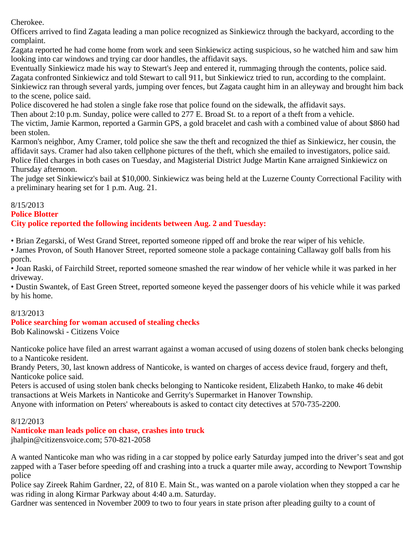Cherokee.

Officers arrived to find Zagata leading a man police recognized as Sinkiewicz through the backyard, according to the complaint.

Zagata reported he had come home from work and seen Sinkiewicz acting suspicious, so he watched him and saw him looking into car windows and trying car door handles, the affidavit says.

Eventually Sinkiewicz made his way to Stewart's Jeep and entered it, rummaging through the contents, police said. Zagata confronted Sinkiewicz and told Stewart to call 911, but Sinkiewicz tried to run, according to the complaint. Sinkiewicz ran through several yards, jumping over fences, but Zagata caught him in an alleyway and brought him back to the scene, police said.

Police discovered he had stolen a single fake rose that police found on the sidewalk, the affidavit says.

Then about 2:10 p.m. Sunday, police were called to 277 E. Broad St. to a report of a theft from a vehicle.

The victim, Jamie Karmon, reported a Garmin GPS, a gold bracelet and cash with a combined value of about \$860 had been stolen.

Karmon's neighbor, Amy Cramer, told police she saw the theft and recognized the thief as Sinkiewicz, her cousin, the affidavit says. Cramer had also taken cellphone pictures of the theft, which she emailed to investigators, police said. Police filed charges in both cases on Tuesday, and Magisterial District Judge Martin Kane arraigned Sinkiewicz on Thursday afternoon.

The judge set Sinkiewicz's bail at \$10,000. Sinkiewicz was being held at the Luzerne County Correctional Facility with a preliminary hearing set for 1 p.m. Aug. 21.

## 8/15/2013

**Police Blotter**

# **City police reported the following incidents between Aug. 2 and Tuesday:**

• Brian Zegarski, of West Grand Street, reported someone ripped off and broke the rear wiper of his vehicle.

• James Provon, of South Hanover Street, reported someone stole a package containing Callaway golf balls from his porch.

• Joan Raski, of Fairchild Street, reported someone smashed the rear window of her vehicle while it was parked in her driveway.

• Dustin Swantek, of East Green Street, reported someone keyed the passenger doors of his vehicle while it was parked by his home.

# 8/13/2013

# **Police searching for woman accused of stealing checks**

Bob Kalinowski - Citizens Voice

Nanticoke police have filed an arrest warrant against a woman accused of using dozens of stolen bank checks belonging to a Nanticoke resident.

Brandy Peters, 30, last known address of Nanticoke, is wanted on charges of access device fraud, forgery and theft, Nanticoke police said.

Peters is accused of using stolen bank checks belonging to Nanticoke resident, Elizabeth Hanko, to make 46 debit transactions at Weis Markets in Nanticoke and Gerrity's Supermarket in Hanover Township.

Anyone with information on Peters' whereabouts is asked to contact city detectives at 570-735-2200.

# 8/12/2013

**Nanticoke man leads police on chase, crashes into truck**

jhalpin@citizensvoice.com; 570-821-2058

A wanted Nanticoke man who was riding in a car stopped by police early Saturday jumped into the driver's seat and got zapped with a Taser before speeding off and crashing into a truck a quarter mile away, according to Newport Township police

Police say Zireek Rahim Gardner, 22, of 810 E. Main St., was wanted on a parole violation when they stopped a car he was riding in along Kirmar Parkway about 4:40 a.m. Saturday.

Gardner was sentenced in November 2009 to two to four years in state prison after pleading guilty to a count of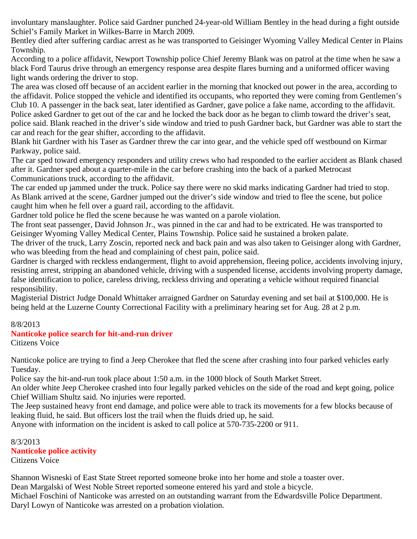involuntary manslaughter. Police said Gardner punched 24-year-old William Bentley in the head during a fight outside Schiel's Family Market in Wilkes-Barre in March 2009.

Bentley died after suffering cardiac arrest as he was transported to Geisinger Wyoming Valley Medical Center in Plains Township.

According to a police affidavit, Newport Township police Chief Jeremy Blank was on patrol at the time when he saw a black Ford Taurus drive through an emergency response area despite flares burning and a uniformed officer waving light wands ordering the driver to stop.

The area was closed off because of an accident earlier in the morning that knocked out power in the area, according to the affidavit. Police stopped the vehicle and identified its occupants, who reported they were coming from Gentlemen's Club 10. A passenger in the back seat, later identified as Gardner, gave police a fake name, according to the affidavit. Police asked Gardner to get out of the car and he locked the back door as he began to climb toward the driver's seat, police said. Blank reached in the driver's side window and tried to push Gardner back, but Gardner was able to start the car and reach for the gear shifter, according to the affidavit.

Blank hit Gardner with his Taser as Gardner threw the car into gear, and the vehicle sped off westbound on Kirmar Parkway, police said.

The car sped toward emergency responders and utility crews who had responded to the earlier accident as Blank chased after it. Gardner sped about a quarter-mile in the car before crashing into the back of a parked Metrocast Communications truck, according to the affidavit.

The car ended up jammed under the truck. Police say there were no skid marks indicating Gardner had tried to stop. As Blank arrived at the scene, Gardner jumped out the driver's side window and tried to flee the scene, but police caught him when he fell over a guard rail, according to the affidavit.

Gardner told police he fled the scene because he was wanted on a parole violation.

The front seat passenger, David Johnson Jr., was pinned in the car and had to be extricated. He was transported to Geisinger Wyoming Valley Medical Center, Plains Township. Police said he sustained a broken palate.

The driver of the truck, Larry Zoscin, reported neck and back pain and was also taken to Geisinger along with Gardner, who was bleeding from the head and complaining of chest pain, police said.

Gardner is charged with reckless endangerment, flight to avoid apprehension, fleeing police, accidents involving injury, resisting arrest, stripping an abandoned vehicle, driving with a suspended license, accidents involving property damage, false identification to police, careless driving, reckless driving and operating a vehicle without required financial responsibility.

Magisterial District Judge Donald Whittaker arraigned Gardner on Saturday evening and set bail at \$100,000. He is being held at the Luzerne County Correctional Facility with a preliminary hearing set for Aug. 28 at 2 p.m.

# 8/8/2013

# **Nanticoke police search for hit-and-run driver**

Citizens Voice

Nanticoke police are trying to find a Jeep Cherokee that fled the scene after crashing into four parked vehicles early Tuesday.

Police say the hit-and-run took place about 1:50 a.m. in the 1000 block of South Market Street.

An older white Jeep Cherokee crashed into four legally parked vehicles on the side of the road and kept going, police Chief William Shultz said. No injuries were reported.

The Jeep sustained heavy front end damage, and police were able to track its movements for a few blocks because of leaking fluid, he said. But officers lost the trail when the fluids dried up, he said.

Anyone with information on the incident is asked to call police at 570-735-2200 or 911.

8/3/2013 **Nanticoke police activity** Citizens Voice

Shannon Wisneski of East State Street reported someone broke into her home and stole a toaster over.

Dean Margalski of West Noble Street reported someone entered his yard and stole a bicycle.

Michael Foschini of Nanticoke was arrested on an outstanding warrant from the Edwardsville Police Department. Daryl Lowyn of Nanticoke was arrested on a probation violation.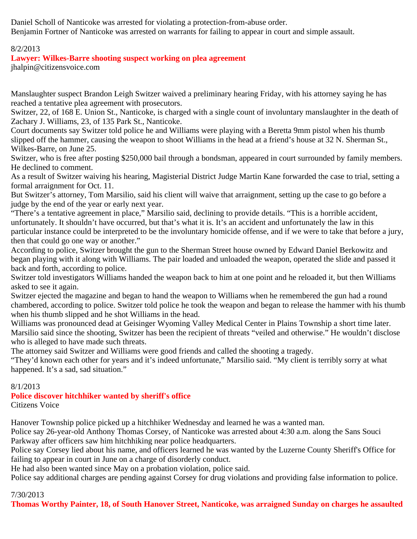Daniel Scholl of Nanticoke was arrested for violating a protection-from-abuse order. Benjamin Fortner of Nanticoke was arrested on warrants for failing to appear in court and simple assault.

## 8/2/2013

## **Lawyer: Wilkes-Barre shooting suspect working on plea agreement**

jhalpin@citizensvoice.com

Manslaughter suspect Brandon Leigh Switzer waived a preliminary hearing Friday, with his attorney saying he has reached a tentative plea agreement with prosecutors.

Switzer, 22, of 168 E. Union St., Nanticoke, is charged with a single count of involuntary manslaughter in the death of Zachary J. Williams, 23, of 135 Park St., Nanticoke.

Court documents say Switzer told police he and Williams were playing with a Beretta 9mm pistol when his thumb slipped off the hammer, causing the weapon to shoot Williams in the head at a friend's house at 32 N. Sherman St., Wilkes-Barre, on June 25.

Switzer, who is free after posting \$250,000 bail through a bondsman, appeared in court surrounded by family members. He declined to comment.

As a result of Switzer waiving his hearing, Magisterial District Judge Martin Kane forwarded the case to trial, setting a formal arraignment for Oct. 11.

But Switzer's attorney, Tom Marsilio, said his client will waive that arraignment, setting up the case to go before a judge by the end of the year or early next year.

"There's a tentative agreement in place," Marsilio said, declining to provide details. "This is a horrible accident, unfortunately. It shouldn't have occurred, but that's what it is. It's an accident and unfortunately the law in this particular instance could be interpreted to be the involuntary homicide offense, and if we were to take that before a jury, then that could go one way or another."

According to police, Switzer brought the gun to the Sherman Street house owned by Edward Daniel Berkowitz and began playing with it along with Williams. The pair loaded and unloaded the weapon, operated the slide and passed it back and forth, according to police.

Switzer told investigators Williams handed the weapon back to him at one point and he reloaded it, but then Williams asked to see it again.

Switzer ejected the magazine and began to hand the weapon to Williams when he remembered the gun had a round chambered, according to police. Switzer told police he took the weapon and began to release the hammer with his thumb when his thumb slipped and he shot Williams in the head.

Williams was pronounced dead at Geisinger Wyoming Valley Medical Center in Plains Township a short time later. Marsilio said since the shooting, Switzer has been the recipient of threats "veiled and otherwise." He wouldn't disclose who is alleged to have made such threats.

The attorney said Switzer and Williams were good friends and called the shooting a tragedy.

"They'd known each other for years and it's indeed unfortunate," Marsilio said. "My client is terribly sorry at what happened. It's a sad, sad situation."

## 8/1/2013

### **Police discover hitchhiker wanted by sheriff's office** Citizens Voice

Hanover Township police picked up a hitchhiker Wednesday and learned he was a wanted man.

Police say 26-year-old Anthony Thomas Corsey, of Nanticoke was arrested about 4:30 a.m. along the Sans Souci Parkway after officers saw him hitchhiking near police headquarters.

Police say Corsey lied about his name, and officers learned he was wanted by the Luzerne County Sheriff's Office for failing to appear in court in June on a charge of disorderly conduct.

He had also been wanted since May on a probation violation, police said.

Police say additional charges are pending against Corsey for drug violations and providing false information to police.

### 7/30/2013

**Thomas Worthy Painter, 18, of South Hanover Street, Nanticoke, was arraigned Sunday on charges he assaulted**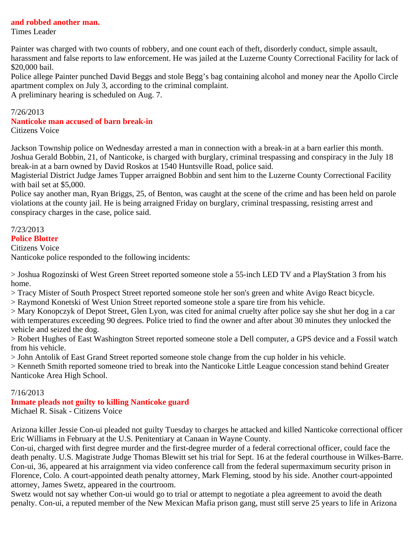### **and robbed another man.**

Times Leader

Painter was charged with two counts of robbery, and one count each of theft, disorderly conduct, simple assault, harassment and false reports to law enforcement. He was jailed at the Luzerne County Correctional Facility for lack of \$20,000 bail.

Police allege Painter punched David Beggs and stole Begg's bag containing alcohol and money near the Apollo Circle apartment complex on July 3, according to the criminal complaint.

A preliminary hearing is scheduled on Aug. 7.

# 7/26/2013 **Nanticoke man accused of barn break-in**

Citizens Voice

Jackson Township police on Wednesday arrested a man in connection with a break-in at a barn earlier this month. Joshua Gerald Bobbin, 21, of Nanticoke, is charged with burglary, criminal trespassing and conspiracy in the July 18 break-in at a barn owned by David Roskos at 1540 Huntsville Road, police said.

Magisterial District Judge James Tupper arraigned Bobbin and sent him to the Luzerne County Correctional Facility with bail set at \$5,000.

Police say another man, Ryan Briggs, 25, of Benton, was caught at the scene of the crime and has been held on parole violations at the county jail. He is being arraigned Friday on burglary, criminal trespassing, resisting arrest and conspiracy charges in the case, police said.

## 7/23/2013

### **Police Blotter**

Citizens Voice

Nanticoke police responded to the following incidents:

> Joshua Rogozinski of West Green Street reported someone stole a 55-inch LED TV and a PlayStation 3 from his home.

> Tracy Mister of South Prospect Street reported someone stole her son's green and white Avigo React bicycle.

> Raymond Konetski of West Union Street reported someone stole a spare tire from his vehicle.

> Mary Konopczyk of Depot Street, Glen Lyon, was cited for animal cruelty after police say she shut her dog in a car with temperatures exceeding 90 degrees. Police tried to find the owner and after about 30 minutes they unlocked the vehicle and seized the dog.

> Robert Hughes of East Washington Street reported someone stole a Dell computer, a GPS device and a Fossil watch from his vehicle.

> John Antolik of East Grand Street reported someone stole change from the cup holder in his vehicle.

> Kenneth Smith reported someone tried to break into the Nanticoke Little League concession stand behind Greater Nanticoke Area High School.

## 7/16/2013

**Inmate pleads not guilty to killing Nanticoke guard**

Michael R. Sisak - Citizens Voice

Arizona killer Jessie Con-ui pleaded not guilty Tuesday to charges he attacked and killed Nanticoke correctional officer Eric Williams in February at the U.S. Penitentiary at Canaan in Wayne County.

Con-ui, charged with first degree murder and the first-degree murder of a federal correctional officer, could face the death penalty. U.S. Magistrate Judge Thomas Blewitt set his trial for Sept. 16 at the federal courthouse in Wilkes-Barre. Con-ui, 36, appeared at his arraignment via video conference call from the federal supermaximum security prison in Florence, Colo. A court-appointed death penalty attorney, Mark Fleming, stood by his side. Another court-appointed attorney, James Swetz, appeared in the courtroom.

Swetz would not say whether Con-ui would go to trial or attempt to negotiate a plea agreement to avoid the death penalty. Con-ui, a reputed member of the New Mexican Mafia prison gang, must still serve 25 years to life in Arizona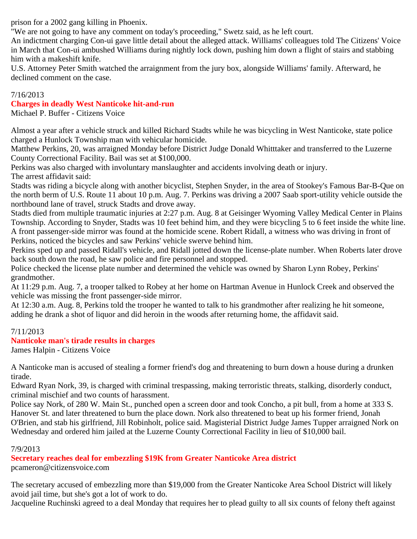prison for a 2002 gang killing in Phoenix.

"We are not going to have any comment on today's proceeding," Swetz said, as he left court.

An indictment charging Con-ui gave little detail about the alleged attack. Williams' colleagues told The Citizens' Voice in March that Con-ui ambushed Williams during nightly lock down, pushing him down a flight of stairs and stabbing him with a makeshift knife.

U.S. Attorney Peter Smith watched the arraignment from the jury box, alongside Williams' family. Afterward, he declined comment on the case.

## 7/16/2013

## **Charges in deadly West Nanticoke hit-and-run**

Michael P. Buffer - Citizens Voice

Almost a year after a vehicle struck and killed Richard Stadts while he was bicycling in West Nanticoke, state police charged a Hunlock Township man with vehicular homicide.

Matthew Perkins, 20, was arraigned Monday before District Judge Donald Whitttaker and transferred to the Luzerne County Correctional Facility. Bail was set at \$100,000.

Perkins was also charged with involuntary manslaughter and accidents involving death or injury. The arrest affidavit said:

Stadts was riding a bicycle along with another bicyclist, Stephen Snyder, in the area of Stookey's Famous Bar-B-Que on the north berm of U.S. Route 11 about 10 p.m. Aug. 7. Perkins was driving a 2007 Saab sport-utility vehicle outside the northbound lane of travel, struck Stadts and drove away.

Stadts died from multiple traumatic injuries at 2:27 p.m. Aug. 8 at Geisinger Wyoming Valley Medical Center in Plains Township. According to Snyder, Stadts was 10 feet behind him, and they were bicycling 5 to 6 feet inside the white line. A front passenger-side mirror was found at the homicide scene. Robert Ridall, a witness who was driving in front of Perkins, noticed the bicycles and saw Perkins' vehicle swerve behind him.

Perkins sped up and passed Ridall's vehicle, and Ridall jotted down the license-plate number. When Roberts later drove back south down the road, he saw police and fire personnel and stopped.

Police checked the license plate number and determined the vehicle was owned by Sharon Lynn Robey, Perkins' grandmother.

At 11:29 p.m. Aug. 7, a trooper talked to Robey at her home on Hartman Avenue in Hunlock Creek and observed the vehicle was missing the front passenger-side mirror.

At 12:30 a.m. Aug. 8, Perkins told the trooper he wanted to talk to his grandmother after realizing he hit someone, adding he drank a shot of liquor and did heroin in the woods after returning home, the affidavit said.

# 7/11/2013

## **Nanticoke man's tirade results in charges**

James Halpin - Citizens Voice

A Nanticoke man is accused of stealing a former friend's dog and threatening to burn down a house during a drunken tirade.

Edward Ryan Nork, 39, is charged with criminal trespassing, making terroristic threats, stalking, disorderly conduct, criminal mischief and two counts of harassment.

Police say Nork, of 280 W. Main St., punched open a screen door and took Concho, a pit bull, from a home at 333 S. Hanover St. and later threatened to burn the place down. Nork also threatened to beat up his former friend, Jonah O'Brien, and stab his girlfriend, Jill Robinholt, police said. Magisterial District Judge James Tupper arraigned Nork on Wednesday and ordered him jailed at the Luzerne County Correctional Facility in lieu of \$10,000 bail.

## 7/9/2013

**Secretary reaches deal for embezzling \$19K from Greater Nanticoke Area district**

pcameron@citizensvoice.com

The secretary accused of embezzling more than \$19,000 from the Greater Nanticoke Area School District will likely avoid jail time, but she's got a lot of work to do.

Jacqueline Ruchinski agreed to a deal Monday that requires her to plead guilty to all six counts of felony theft against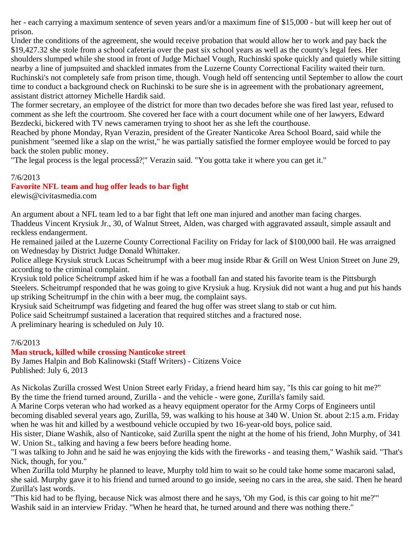her - each carrying a maximum sentence of seven years and/or a maximum fine of \$15,000 - but will keep her out of prison.

Under the conditions of the agreement, she would receive probation that would allow her to work and pay back the \$19,427.32 she stole from a school cafeteria over the past six school years as well as the county's legal fees. Her shoulders slumped while she stood in front of Judge Michael Vough, Ruchinski spoke quickly and quietly while sitting nearby a line of jumpsuited and shackled inmates from the Luzerne County Correctional Facility waited their turn. Ruchinski's not completely safe from prison time, though. Vough held off sentencing until September to allow the court time to conduct a background check on Ruchinski to be sure she is in agreement with the probationary agreement, assistant district attorney Michelle Hardik said.

The former secretary, an employee of the district for more than two decades before she was fired last year, refused to comment as she left the courtroom. She covered her face with a court document while one of her lawyers, Edward Bezdecki, bickered with TV news cameramen trying to shoot her as she left the courthouse.

Reached by phone Monday, Ryan Verazin, president of the Greater Nanticoke Area School Board, said while the punishment "seemed like a slap on the wrist," he was partially satisfied the former employee would be forced to pay back the stolen public money.

"The legal process is the legal processâ?¦" Verazin said. "You gotta take it where you can get it."

## 7/6/2013

# **Favorite NFL team and hug offer leads to bar fight**

elewis@civitasmedia.com

An argument about a NFL team led to a bar fight that left one man injured and another man facing charges. Thaddeus Vincent Krysiuk Jr., 30, of Walnut Street, Alden, was charged with aggravated assault, simple assault and reckless endangerment.

He remained jailed at the Luzerne County Correctional Facility on Friday for lack of \$100,000 bail. He was arraigned on Wednesday by District Judge Donald Whittaker.

Police allege Krysiuk struck Lucas Scheitrumpf with a beer mug inside Rbar & Grill on West Union Street on June 29, according to the criminal complaint.

Krysiuk told police Scheitrumpf asked him if he was a football fan and stated his favorite team is the Pittsburgh Steelers. Scheitrumpf responded that he was going to give Krysiuk a hug. Krysiuk did not want a hug and put his hands up striking Scheitrumpf in the chin with a beer mug, the complaint says.

Krysiuk said Scheitrumpf was fidgeting and feared the hug offer was street slang to stab or cut him.

Police said Scheitrumpf sustained a laceration that required stitches and a fractured nose.

A preliminary hearing is scheduled on July 10.

## 7/6/2013

# **Man struck, killed while crossing Nanticoke street**

By James Halpin and Bob Kalinowski (Staff Writers) - Citizens Voice Published: July 6, 2013

As Nickolas Zurilla crossed West Union Street early Friday, a friend heard him say, "Is this car going to hit me?" By the time the friend turned around, Zurilla - and the vehicle - were gone, Zurilla's family said.

A Marine Corps veteran who had worked as a heavy equipment operator for the Army Corps of Engineers until becoming disabled several years ago, Zurilla, 59, was walking to his house at 340 W. Union St. about 2:15 a.m. Friday when he was hit and killed by a westbound vehicle occupied by two 16-year-old boys, police said.

His sister, Diane Washik, also of Nanticoke, said Zurilla spent the night at the home of his friend, John Murphy, of 341 W. Union St., talking and having a few beers before heading home.

"I was talking to John and he said he was enjoying the kids with the fireworks - and teasing them," Washik said. "That's Nick, though, for you."

When Zurilla told Murphy he planned to leave, Murphy told him to wait so he could take home some macaroni salad, she said. Murphy gave it to his friend and turned around to go inside, seeing no cars in the area, she said. Then he heard Zurilla's last words.

"This kid had to be flying, because Nick was almost there and he says, 'Oh my God, is this car going to hit me?'" Washik said in an interview Friday. "When he heard that, he turned around and there was nothing there."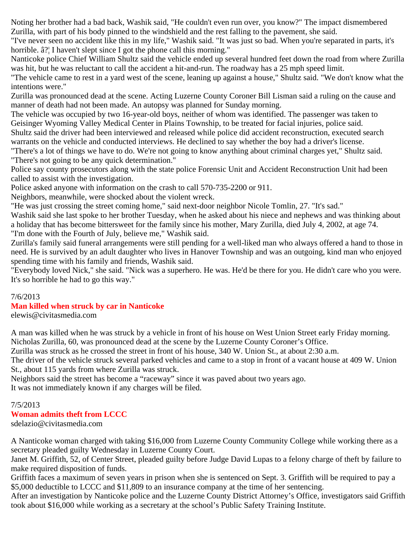Noting her brother had a bad back, Washik said, "He couldn't even run over, you know?" The impact dismembered Zurilla, with part of his body pinned to the windshield and the rest falling to the pavement, she said.

"I've never seen no accident like this in my life," Washik said. "It was just so bad. When you're separated in parts, it's horrible. â?¦ I haven't slept since I got the phone call this morning."

Nanticoke police Chief William Shultz said the vehicle ended up several hundred feet down the road from where Zurilla was hit, but he was reluctant to call the accident a hit-and-run. The roadway has a 25 mph speed limit.

"The vehicle came to rest in a yard west of the scene, leaning up against a house," Shultz said. "We don't know what the intentions were."

Zurilla was pronounced dead at the scene. Acting Luzerne County Coroner Bill Lisman said a ruling on the cause and manner of death had not been made. An autopsy was planned for Sunday morning.

The vehicle was occupied by two 16-year-old boys, neither of whom was identified. The passenger was taken to Geisinger Wyoming Valley Medical Center in Plains Township, to be treated for facial injuries, police said.

Shultz said the driver had been interviewed and released while police did accident reconstruction, executed search warrants on the vehicle and conducted interviews. He declined to say whether the boy had a driver's license.

"There's a lot of things we have to do. We're not going to know anything about criminal charges yet," Shultz said. "There's not going to be any quick determination."

Police say county prosecutors along with the state police Forensic Unit and Accident Reconstruction Unit had been called to assist with the investigation.

Police asked anyone with information on the crash to call 570-735-2200 or 911.

Neighbors, meanwhile, were shocked about the violent wreck.

"He was just crossing the street coming home," said next-door neighbor Nicole Tomlin, 27. "It's sad."

Washik said she last spoke to her brother Tuesday, when he asked about his niece and nephews and was thinking about a holiday that has become bittersweet for the family since his mother, Mary Zurilla, died July 4, 2002, at age 74. "I'm done with the Fourth of July, believe me," Washik said.

Zurilla's family said funeral arrangements were still pending for a well-liked man who always offered a hand to those in need. He is survived by an adult daughter who lives in Hanover Township and was an outgoing, kind man who enjoyed spending time with his family and friends, Washik said.

"Everybody loved Nick," she said. "Nick was a superhero. He was. He'd be there for you. He didn't care who you were. It's so horrible he had to go this way."

## 7/6/2013

# **Man killed when struck by car in Nanticoke**

elewis@civitasmedia.com

A man was killed when he was struck by a vehicle in front of his house on West Union Street early Friday morning. Nicholas Zurilla, 60, was pronounced dead at the scene by the Luzerne County Coroner's Office.

Zurilla was struck as he crossed the street in front of his house, 340 W. Union St., at about 2:30 a.m.

The driver of the vehicle struck several parked vehicles and came to a stop in front of a vacant house at 409 W. Union St., about 115 yards from where Zurilla was struck.

Neighbors said the street has become a "raceway" since it was paved about two years ago. It was not immediately known if any charges will be filed.

## 7/5/2013

# **Woman admits theft from LCCC**

sdelazio@civitasmedia.com

A Nanticoke woman charged with taking \$16,000 from Luzerne County Community College while working there as a secretary pleaded guilty Wednesday in Luzerne County Court.

Janet M. Griffith, 52, of Center Street, pleaded guilty before Judge David Lupas to a felony charge of theft by failure to make required disposition of funds.

Griffith faces a maximum of seven years in prison when she is sentenced on Sept. 3. Griffith will be required to pay a \$5,000 deductible to LCCC and \$11,809 to an insurance company at the time of her sentencing.

After an investigation by Nanticoke police and the Luzerne County District Attorney's Office, investigators said Griffith took about \$16,000 while working as a secretary at the school's Public Safety Training Institute.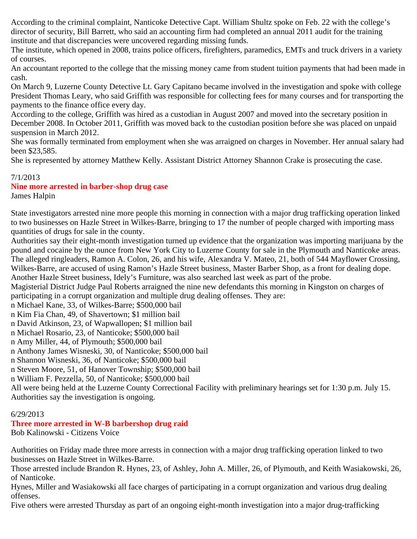According to the criminal complaint, Nanticoke Detective Capt. William Shultz spoke on Feb. 22 with the college's director of security, Bill Barrett, who said an accounting firm had completed an annual 2011 audit for the training institute and that discrepancies were uncovered regarding missing funds.

The institute, which opened in 2008, trains police officers, firefighters, paramedics, EMTs and truck drivers in a variety of courses.

An accountant reported to the college that the missing money came from student tuition payments that had been made in cash.

On March 9, Luzerne County Detective Lt. Gary Capitano became involved in the investigation and spoke with college President Thomas Leary, who said Griffith was responsible for collecting fees for many courses and for transporting the payments to the finance office every day.

According to the college, Griffith was hired as a custodian in August 2007 and moved into the secretary position in December 2008. In October 2011, Griffith was moved back to the custodian position before she was placed on unpaid suspension in March 2012.

She was formally terminated from employment when she was arraigned on charges in November. Her annual salary had been \$23,585.

She is represented by attorney Matthew Kelly. Assistant District Attorney Shannon Crake is prosecuting the case.

## 7/1/2013

## **Nine more arrested in barber-shop drug case**

James Halpin

State investigators arrested nine more people this morning in connection with a major drug trafficking operation linked to two businesses on Hazle Street in Wilkes-Barre, bringing to 17 the number of people charged with importing mass quantities of drugs for sale in the county.

Authorities say their eight-month investigation turned up evidence that the organization was importing marijuana by the pound and cocaine by the ounce from New York City to Luzerne County for sale in the Plymouth and Nanticoke areas. The alleged ringleaders, Ramon A. Colon, 26, and his wife, Alexandra V. Mateo, 21, both of 544 Mayflower Crossing, Wilkes-Barre, are accused of using Ramon's Hazle Street business, Master Barber Shop, as a front for dealing dope. Another Hazle Street business, Idely's Furniture, was also searched last week as part of the probe.

Magisterial District Judge Paul Roberts arraigned the nine new defendants this morning in Kingston on charges of participating in a corrupt organization and multiple drug dealing offenses. They are:

n Michael Kane, 33, of Wilkes-Barre; \$500,000 bail

n Kim Fia Chan, 49, of Shavertown; \$1 million bail

n David Atkinson, 23, of Wapwallopen; \$1 million bail

n Michael Rosario, 23, of Nanticoke; \$500,000 bail

n Amy Miller, 44, of Plymouth; \$500,000 bail

n Anthony James Wisneski, 30, of Nanticoke; \$500,000 bail

n Shannon Wisneski, 36, of Nanticoke; \$500,000 bail

n Steven Moore, 51, of Hanover Township; \$500,000 bail

n William F. Pezzella, 50, of Nanticoke; \$500,000 bail

All were being held at the Luzerne County Correctional Facility with preliminary hearings set for 1:30 p.m. July 15. Authorities say the investigation is ongoing.

# 6/29/2013

# **Three more arrested in W-B barbershop drug raid**

Bob Kalinowski - Citizens Voice

Authorities on Friday made three more arrests in connection with a major drug trafficking operation linked to two businesses on Hazle Street in Wilkes-Barre.

Those arrested include Brandon R. Hynes, 23, of Ashley, John A. Miller, 26, of Plymouth, and Keith Wasiakowski, 26, of Nanticoke.

Hynes, Miller and Wasiakowski all face charges of participating in a corrupt organization and various drug dealing offenses.

Five others were arrested Thursday as part of an ongoing eight-month investigation into a major drug-trafficking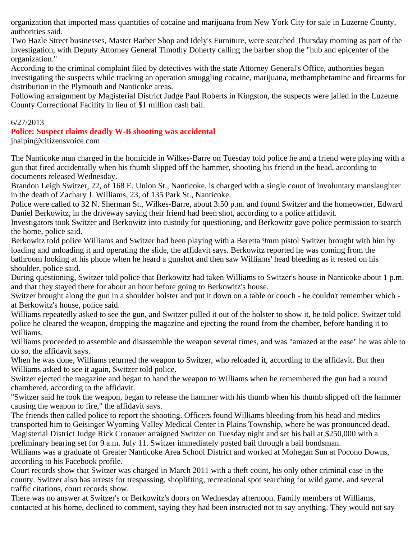organization that imported mass quantities of cocaine and marijuana from New York City for sale in Luzerne County, authorities said.

Two Hazle Street businesses, Master Barber Shop and Idely's Furniture, were searched Thursday morning as part of the investigation, with Deputy Attorney General Timothy Doherty calling the barber shop the "hub and epicenter of the organization."

According to the criminal complaint filed by detectives with the state Attorney General's Office, authorities began investigating the suspects while tracking an operation smuggling cocaine, marijuana, methamphetamine and firearms for distribution in the Plymouth and Nanticoke areas.

Following arraignment by Magisterial District Judge Paul Roberts in Kingston, the suspects were jailed in the Luzerne County Correctional Facility in lieu of \$1 million cash bail.

## 6/27/2013

**Police: Suspect claims deadly W-B shooting was accidental** jhalpin@citizensvoice.com

The Nanticoke man charged in the homicide in Wilkes-Barre on Tuesday told police he and a friend were playing with a gun that fired accidentally when his thumb slipped off the hammer, shooting his friend in the head, according to

documents released Wednesday.

Brandon Leigh Switzer, 22, of 168 E. Union St., Nanticoke, is charged with a single count of involuntary manslaughter in the death of Zachary J. Williams, 23, of 135 Park St., Nanticoke.

Police were called to 32 N. Sherman St., Wilkes-Barre, about 3:50 p.m. and found Switzer and the homeowner, Edward Daniel Berkowitz, in the driveway saying their friend had been shot, according to a police affidavit.

Investigators took Switzer and Berkowitz into custody for questioning, and Berkowitz gave police permission to search the home, police said.

Berkowitz told police Williams and Switzer had been playing with a Beretta 9mm pistol Switzer brought with him by loading and unloading it and operating the slide, the affidavit says. Berkowitz reported he was coming from the bathroom looking at his phone when he heard a gunshot and then saw Williams' head bleeding as it rested on his shoulder, police said.

During questioning, Switzer told police that Berkowitz had taken Williams to Switzer's house in Nanticoke about 1 p.m. and that they stayed there for about an hour before going to Berkowitz's house.

Switzer brought along the gun in a shoulder holster and put it down on a table or couch - he couldn't remember which at Berkowitz's house, police said.

Williams repeatedly asked to see the gun, and Switzer pulled it out of the holster to show it, he told police. Switzer told police he cleared the weapon, dropping the magazine and ejecting the round from the chamber, before handing it to Williams.

Williams proceeded to assemble and disassemble the weapon several times, and was "amazed at the ease" he was able to do so, the affidavit says.

When he was done, Williams returned the weapon to Switzer, who reloaded it, according to the affidavit. But then Williams asked to see it again, Switzer told police.

Switzer ejected the magazine and began to hand the weapon to Williams when he remembered the gun had a round chambered, according to the affidavit.

"Switzer said he took the weapon, began to release the hammer with his thumb when his thumb slipped off the hammer causing the weapon to fire," the affidavit says.

The friends then called police to report the shooting. Officers found Williams bleeding from his head and medics transported him to Geisinger Wyoming Valley Medical Center in Plains Township, where he was pronounced dead. Magisterial District Judge Rick Cronauer arraigned Switzer on Tuesday night and set his bail at \$250,000 with a preliminary hearing set for 9 a.m. July 11. Switzer immediately posted bail through a bail bondsman.

Williams was a graduate of Greater Nanticoke Area School District and worked at Mohegan Sun at Pocono Downs, according to his Facebook profile.

Court records show that Switzer was charged in March 2011 with a theft count, his only other criminal case in the county. Switzer also has arrests for trespassing, shoplifting, recreational spot searching for wild game, and several traffic citations, court records show.

There was no answer at Switzer's or Berkowitz's doors on Wednesday afternoon. Family members of Williams, contacted at his home, declined to comment, saying they had been instructed not to say anything. They would not say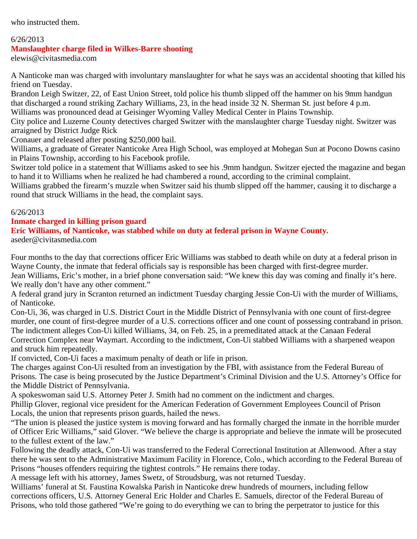who instructed them.

### 6/26/2013

### **Manslaughter charge filed in Wilkes-Barre shooting**

elewis@civitasmedia.com

A Nanticoke man was charged with involuntary manslaughter for what he says was an accidental shooting that killed his friend on Tuesday.

Brandon Leigh Switzer, 22, of East Union Street, told police his thumb slipped off the hammer on his 9mm handgun that discharged a round striking Zachary Williams, 23, in the head inside 32 N. Sherman St. just before 4 p.m. Williams was pronounced dead at Geisinger Wyoming Valley Medical Center in Plains Township.

City police and Luzerne County detectives charged Switzer with the manslaughter charge Tuesday night. Switzer was arraigned by District Judge Rick

Cronauer and released after posting \$250,000 bail.

Williams, a graduate of Greater Nanticoke Area High School, was employed at Mohegan Sun at Pocono Downs casino in Plains Township, according to his Facebook profile.

Switzer told police in a statement that Williams asked to see his .9mm handgun. Switzer ejected the magazine and began to hand it to Williams when he realized he had chambered a round, according to the criminal complaint.

Williams grabbed the firearm's muzzle when Switzer said his thumb slipped off the hammer, causing it to discharge a round that struck Williams in the head, the complaint says.

### 6/26/2013

### **Inmate charged in killing prison guard**

### **Eric Williams, of Nanticoke, was stabbed while on duty at federal prison in Wayne County.**

aseder@civitasmedia.com

Four months to the day that corrections officer Eric Williams was stabbed to death while on duty at a federal prison in Wayne County, the inmate that federal officials say is responsible has been charged with first-degree murder. Jean Williams, Eric's mother, in a brief phone conversation said: "We knew this day was coming and finally it's here.

We really don't have any other comment."

A federal grand jury in Scranton returned an indictment Tuesday charging Jessie Con-Ui with the murder of Williams, of Nanticoke.

Con-Ui, 36, was charged in U.S. District Court in the Middle District of Pennsylvania with one count of first-degree murder, one count of first-degree murder of a U.S. corrections officer and one count of possessing contraband in prison. The indictment alleges Con-Ui killed Williams, 34, on Feb. 25, in a premeditated attack at the Canaan Federal Correction Complex near Waymart. According to the indictment, Con-Ui stabbed Williams with a sharpened weapon and struck him repeatedly.

If convicted, Con-Ui faces a maximum penalty of death or life in prison.

The charges against Con-Ui resulted from an investigation by the FBI, with assistance from the Federal Bureau of Prisons. The case is being prosecuted by the Justice Department's Criminal Division and the U.S. Attorney's Office for the Middle District of Pennsylvania.

A spokeswoman said U.S. Attorney Peter J. Smith had no comment on the indictment and charges.

Phillip Glover, regional vice president for the American Federation of Government Employees Council of Prison Locals, the union that represents prison guards, hailed the news.

"The union is pleased the justice system is moving forward and has formally charged the inmate in the horrible murder of Officer Eric Williams," said Glover. "We believe the charge is appropriate and believe the inmate will be prosecuted to the fullest extent of the law."

Following the deadly attack, Con-Ui was transferred to the Federal Correctional Institution at Allenwood. After a stay there he was sent to the Administrative Maximum Facility in Florence, Colo., which according to the Federal Bureau of Prisons "houses offenders requiring the tightest controls." He remains there today.

A message left with his attorney, James Swetz, of Stroudsburg, was not returned Tuesday.

Williams' funeral at St. Faustina Kowalska Parish in Nanticoke drew hundreds of mourners, including fellow corrections officers, U.S. Attorney General Eric Holder and Charles E. Samuels, director of the Federal Bureau of Prisons, who told those gathered "We're going to do everything we can to bring the perpetrator to justice for this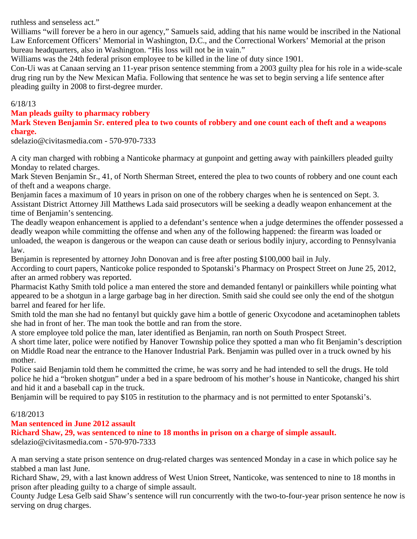ruthless and senseless act."

Williams "will forever be a hero in our agency," Samuels said, adding that his name would be inscribed in the National Law Enforcement Officers' Memorial in Washington, D.C., and the Correctional Workers' Memorial at the prison bureau headquarters, also in Washington. "His loss will not be in vain."

Williams was the 24th federal prison employee to be killed in the line of duty since 1901.

Con-Ui was at Canaan serving an 11-year prison sentence stemming from a 2003 guilty plea for his role in a wide-scale drug ring run by the New Mexican Mafia. Following that sentence he was set to begin serving a life sentence after pleading guilty in 2008 to first-degree murder.

### 6/18/13

### **Man pleads guilty to pharmacy robbery**

**Mark Steven Benjamin Sr. entered plea to two counts of robbery and one count each of theft and a weapons charge.**

sdelazio@civitasmedia.com - 570-970-7333

A city man charged with robbing a Nanticoke pharmacy at gunpoint and getting away with painkillers pleaded guilty Monday to related charges.

Mark Steven Benjamin Sr., 41, of North Sherman Street, entered the plea to two counts of robbery and one count each of theft and a weapons charge.

Benjamin faces a maximum of 10 years in prison on one of the robbery charges when he is sentenced on Sept. 3. Assistant District Attorney Jill Matthews Lada said prosecutors will be seeking a deadly weapon enhancement at the time of Benjamin's sentencing.

The deadly weapon enhancement is applied to a defendant's sentence when a judge determines the offender possessed a deadly weapon while committing the offense and when any of the following happened: the firearm was loaded or unloaded, the weapon is dangerous or the weapon can cause death or serious bodily injury, according to Pennsylvania law.

Benjamin is represented by attorney John Donovan and is free after posting \$100,000 bail in July.

According to court papers, Nanticoke police responded to Spotanski's Pharmacy on Prospect Street on June 25, 2012, after an armed robbery was reported.

Pharmacist Kathy Smith told police a man entered the store and demanded fentanyl or painkillers while pointing what appeared to be a shotgun in a large garbage bag in her direction. Smith said she could see only the end of the shotgun barrel and feared for her life.

Smith told the man she had no fentanyl but quickly gave him a bottle of generic Oxycodone and acetaminophen tablets she had in front of her. The man took the bottle and ran from the store.

A store employee told police the man, later identified as Benjamin, ran north on South Prospect Street.

A short time later, police were notified by Hanover Township police they spotted a man who fit Benjamin's description on Middle Road near the entrance to the Hanover Industrial Park. Benjamin was pulled over in a truck owned by his mother.

Police said Benjamin told them he committed the crime, he was sorry and he had intended to sell the drugs. He told police he hid a "broken shotgun" under a bed in a spare bedroom of his mother's house in Nanticoke, changed his shirt and hid it and a baseball cap in the truck.

Benjamin will be required to pay \$105 in restitution to the pharmacy and is not permitted to enter Spotanski's.

# 6/18/2013

## **Man sentenced in June 2012 assault**

**Richard Shaw, 29, was sentenced to nine to 18 months in prison on a charge of simple assault.** sdelazio@civitasmedia.com - 570-970-7333

A man serving a state prison sentence on drug-related charges was sentenced Monday in a case in which police say he stabbed a man last June.

Richard Shaw, 29, with a last known address of West Union Street, Nanticoke, was sentenced to nine to 18 months in prison after pleading guilty to a charge of simple assault.

County Judge Lesa Gelb said Shaw's sentence will run concurrently with the two-to-four-year prison sentence he now is serving on drug charges.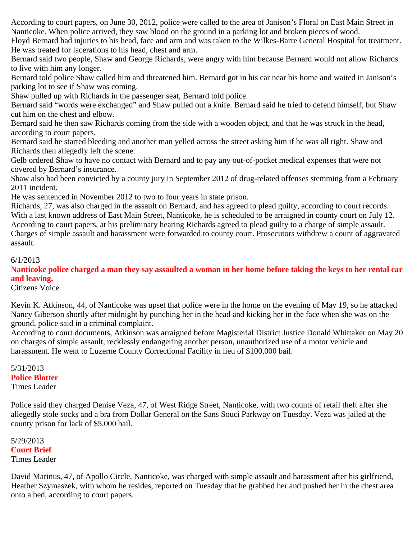According to court papers, on June 30, 2012, police were called to the area of Janison's Floral on East Main Street in Nanticoke. When police arrived, they saw blood on the ground in a parking lot and broken pieces of wood.

Floyd Bernard had injuries to his head, face and arm and was taken to the Wilkes-Barre General Hospital for treatment. He was treated for lacerations to his head, chest and arm.

Bernard said two people, Shaw and George Richards, were angry with him because Bernard would not allow Richards to live with him any longer.

Bernard told police Shaw called him and threatened him. Bernard got in his car near his home and waited in Janison's parking lot to see if Shaw was coming.

Shaw pulled up with Richards in the passenger seat, Bernard told police.

Bernard said "words were exchanged" and Shaw pulled out a knife. Bernard said he tried to defend himself, but Shaw cut him on the chest and elbow.

Bernard said he then saw Richards coming from the side with a wooden object, and that he was struck in the head, according to court papers.

Bernard said he started bleeding and another man yelled across the street asking him if he was all right. Shaw and Richards then allegedly left the scene.

Gelb ordered Shaw to have no contact with Bernard and to pay any out-of-pocket medical expenses that were not covered by Bernard's insurance.

Shaw also had been convicted by a county jury in September 2012 of drug-related offenses stemming from a February 2011 incident.

He was sentenced in November 2012 to two to four years in state prison.

Richards, 27, was also charged in the assault on Bernard, and has agreed to plead guilty, according to court records. With a last known address of East Main Street, Nanticoke, he is scheduled to be arraigned in county court on July 12. According to court papers, at his preliminary hearing Richards agreed to plead guilty to a charge of simple assault. Charges of simple assault and harassment were forwarded to county court. Prosecutors withdrew a count of aggravated assault.

6/1/2013

**Nanticoke police charged a man they say assaulted a woman in her home before taking the keys to her rental car and leaving.**

Citizens Voice

Kevin K. Atkinson, 44, of Nanticoke was upset that police were in the home on the evening of May 19, so he attacked Nancy Giberson shortly after midnight by punching her in the head and kicking her in the face when she was on the ground, police said in a criminal complaint.

According to court documents, Atkinson was arraigned before Magisterial District Justice Donald Whittaker on May 20 on charges of simple assault, recklessly endangering another person, unauthorized use of a motor vehicle and harassment. He went to Luzerne County Correctional Facility in lieu of \$100,000 bail.

5/31/2013 **Police Blotter** Times Leader

Police said they charged Denise Veza, 47, of West Ridge Street, Nanticoke, with two counts of retail theft after she allegedly stole socks and a bra from Dollar General on the Sans Souci Parkway on Tuesday. Veza was jailed at the county prison for lack of \$5,000 bail.

5/29/2013 **Court Brief** Times Leader

David Marinus, 47, of Apollo Circle, Nanticoke, was charged with simple assault and harassment after his girlfriend, Heather Szymaszek, with whom he resides, reported on Tuesday that he grabbed her and pushed her in the chest area onto a bed, according to court papers.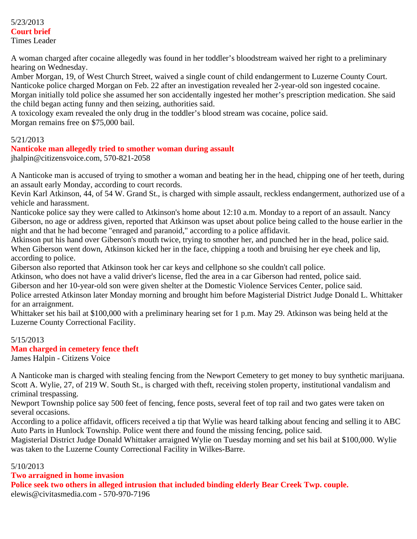### 5/23/2013 **Court brief** Times Leader

A woman charged after cocaine allegedly was found in her toddler's bloodstream waived her right to a preliminary hearing on Wednesday.

Amber Morgan, 19, of West Church Street, waived a single count of child endangerment to Luzerne County Court. Nanticoke police charged Morgan on Feb. 22 after an investigation revealed her 2-year-old son ingested cocaine. Morgan initially told police she assumed her son accidentally ingested her mother's prescription medication. She said the child began acting funny and then seizing, authorities said.

A toxicology exam revealed the only drug in the toddler's blood stream was cocaine, police said. Morgan remains free on \$75,000 bail.

### 5/21/2013

## **Nanticoke man allegedly tried to smother woman during assault**

jhalpin@citizensvoice.com, 570-821-2058

A Nanticoke man is accused of trying to smother a woman and beating her in the head, chipping one of her teeth, during an assault early Monday, according to court records.

Kevin Karl Atkinson, 44, of 54 W. Grand St., is charged with simple assault, reckless endangerment, authorized use of a vehicle and harassment.

Nanticoke police say they were called to Atkinson's home about 12:10 a.m. Monday to a report of an assault. Nancy Giberson, no age or address given, reported that Atkinson was upset about police being called to the house earlier in the night and that he had become "enraged and paranoid," according to a police affidavit.

Atkinson put his hand over Giberson's mouth twice, trying to smother her, and punched her in the head, police said. When Giberson went down, Atkinson kicked her in the face, chipping a tooth and bruising her eye cheek and lip, according to police.

Giberson also reported that Atkinson took her car keys and cellphone so she couldn't call police.

Atkinson, who does not have a valid driver's license, fled the area in a car Giberson had rented, police said.

Giberson and her 10-year-old son were given shelter at the Domestic Violence Services Center, police said.

Police arrested Atkinson later Monday morning and brought him before Magisterial District Judge Donald L. Whittaker for an arraignment.

Whittaker set his bail at \$100,000 with a preliminary hearing set for 1 p.m. May 29. Atkinson was being held at the Luzerne County Correctional Facility.

## 5/15/2013

## **Man charged in cemetery fence theft**

James Halpin - Citizens Voice

A Nanticoke man is charged with stealing fencing from the Newport Cemetery to get money to buy synthetic marijuana. Scott A. Wylie, 27, of 219 W. South St., is charged with theft, receiving stolen property, institutional vandalism and criminal trespassing.

Newport Township police say 500 feet of fencing, fence posts, several feet of top rail and two gates were taken on several occasions.

According to a police affidavit, officers received a tip that Wylie was heard talking about fencing and selling it to ABC Auto Parts in Hunlock Township. Police went there and found the missing fencing, police said.

Magisterial District Judge Donald Whittaker arraigned Wylie on Tuesday morning and set his bail at \$100,000. Wylie was taken to the Luzerne County Correctional Facility in Wilkes-Barre.

## 5/10/2013

**Two arraigned in home invasion Police seek two others in alleged intrusion that included binding elderly Bear Creek Twp. couple.** elewis@civitasmedia.com - 570-970-7196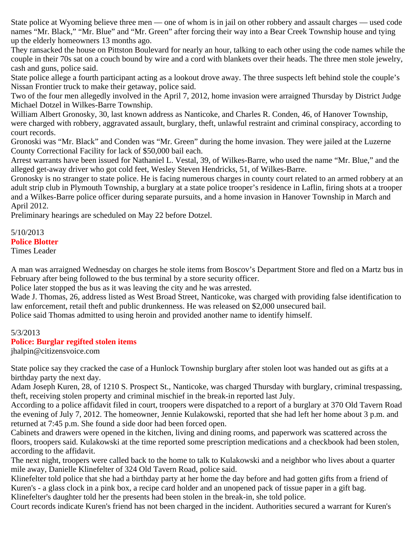State police at Wyoming believe three men — one of whom is in jail on other robbery and assault charges — used code names "Mr. Black," "Mr. Blue" and "Mr. Green" after forcing their way into a Bear Creek Township house and tying up the elderly homeowners 13 months ago.

They ransacked the house on Pittston Boulevard for nearly an hour, talking to each other using the code names while the couple in their 70s sat on a couch bound by wire and a cord with blankets over their heads. The three men stole jewelry, cash and guns, police said.

State police allege a fourth participant acting as a lookout drove away. The three suspects left behind stole the couple's Nissan Frontier truck to make their getaway, police said.

Two of the four men allegedly involved in the April 7, 2012, home invasion were arraigned Thursday by District Judge Michael Dotzel in Wilkes-Barre Township.

William Albert Gronosky, 30, last known address as Nanticoke, and Charles R. Conden, 46, of Hanover Township, were charged with robbery, aggravated assault, burglary, theft, unlawful restraint and criminal conspiracy, according to court records.

Gronoski was "Mr. Black" and Conden was "Mr. Green" during the home invasion. They were jailed at the Luzerne County Correctional Facility for lack of \$50,000 bail each.

Arrest warrants have been issued for Nathaniel L. Vestal, 39, of Wilkes-Barre, who used the name "Mr. Blue," and the alleged get-away driver who got cold feet, Wesley Steven Hendricks, 51, of Wilkes-Barre.

Gronosky is no stranger to state police. He is facing numerous charges in county court related to an armed robbery at an adult strip club in Plymouth Township, a burglary at a state police trooper's residence in Laflin, firing shots at a trooper and a Wilkes-Barre police officer during separate pursuits, and a home invasion in Hanover Township in March and April 2012.

Preliminary hearings are scheduled on May 22 before Dotzel.

5/10/2013 **Police Blotter** Times Leader

A man was arraigned Wednesday on charges he stole items from Boscov's Department Store and fled on a Martz bus in February after being followed to the bus terminal by a store security officer.

Police later stopped the bus as it was leaving the city and he was arrested.

Wade J. Thomas, 26, address listed as West Broad Street, Nanticoke, was charged with providing false identification to law enforcement, retail theft and public drunkenness. He was released on \$2,000 unsecured bail.

Police said Thomas admitted to using heroin and provided another name to identify himself.

### 5/3/2013

### **Police: Burglar regifted stolen items**

jhalpin@citizensvoice.com

State police say they cracked the case of a Hunlock Township burglary after stolen loot was handed out as gifts at a birthday party the next day.

Adam Joseph Kuren, 28, of 1210 S. Prospect St., Nanticoke, was charged Thursday with burglary, criminal trespassing, theft, receiving stolen property and criminal mischief in the break-in reported last July.

According to a police affidavit filed in court, troopers were dispatched to a report of a burglary at 370 Old Tavern Road the evening of July 7, 2012. The homeowner, Jennie Kulakowski, reported that she had left her home about 3 p.m. and returned at 7:45 p.m. She found a side door had been forced open.

Cabinets and drawers were opened in the kitchen, living and dining rooms, and paperwork was scattered across the floors, troopers said. Kulakowski at the time reported some prescription medications and a checkbook had been stolen, according to the affidavit.

The next night, troopers were called back to the home to talk to Kulakowski and a neighbor who lives about a quarter mile away, Danielle Klinefelter of 324 Old Tavern Road, police said.

Klinefelter told police that she had a birthday party at her home the day before and had gotten gifts from a friend of Kuren's - a glass clock in a pink box, a recipe card holder and an unopened pack of tissue paper in a gift bag.

Klinefelter's daughter told her the presents had been stolen in the break-in, she told police.

Court records indicate Kuren's friend has not been charged in the incident. Authorities secured a warrant for Kuren's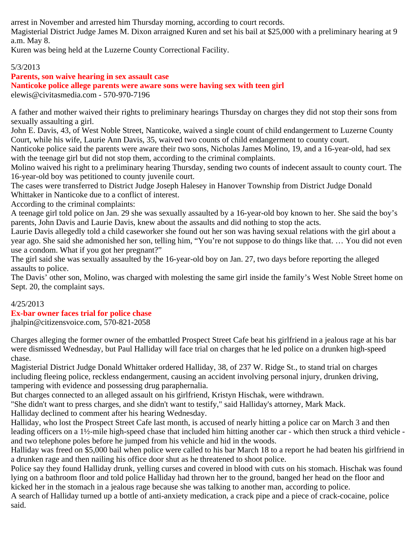arrest in November and arrested him Thursday morning, according to court records.

Magisterial District Judge James M. Dixon arraigned Kuren and set his bail at \$25,000 with a preliminary hearing at 9 a.m. May 8.

Kuren was being held at the Luzerne County Correctional Facility.

# 5/3/2013

## **Parents, son waive hearing in sex assault case Nanticoke police allege parents were aware sons were having sex with teen girl** elewis@civitasmedia.com - 570-970-7196

A father and mother waived their rights to preliminary hearings Thursday on charges they did not stop their sons from sexually assaulting a girl.

John E. Davis, 43, of West Noble Street, Nanticoke, waived a single count of child endangerment to Luzerne County Court, while his wife, Laurie Ann Davis, 35, waived two counts of child endangerment to county court.

Nanticoke police said the parents were aware their two sons, Nicholas James Molino, 19, and a 16-year-old, had sex with the teenage girl but did not stop them, according to the criminal complaints.

Molino waived his right to a preliminary hearing Thursday, sending two counts of indecent assault to county court. The 16-year-old boy was petitioned to county juvenile court.

The cases were transferred to District Judge Joseph Halesey in Hanover Township from District Judge Donald Whittaker in Nanticoke due to a conflict of interest.

According to the criminal complaints:

A teenage girl told police on Jan. 29 she was sexually assaulted by a 16-year-old boy known to her. She said the boy's parents, John Davis and Laurie Davis, knew about the assaults and did nothing to stop the acts.

Laurie Davis allegedly told a child caseworker she found out her son was having sexual relations with the girl about a year ago. She said she admonished her son, telling him, "You're not suppose to do things like that. … You did not even use a condom. What if you got her pregnant?"

The girl said she was sexually assaulted by the 16-year-old boy on Jan. 27, two days before reporting the alleged assaults to police.

The Davis' other son, Molino, was charged with molesting the same girl inside the family's West Noble Street home on Sept. 20, the complaint says.

# 4/25/2013

# **Ex-bar owner faces trial for police chase**

jhalpin@citizensvoice.com, 570-821-2058

Charges alleging the former owner of the embattled Prospect Street Cafe beat his girlfriend in a jealous rage at his bar were dismissed Wednesday, but Paul Halliday will face trial on charges that he led police on a drunken high-speed chase.

Magisterial District Judge Donald Whittaker ordered Halliday, 38, of 237 W. Ridge St., to stand trial on charges including fleeing police, reckless endangerment, causing an accident involving personal injury, drunken driving, tampering with evidence and possessing drug paraphernalia.

But charges connected to an alleged assault on his girlfriend, Kristyn Hischak, were withdrawn.

"She didn't want to press charges, and she didn't want to testify," said Halliday's attorney, Mark Mack.

Halliday declined to comment after his hearing Wednesday.

Halliday, who lost the Prospect Street Cafe last month, is accused of nearly hitting a police car on March 3 and then leading officers on a 1½-mile high-speed chase that included him hitting another car - which then struck a third vehicle and two telephone poles before he jumped from his vehicle and hid in the woods.

Halliday was freed on \$5,000 bail when police were called to his bar March 18 to a report he had beaten his girlfriend in a drunken rage and then nailing his office door shut as he threatened to shoot police.

Police say they found Halliday drunk, yelling curses and covered in blood with cuts on his stomach. Hischak was found lying on a bathroom floor and told police Halliday had thrown her to the ground, banged her head on the floor and kicked her in the stomach in a jealous rage because she was talking to another man, according to police.

A search of Halliday turned up a bottle of anti-anxiety medication, a crack pipe and a piece of crack-cocaine, police said.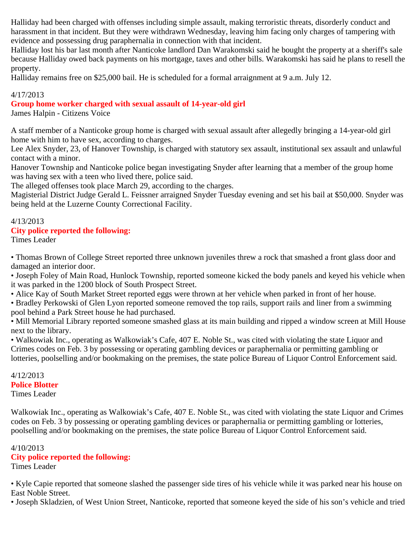Halliday had been charged with offenses including simple assault, making terroristic threats, disorderly conduct and harassment in that incident. But they were withdrawn Wednesday, leaving him facing only charges of tampering with evidence and possessing drug paraphernalia in connection with that incident.

Halliday lost his bar last month after Nanticoke landlord Dan Warakomski said he bought the property at a sheriff's sale because Halliday owed back payments on his mortgage, taxes and other bills. Warakomski has said he plans to resell the property.

Halliday remains free on \$25,000 bail. He is scheduled for a formal arraignment at 9 a.m. July 12.

## 4/17/2013

## **Group home worker charged with sexual assault of 14-year-old girl**

James Halpin - Citizens Voice

A staff member of a Nanticoke group home is charged with sexual assault after allegedly bringing a 14-year-old girl home with him to have sex, according to charges.

Lee Alex Snyder, 23, of Hanover Township, is charged with statutory sex assault, institutional sex assault and unlawful contact with a minor.

Hanover Township and Nanticoke police began investigating Snyder after learning that a member of the group home was having sex with a teen who lived there, police said.

The alleged offenses took place March 29, according to the charges.

Magisterial District Judge Gerald L. Feissner arraigned Snyder Tuesday evening and set his bail at \$50,000. Snyder was being held at the Luzerne County Correctional Facility.

# 4/13/2013

# **City police reported the following:**

Times Leader

• Thomas Brown of College Street reported three unknown juveniles threw a rock that smashed a front glass door and damaged an interior door.

• Joseph Foley of Main Road, Hunlock Township, reported someone kicked the body panels and keyed his vehicle when it was parked in the 1200 block of South Prospect Street.

• Alice Kay of South Market Street reported eggs were thrown at her vehicle when parked in front of her house.

• Bradley Perkowski of Glen Lyon reported someone removed the top rails, support rails and liner from a swimming pool behind a Park Street house he had purchased.

• Mill Memorial Library reported someone smashed glass at its main building and ripped a window screen at Mill House next to the library.

• Walkowiak Inc., operating as Walkowiak's Cafe, 407 E. Noble St., was cited with violating the state Liquor and Crimes codes on Feb. 3 by possessing or operating gambling devices or paraphernalia or permitting gambling or lotteries, poolselling and/or bookmaking on the premises, the state police Bureau of Liquor Control Enforcement said.

#### 4/12/2013 **Police Blotter**

Times Leader

Walkowiak Inc., operating as Walkowiak's Cafe, 407 E. Noble St., was cited with violating the state Liquor and Crimes codes on Feb. 3 by possessing or operating gambling devices or paraphernalia or permitting gambling or lotteries, poolselling and/or bookmaking on the premises, the state police Bureau of Liquor Control Enforcement said.

## 4/10/2013

# **City police reported the following:**

Times Leader

• Kyle Capie reported that someone slashed the passenger side tires of his vehicle while it was parked near his house on East Noble Street.

• Joseph Skladzien, of West Union Street, Nanticoke, reported that someone keyed the side of his son's vehicle and tried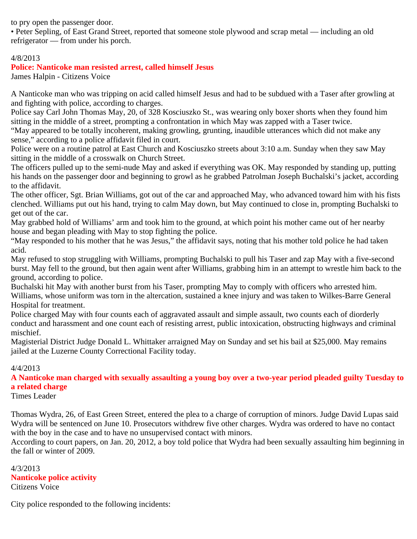to pry open the passenger door.

• Peter Sepling, of East Grand Street, reported that someone stole plywood and scrap metal — including an old refrigerator — from under his porch.

### 4/8/2013

## **Police: Nanticoke man resisted arrest, called himself Jesus**

James Halpin - Citizens Voice

A Nanticoke man who was tripping on acid called himself Jesus and had to be subdued with a Taser after growling at and fighting with police, according to charges.

Police say Carl John Thomas May, 20, of 328 Kosciuszko St., was wearing only boxer shorts when they found him sitting in the middle of a street, prompting a confrontation in which May was zapped with a Taser twice.

"May appeared to be totally incoherent, making growling, grunting, inaudible utterances which did not make any sense," according to a police affidavit filed in court.

Police were on a routine patrol at East Church and Kosciuszko streets about 3:10 a.m. Sunday when they saw May sitting in the middle of a crosswalk on Church Street.

The officers pulled up to the semi-nude May and asked if everything was OK. May responded by standing up, putting his hands on the passenger door and beginning to growl as he grabbed Patrolman Joseph Buchalski's jacket, according to the affidavit.

The other officer, Sgt. Brian Williams, got out of the car and approached May, who advanced toward him with his fists clenched. Williams put out his hand, trying to calm May down, but May continued to close in, prompting Buchalski to get out of the car.

May grabbed hold of Williams' arm and took him to the ground, at which point his mother came out of her nearby house and began pleading with May to stop fighting the police.

"May responded to his mother that he was Jesus," the affidavit says, noting that his mother told police he had taken acid.

May refused to stop struggling with Williams, prompting Buchalski to pull his Taser and zap May with a five-second burst. May fell to the ground, but then again went after Williams, grabbing him in an attempt to wrestle him back to the ground, according to police.

Buchalski hit May with another burst from his Taser, prompting May to comply with officers who arrested him. Williams, whose uniform was torn in the altercation, sustained a knee injury and was taken to Wilkes-Barre General Hospital for treatment.

Police charged May with four counts each of aggravated assault and simple assault, two counts each of diorderly conduct and harassment and one count each of resisting arrest, public intoxication, obstructing highways and criminal mischief.

Magisterial District Judge Donald L. Whittaker arraigned May on Sunday and set his bail at \$25,000. May remains jailed at the Luzerne County Correctional Facility today.

### 4/4/2013

**A Nanticoke man charged with sexually assaulting a young boy over a two-year period pleaded guilty Tuesday to a related charge**

Times Leader

Thomas Wydra, 26, of East Green Street, entered the plea to a charge of corruption of minors. Judge David Lupas said Wydra will be sentenced on June 10. Prosecutors withdrew five other charges. Wydra was ordered to have no contact with the boy in the case and to have no unsupervised contact with minors.

According to court papers, on Jan. 20, 2012, a boy told police that Wydra had been sexually assaulting him beginning in the fall or winter of 2009.

4/3/2013 **Nanticoke police activity** Citizens Voice

City police responded to the following incidents: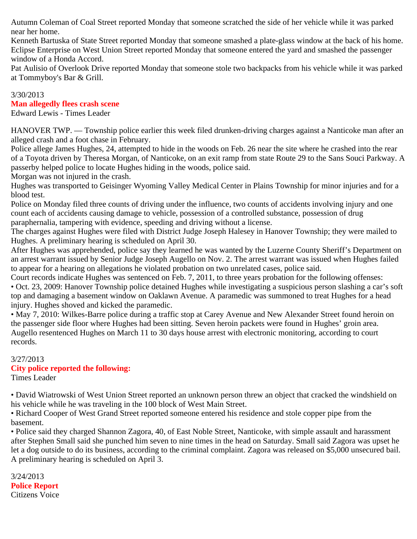Autumn Coleman of Coal Street reported Monday that someone scratched the side of her vehicle while it was parked near her home.

Kenneth Bartuska of State Street reported Monday that someone smashed a plate-glass window at the back of his home. Eclipse Enterprise on West Union Street reported Monday that someone entered the yard and smashed the passenger window of a Honda Accord.

Pat Aulisio of Overlook Drive reported Monday that someone stole two backpacks from his vehicle while it was parked at Tommyboy's Bar & Grill.

## 3/30/2013

## **Man allegedly flees crash scene**

Edward Lewis - Times Leader

HANOVER TWP. — Township police earlier this week filed drunken-driving charges against a Nanticoke man after an alleged crash and a foot chase in February.

Police allege James Hughes, 24, attempted to hide in the woods on Feb. 26 near the site where he crashed into the rear of a Toyota driven by Theresa Morgan, of Nanticoke, on an exit ramp from state Route 29 to the Sans Souci Parkway. A passerby helped police to locate Hughes hiding in the woods, police said.

Morgan was not injured in the crash.

Hughes was transported to Geisinger Wyoming Valley Medical Center in Plains Township for minor injuries and for a blood test.

Police on Monday filed three counts of driving under the influence, two counts of accidents involving injury and one count each of accidents causing damage to vehicle, possession of a controlled substance, possession of drug paraphernalia, tampering with evidence, speeding and driving without a license.

The charges against Hughes were filed with District Judge Joseph Halesey in Hanover Township; they were mailed to Hughes. A preliminary hearing is scheduled on April 30.

After Hughes was apprehended, police say they learned he was wanted by the Luzerne County Sheriff's Department on an arrest warrant issued by Senior Judge Joseph Augello on Nov. 2. The arrest warrant was issued when Hughes failed to appear for a hearing on allegations he violated probation on two unrelated cases, police said.

Court records indicate Hughes was sentenced on Feb. 7, 2011, to three years probation for the following offenses: • Oct. 23, 2009: Hanover Township police detained Hughes while investigating a suspicious person slashing a car's soft top and damaging a basement window on Oaklawn Avenue. A paramedic was summoned to treat Hughes for a head injury. Hughes shoved and kicked the paramedic.

• May 7, 2010: Wilkes-Barre police during a traffic stop at Carey Avenue and New Alexander Street found heroin on the passenger side floor where Hughes had been sitting. Seven heroin packets were found in Hughes' groin area. Augello resentenced Hughes on March 11 to 30 days house arrest with electronic monitoring, according to court records.

#### 3/27/2013 **City police reported the following:** Times Leader

• David Wiatrowski of West Union Street reported an unknown person threw an object that cracked the windshield on his vehicle while he was traveling in the 100 block of West Main Street.

• Richard Cooper of West Grand Street reported someone entered his residence and stole copper pipe from the basement.

• Police said they charged Shannon Zagora, 40, of East Noble Street, Nanticoke, with simple assault and harassment after Stephen Small said she punched him seven to nine times in the head on Saturday. Small said Zagora was upset he let a dog outside to do its business, according to the criminal complaint. Zagora was released on \$5,000 unsecured bail. A preliminary hearing is scheduled on April 3.

3/24/2013 **Police Report**  Citizens Voice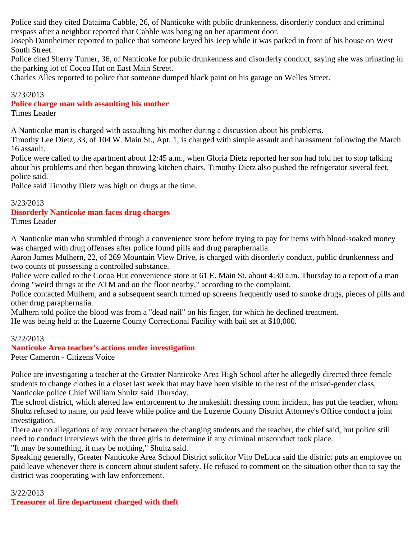Police said they cited Dataima Cabble, 26, of Nanticoke with public drunkenness, disorderly conduct and criminal trespass after a neighbor reported that Cabble was banging on her apartment door.

Joseph Dannheimer reported to police that someone keyed his Jeep while it was parked in front of his house on West South Street.

Police cited Sherry Turner, 36, of Nanticoke for public drunkenness and disorderly conduct, saying she was urinating in the parking lot of Cocoa Hut on East Main Street.

Charles Alles reported to police that someone dumped black paint on his garage on Welles Street.

### 3/23/2013

### **Police charge man with assaulting his mother**

Times Leader

A Nanticoke man is charged with assaulting his mother during a discussion about his problems.

Timothy Lee Dietz, 33, of 104 W. Main St., Apt. 1, is charged with simple assault and harassment following the March 16 assault.

Police were called to the apartment about 12:45 a.m., when Gloria Dietz reported her son had told her to stop talking about his problems and then began throwing kitchen chairs. Timothy Dietz also pushed the refrigerator several feet, police said.

Police said Timothy Dietz was high on drugs at the time.

### 3/23/2013

## **Disorderly Nanticoke man faces drug charges**

Times Leader

A Nanticoke man who stumbled through a convenience store before trying to pay for items with blood-soaked money was charged with drug offenses after police found pills and drug paraphernalia.

Aaron James Mulhern, 22, of 269 Mountain View Drive, is charged with disorderly conduct, public drunkenness and two counts of possessing a controlled substance.

Police were called to the Cocoa Hut convenience store at 61 E. Main St. about 4:30 a.m. Thursday to a report of a man doing "weird things at the ATM and on the floor nearby," according to the complaint.

Police contacted Mulhern, and a subsequent search turned up screens frequently used to smoke drugs, pieces of pills and other drug paraphernalia.

Mulhern told police the blood was from a "dead nail" on his finger, for which he declined treatment.

He was being held at the Luzerne County Correctional Facility with bail set at \$10,000.

### 3/22/2013

# **Nanticoke Area teacher's actions under investigation**

Peter Cameron - Citizens Voice

Police are investigating a teacher at the Greater Nanticoke Area High School after he allegedly directed three female students to change clothes in a closet last week that may have been visible to the rest of the mixed-gender class, Nanticoke police Chief William Shultz said Thursday.

The school district, which alerted law enforcement to the makeshift dressing room incident, has put the teacher, whom Shultz refused to name, on paid leave while police and the Luzerne County District Attorney's Office conduct a joint investigation.

There are no allegations of any contact between the changing students and the teacher, the chief said, but police still need to conduct interviews with the three girls to determine if any criminal misconduct took place.

"It may be something, it may be nothing," Shultz said.|

Speaking generally, Greater Nanticoke Area School District solicitor Vito DeLuca said the district puts an employee on paid leave whenever there is concern about student safety. He refused to comment on the situation other than to say the district was cooperating with law enforcement.

## 3/22/2013 **Treasurer of fire department charged with theft**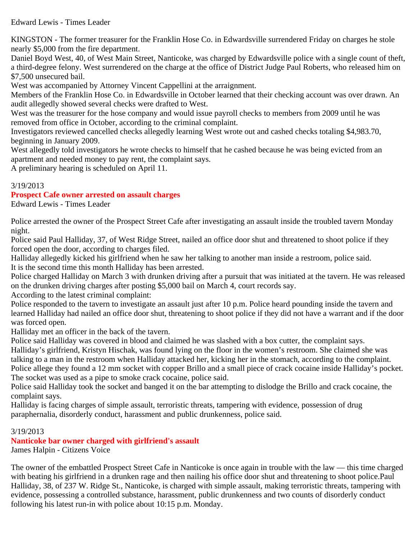## Edward Lewis - Times Leader

KINGSTON - The former treasurer for the Franklin Hose Co. in Edwardsville surrendered Friday on charges he stole nearly \$5,000 from the fire department.

Daniel Boyd West, 40, of West Main Street, Nanticoke, was charged by Edwardsville police with a single count of theft, a third-degree felony. West surrendered on the charge at the office of District Judge Paul Roberts, who released him on \$7,500 unsecured bail.

West was accompanied by Attorney Vincent Cappellini at the arraignment.

Members of the Franklin Hose Co. in Edwardsville in October learned that their checking account was over drawn. An audit allegedly showed several checks were drafted to West.

West was the treasurer for the hose company and would issue payroll checks to members from 2009 until he was removed from office in October, according to the criminal complaint.

Investigators reviewed cancelled checks allegedly learning West wrote out and cashed checks totaling \$4,983.70, beginning in January 2009.

West allegedly told investigators he wrote checks to himself that he cashed because he was being evicted from an apartment and needed money to pay rent, the complaint says.

A preliminary hearing is scheduled on April 11.

## 3/19/2013

# **Prospect Cafe owner arrested on assault charges**

Edward Lewis - Times Leader

Police arrested the owner of the Prospect Street Cafe after investigating an assault inside the troubled tavern Monday night.

Police said Paul Halliday, 37, of West Ridge Street, nailed an office door shut and threatened to shoot police if they forced open the door, according to charges filed.

Halliday allegedly kicked his girlfriend when he saw her talking to another man inside a restroom, police said. It is the second time this month Halliday has been arrested.

Police charged Halliday on March 3 with drunken driving after a pursuit that was initiated at the tavern. He was released on the drunken driving charges after posting \$5,000 bail on March 4, court records say.

According to the latest criminal complaint:

Police responded to the tavern to investigate an assault just after 10 p.m. Police heard pounding inside the tavern and learned Halliday had nailed an office door shut, threatening to shoot police if they did not have a warrant and if the door was forced open.

Halliday met an officer in the back of the tavern.

Police said Halliday was covered in blood and claimed he was slashed with a box cutter, the complaint says.

Halliday's girlfriend, Kristyn Hischak, was found lying on the floor in the women's restroom. She claimed she was talking to a man in the restroom when Halliday attacked her, kicking her in the stomach, according to the complaint. Police allege they found a 12 mm socket with copper Brillo and a small piece of crack cocaine inside Halliday's pocket. The socket was used as a pipe to smoke crack cocaine, police said.

Police said Halliday took the socket and banged it on the bar attempting to dislodge the Brillo and crack cocaine, the complaint says.

Halliday is facing charges of simple assault, terroristic threats, tampering with evidence, possession of drug paraphernalia, disorderly conduct, harassment and public drunkenness, police said.

## 3/19/2013

**Nanticoke bar owner charged with girlfriend's assault** James Halpin - Citizens Voice

The owner of the embattled Prospect Street Cafe in Nanticoke is once again in trouble with the law — this time charged with beating his girlfriend in a drunken rage and then nailing his office door shut and threatening to shoot police.Paul Halliday, 38, of 237 W. Ridge St., Nanticoke, is charged with simple assault, making terroristic threats, tampering with evidence, possessing a controlled substance, harassment, public drunkenness and two counts of disorderly conduct following his latest run-in with police about 10:15 p.m. Monday.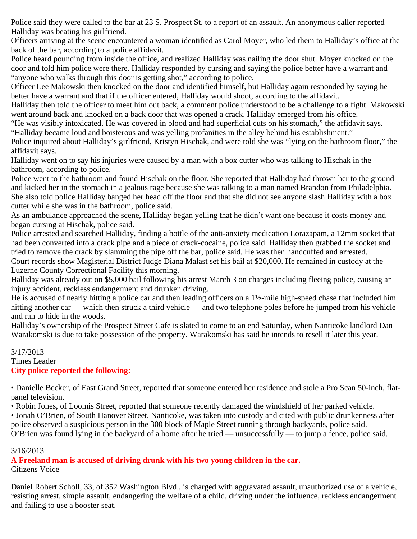Police said they were called to the bar at 23 S. Prospect St. to a report of an assault. An anonymous caller reported Halliday was beating his girlfriend.

Officers arriving at the scene encountered a woman identified as Carol Moyer, who led them to Halliday's office at the back of the bar, according to a police affidavit.

Police heard pounding from inside the office, and realized Halliday was nailing the door shut. Moyer knocked on the door and told him police were there. Halliday responded by cursing and saying the police better have a warrant and "anyone who walks through this door is getting shot," according to police.

Officer Lee Makowski then knocked on the door and identified himself, but Halliday again responded by saying he better have a warrant and that if the officer entered, Halliday would shoot, according to the affidavit.

Halliday then told the officer to meet him out back, a comment police understood to be a challenge to a fight. Makowski went around back and knocked on a back door that was opened a crack. Halliday emerged from his office.

"He was visibly intoxicated. He was covered in blood and had superficial cuts on his stomach," the affidavit says. "Halliday became loud and boisterous and was yelling profanities in the alley behind his establishment."

Police inquired about Halliday's girlfriend, Kristyn Hischak, and were told she was "lying on the bathroom floor," the affidavit says.

Halliday went on to say his injuries were caused by a man with a box cutter who was talking to Hischak in the bathroom, according to police.

Police went to the bathroom and found Hischak on the floor. She reported that Halliday had thrown her to the ground and kicked her in the stomach in a jealous rage because she was talking to a man named Brandon from Philadelphia. She also told police Halliday banged her head off the floor and that she did not see anyone slash Halliday with a box cutter while she was in the bathroom, police said.

As an ambulance approached the scene, Halliday began yelling that he didn't want one because it costs money and began cursing at Hischak, police said.

Police arrested and searched Halliday, finding a bottle of the anti-anxiety medication Lorazapam, a 12mm socket that had been converted into a crack pipe and a piece of crack-cocaine, police said. Halliday then grabbed the socket and tried to remove the crack by slamming the pipe off the bar, police said. He was then handcuffed and arrested.

Court records show Magisterial District Judge Diana Malast set his bail at \$20,000. He remained in custody at the Luzerne County Correctional Facility this morning.

Halliday was already out on \$5,000 bail following his arrest March 3 on charges including fleeing police, causing an injury accident, reckless endangerment and drunken driving.

He is accused of nearly hitting a police car and then leading officers on a 1½-mile high-speed chase that included him hitting another car — which then struck a third vehicle — and two telephone poles before he jumped from his vehicle and ran to hide in the woods.

Halliday's ownership of the Prospect Street Cafe is slated to come to an end Saturday, when Nanticoke landlord Dan Warakomski is due to take possession of the property. Warakomski has said he intends to resell it later this year.

### 3/17/2013 Times Leader **City police reported the following:**

• Danielle Becker, of East Grand Street, reported that someone entered her residence and stole a Pro Scan 50-inch, flatpanel television.

• Robin Jones, of Loomis Street, reported that someone recently damaged the windshield of her parked vehicle.

• Jonah O'Brien, of South Hanover Street, Nanticoke, was taken into custody and cited with public drunkenness after police observed a suspicious person in the 300 block of Maple Street running through backyards, police said. O'Brien was found lying in the backyard of a home after he tried — unsuccessfully — to jump a fence, police said.

# 3/16/2013

**A Freeland man is accused of driving drunk with his two young children in the car.** Citizens Voice

Daniel Robert Scholl, 33, of 352 Washington Blvd., is charged with aggravated assault, unauthorized use of a vehicle, resisting arrest, simple assault, endangering the welfare of a child, driving under the influence, reckless endangerment and failing to use a booster seat.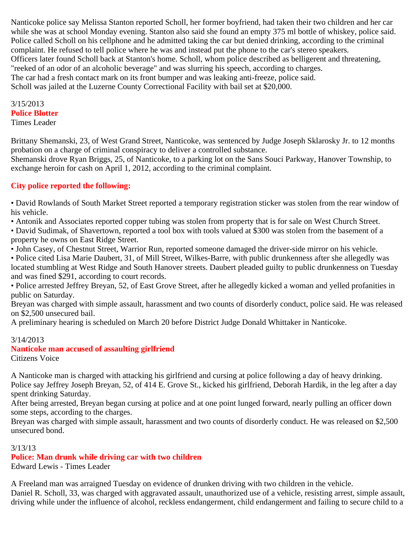Nanticoke police say Melissa Stanton reported Scholl, her former boyfriend, had taken their two children and her car while she was at school Monday evening. Stanton also said she found an empty 375 ml bottle of whiskey, police said. Police called Scholl on his cellphone and he admitted taking the car but denied drinking, according to the criminal complaint. He refused to tell police where he was and instead put the phone to the car's stereo speakers. Officers later found Scholl back at Stanton's home. Scholl, whom police described as belligerent and threatening, "reeked of an odor of an alcoholic beverage" and was slurring his speech, according to charges. The car had a fresh contact mark on its front bumper and was leaking anti-freeze, police said. Scholl was jailed at the Luzerne County Correctional Facility with bail set at \$20,000.

# 3/15/2013 **Police Blotter**

Times Leader

Brittany Shemanski, 23, of West Grand Street, Nanticoke, was sentenced by Judge Joseph Sklarosky Jr. to 12 months probation on a charge of criminal conspiracy to deliver a controlled substance.

Shemanski drove Ryan Briggs, 25, of Nanticoke, to a parking lot on the Sans Souci Parkway, Hanover Township, to exchange heroin for cash on April 1, 2012, according to the criminal complaint.

# **City police reported the following:**

• David Rowlands of South Market Street reported a temporary registration sticker was stolen from the rear window of his vehicle.

• Antonik and Associates reported copper tubing was stolen from property that is for sale on West Church Street.

• David Sudimak, of Shavertown, reported a tool box with tools valued at \$300 was stolen from the basement of a property he owns on East Ridge Street.

• John Casey, of Chestnut Street, Warrior Run, reported someone damaged the driver-side mirror on his vehicle.

• Police cited Lisa Marie Daubert, 31, of Mill Street, Wilkes-Barre, with public drunkenness after she allegedly was located stumbling at West Ridge and South Hanover streets. Daubert pleaded guilty to public drunkenness on Tuesday and was fined \$291, according to court records.

• Police arrested Jeffrey Breyan, 52, of East Grove Street, after he allegedly kicked a woman and yelled profanities in public on Saturday.

Breyan was charged with simple assault, harassment and two counts of disorderly conduct, police said. He was released on \$2,500 unsecured bail.

A preliminary hearing is scheduled on March 20 before District Judge Donald Whittaker in Nanticoke.

## 3/14/2013

#### **Nanticoke man accused of assaulting girlfriend** Citizens Voice

A Nanticoke man is charged with attacking his girlfriend and cursing at police following a day of heavy drinking. Police say Jeffrey Joseph Breyan, 52, of 414 E. Grove St., kicked his girlfriend, Deborah Hardik, in the leg after a day spent drinking Saturday.

After being arrested, Breyan began cursing at police and at one point lunged forward, nearly pulling an officer down some steps, according to the charges.

Breyan was charged with simple assault, harassment and two counts of disorderly conduct. He was released on \$2,500 unsecured bond.

3/13/13

# **Police: Man drunk while driving car with two children**

Edward Lewis - Times Leader

A Freeland man was arraigned Tuesday on evidence of drunken driving with two children in the vehicle. Daniel R. Scholl, 33, was charged with aggravated assault, unauthorized use of a vehicle, resisting arrest, simple assault, driving while under the influence of alcohol, reckless endangerment, child endangerment and failing to secure child to a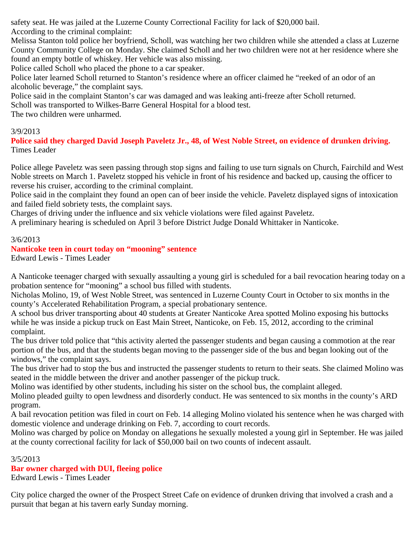safety seat. He was jailed at the Luzerne County Correctional Facility for lack of \$20,000 bail. According to the criminal complaint:

Melissa Stanton told police her boyfriend, Scholl, was watching her two children while she attended a class at Luzerne County Community College on Monday. She claimed Scholl and her two children were not at her residence where she found an empty bottle of whiskey. Her vehicle was also missing.

Police called Scholl who placed the phone to a car speaker.

Police later learned Scholl returned to Stanton's residence where an officer claimed he "reeked of an odor of an alcoholic beverage," the complaint says.

Police said in the complaint Stanton's car was damaged and was leaking anti-freeze after Scholl returned.

Scholl was transported to Wilkes-Barre General Hospital for a blood test.

The two children were unharmed.

## 3/9/2013

**Police said they charged David Joseph Paveletz Jr., 48, of West Noble Street, on evidence of drunken driving.** Times Leader

Police allege Paveletz was seen passing through stop signs and failing to use turn signals on Church, Fairchild and West Noble streets on March 1. Paveletz stopped his vehicle in front of his residence and backed up, causing the officer to reverse his cruiser, according to the criminal complaint.

Police said in the complaint they found an open can of beer inside the vehicle. Paveletz displayed signs of intoxication and failed field sobriety tests, the complaint says.

Charges of driving under the influence and six vehicle violations were filed against Paveletz.

A preliminary hearing is scheduled on April 3 before District Judge Donald Whittaker in Nanticoke.

### 3/6/2013

## **Nanticoke teen in court today on "mooning" sentence**

Edward Lewis - Times Leader

A Nanticoke teenager charged with sexually assaulting a young girl is scheduled for a bail revocation hearing today on a probation sentence for "mooning" a school bus filled with students.

Nicholas Molino, 19, of West Noble Street, was sentenced in Luzerne County Court in October to six months in the county's Accelerated Rehabilitation Program, a special probationary sentence.

A school bus driver transporting about 40 students at Greater Nanticoke Area spotted Molino exposing his buttocks while he was inside a pickup truck on East Main Street, Nanticoke, on Feb. 15, 2012, according to the criminal complaint.

The bus driver told police that "this activity alerted the passenger students and began causing a commotion at the rear portion of the bus, and that the students began moving to the passenger side of the bus and began looking out of the windows," the complaint says.

The bus driver had to stop the bus and instructed the passenger students to return to their seats. She claimed Molino was seated in the middle between the driver and another passenger of the pickup truck.

Molino was identified by other students, including his sister on the school bus, the complaint alleged.

Molino pleaded guilty to open lewdness and disorderly conduct. He was sentenced to six months in the county's ARD program.

A bail revocation petition was filed in court on Feb. 14 alleging Molino violated his sentence when he was charged with domestic violence and underage drinking on Feb. 7, according to court records.

Molino was charged by police on Monday on allegations he sexually molested a young girl in September. He was jailed at the county correctional facility for lack of \$50,000 bail on two counts of indecent assault.

### 3/5/2013

# **Bar owner charged with DUI, fleeing police**

Edward Lewis - Times Leader

City police charged the owner of the Prospect Street Cafe on evidence of drunken driving that involved a crash and a pursuit that began at his tavern early Sunday morning.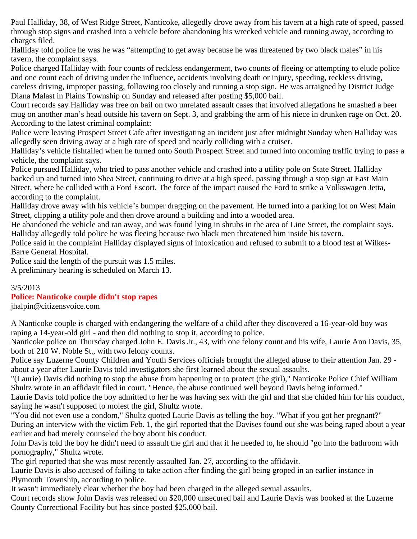Paul Halliday, 38, of West Ridge Street, Nanticoke, allegedly drove away from his tavern at a high rate of speed, passed through stop signs and crashed into a vehicle before abandoning his wrecked vehicle and running away, according to charges filed.

Halliday told police he was he was "attempting to get away because he was threatened by two black males" in his tavern, the complaint says.

Police charged Halliday with four counts of reckless endangerment, two counts of fleeing or attempting to elude police and one count each of driving under the influence, accidents involving death or injury, speeding, reckless driving, careless driving, improper passing, following too closely and running a stop sign. He was arraigned by District Judge Diana Malast in Plains Township on Sunday and released after posting \$5,000 bail.

Court records say Halliday was free on bail on two unrelated assault cases that involved allegations he smashed a beer mug on another man's head outside his tavern on Sept. 3, and grabbing the arm of his niece in drunken rage on Oct. 20. According to the latest criminal complaint:

Police were leaving Prospect Street Cafe after investigating an incident just after midnight Sunday when Halliday was allegedly seen driving away at a high rate of speed and nearly colliding with a cruiser.

Halliday's vehicle fishtailed when he turned onto South Prospect Street and turned into oncoming traffic trying to pass a vehicle, the complaint says.

Police pursued Halliday, who tried to pass another vehicle and crashed into a utility pole on State Street. Halliday backed up and turned into Shea Street, continuing to drive at a high speed, passing through a stop sign at East Main Street, where he collided with a Ford Escort. The force of the impact caused the Ford to strike a Volkswagen Jetta, according to the complaint.

Halliday drove away with his vehicle's bumper dragging on the pavement. He turned into a parking lot on West Main Street, clipping a utility pole and then drove around a building and into a wooded area.

He abandoned the vehicle and ran away, and was found lying in shrubs in the area of Line Street, the complaint says. Halliday allegedly told police he was fleeing because two black men threatened him inside his tavern.

Police said in the complaint Halliday displayed signs of intoxication and refused to submit to a blood test at Wilkes-Barre General Hospital.

Police said the length of the pursuit was 1.5 miles.

A preliminary hearing is scheduled on March 13.

## 3/5/2013

# **Police: Nanticoke couple didn't stop rapes**

jhalpin@citizensvoice.com

A Nanticoke couple is charged with endangering the welfare of a child after they discovered a 16-year-old boy was raping a 14-year-old girl - and then did nothing to stop it, according to police.

Nanticoke police on Thursday charged John E. Davis Jr., 43, with one felony count and his wife, Laurie Ann Davis, 35, both of 210 W. Noble St., with two felony counts.

Police say Luzerne County Children and Youth Services officials brought the alleged abuse to their attention Jan. 29 about a year after Laurie Davis told investigators she first learned about the sexual assaults.

"(Laurie) Davis did nothing to stop the abuse from happening or to protect (the girl)," Nanticoke Police Chief William Shultz wrote in an affidavit filed in court. "Hence, the abuse continued well beyond Davis being informed."

Laurie Davis told police the boy admitted to her he was having sex with the girl and that she chided him for his conduct, saying he wasn't supposed to molest the girl, Shultz wrote.

"You did not even use a condom," Shultz quoted Laurie Davis as telling the boy. "What if you got her pregnant?" During an interview with the victim Feb. 1, the girl reported that the Davises found out she was being raped about a year earlier and had merely counseled the boy about his conduct.

John Davis told the boy he didn't need to assault the girl and that if he needed to, he should "go into the bathroom with pornography," Shultz wrote.

The girl reported that she was most recently assaulted Jan. 27, according to the affidavit.

Laurie Davis is also accused of failing to take action after finding the girl being groped in an earlier instance in Plymouth Township, according to police.

It wasn't immediately clear whether the boy had been charged in the alleged sexual assaults.

Court records show John Davis was released on \$20,000 unsecured bail and Laurie Davis was booked at the Luzerne County Correctional Facility but has since posted \$25,000 bail.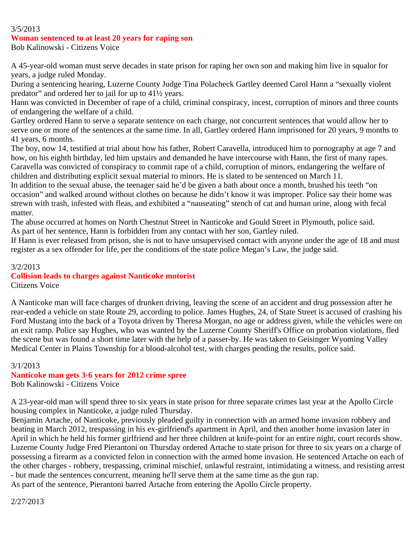### 3/5/2013

### **Woman sentenced to at least 20 years for raping son**

Bob Kalinowski - Citizens Voice

A 45-year-old woman must serve decades in state prison for raping her own son and making him live in squalor for years, a judge ruled Monday.

During a sentencing hearing, Luzerne County Judge Tina Polacheck Gartley deemed Carol Hann a "sexually violent predator" and ordered her to jail for up to 41½ years.

Hann was convicted in December of rape of a child, criminal conspiracy, incest, corruption of minors and three counts of endangering the welfare of a child.

Gartley ordered Hann to serve a separate sentence on each charge, not concurrent sentences that would allow her to serve one or more of the sentences at the same time. In all, Gartley ordered Hann imprisoned for 20 years, 9 months to 41 years, 6 months.

The boy, now 14, testified at trial about how his father, Robert Caravella, introduced him to pornography at age 7 and how, on his eighth birthday, led him upstairs and demanded he have intercourse with Hann, the first of many rapes. Caravella was convicted of conspiracy to commit rape of a child, corruption of minors, endangering the welfare of children and distributing explicit sexual material to minors. He is slated to be sentenced on March 11.

In addition to the sexual abuse, the teenager said he'd be given a bath about once a month, brushed his teeth "on occasion" and walked around without clothes on because he didn't know it was improper. Police say their home was strewn with trash, infested with fleas, and exhibited a "nauseating" stench of cat and human urine, along with fecal matter.

The abuse occurred at homes on North Chestnut Street in Nanticoke and Gould Street in Plymouth, police said. As part of her sentence, Hann is forbidden from any contact with her son, Gartley ruled.

If Hann is ever released from prison, she is not to have unsupervised contact with anyone under the age of 18 and must register as a sex offender for life, per the conditions of the state police Megan's Law, the judge said.

3/2/2013 **Collision leads to charges against Nanticoke motorist** Citizens Voice

A Nanticoke man will face charges of drunken driving, leaving the scene of an accident and drug possession after he rear-ended a vehicle on state Route 29, according to police. James Hughes, 24, of State Street is accused of crashing his Ford Mustang into the back of a Toyota driven by Theresa Morgan, no age or address given, while the vehicles were on an exit ramp. Police say Hughes, who was wanted by the Luzerne County Sheriff's Office on probation violations, fled the scene but was found a short time later with the help of a passer-by. He was taken to Geisinger Wyoming Valley Medical Center in Plains Township for a blood-alcohol test, with charges pending the results, police said.

### 3/1/2013

**Nanticoke man gets 3-6 years for 2012 crime spree**

Bob Kalinowski - Citizens Voice

A 23-year-old man will spend three to six years in state prison for three separate crimes last year at the Apollo Circle housing complex in Nanticoke, a judge ruled Thursday.

Benjamin Artache, of Nanticoke, previously pleaded guilty in connection with an armed home invasion robbery and beating in March 2012, trespassing in his ex-girlfriend's apartment in April, and then another home invasion later in April in which he held his former girlfriend and her three children at knife-point for an entire night, court records show. Luzerne County Judge Fred Pierantoni on Thursday ordered Artache to state prison for three to six years on a charge of possessing a firearm as a convicted felon in connection with the armed home invasion. He sentenced Artache on each of the other charges - robbery, trespassing, criminal mischief, unlawful restraint, intimidating a witness, and resisting arrest - but made the sentences concurrent, meaning he'll serve them at the same time as the gun rap.

As part of the sentence, Pierantoni barred Artache from entering the Apollo Circle property.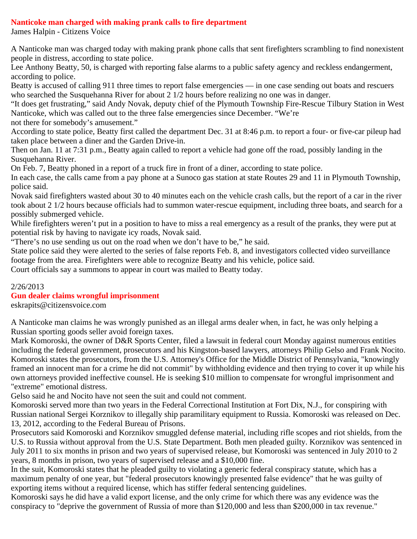## **Nanticoke man charged with making prank calls to fire department**

James Halpin - Citizens Voice

A Nanticoke man was charged today with making prank phone calls that sent firefighters scrambling to find nonexistent people in distress, according to state police.

Lee Anthony Beatty, 50, is charged with reporting false alarms to a public safety agency and reckless endangerment, according to police.

Beatty is accused of calling 911 three times to report false emergencies — in one case sending out boats and rescuers who searched the Susquehanna River for about 2 1/2 hours before realizing no one was in danger.

"It does get frustrating," said Andy Novak, deputy chief of the Plymouth Township Fire-Rescue Tilbury Station in West Nanticoke, which was called out to the three false emergencies since December. "We're

not there for somebody's amusement."

According to state police, Beatty first called the department Dec. 31 at 8:46 p.m. to report a four- or five-car pileup had taken place between a diner and the Garden Drive-in.

Then on Jan. 11 at 7:31 p.m., Beatty again called to report a vehicle had gone off the road, possibly landing in the Susquehanna River.

On Feb. 7, Beatty phoned in a report of a truck fire in front of a diner, according to state police.

In each case, the calls came from a pay phone at a Sunoco gas station at state Routes 29 and 11 in Plymouth Township, police said.

Novak said firefighters wasted about 30 to 40 minutes each on the vehicle crash calls, but the report of a car in the river took about 2 1/2 hours because officials had to summon water-rescue equipment, including three boats, and search for a possibly submerged vehicle.

While firefighters weren't put in a position to have to miss a real emergency as a result of the pranks, they were put at potential risk by having to navigate icy roads, Novak said.

"There's no use sending us out on the road when we don't have to be," he said.

State police said they were alerted to the series of false reports Feb. 8, and investigators collected video surveillance footage from the area. Firefighters were able to recognize Beatty and his vehicle, police said.

Court officials say a summons to appear in court was mailed to Beatty today.

## 2/26/2013

## **Gun dealer claims wrongful imprisonment**

eskrapits@citizensvoice.com

A Nanticoke man claims he was wrongly punished as an illegal arms dealer when, in fact, he was only helping a Russian sporting goods seller avoid foreign taxes.

Mark Komoroski, the owner of D&R Sports Center, filed a lawsuit in federal court Monday against numerous entities including the federal government, prosecutors and his Kingston-based lawyers, attorneys Philip Gelso and Frank Nocito. Komoroski states the prosecutors, from the U.S. Attorney's Office for the Middle District of Pennsylvania, "knowingly framed an innocent man for a crime he did not commit" by withholding evidence and then trying to cover it up while his own attorneys provided ineffective counsel. He is seeking \$10 million to compensate for wrongful imprisonment and "extreme" emotional distress.

Gelso said he and Nocito have not seen the suit and could not comment.

Komoroski served more than two years in the Federal Correctional Institution at Fort Dix, N.J., for conspiring with Russian national Sergei Korznikov to illegally ship paramilitary equipment to Russia. Komoroski was released on Dec. 13, 2012, according to the Federal Bureau of Prisons.

Prosecutors said Komoroski and Korznikov smuggled defense material, including rifle scopes and riot shields, from the U.S. to Russia without approval from the U.S. State Department. Both men pleaded guilty. Korznikov was sentenced in July 2011 to six months in prison and two years of supervised release, but Komoroski was sentenced in July 2010 to 2 years, 8 months in prison, two years of supervised release and a \$10,000 fine.

In the suit, Komoroski states that he pleaded guilty to violating a generic federal conspiracy statute, which has a maximum penalty of one year, but "federal prosecutors knowingly presented false evidence" that he was guilty of exporting items without a required license, which has stiffer federal sentencing guidelines.

Komoroski says he did have a valid export license, and the only crime for which there was any evidence was the conspiracy to "deprive the government of Russia of more than \$120,000 and less than \$200,000 in tax revenue."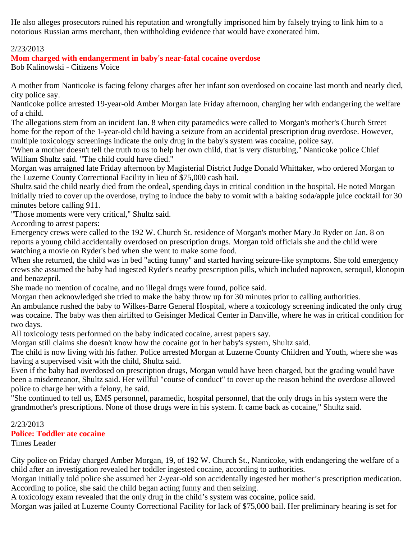He also alleges prosecutors ruined his reputation and wrongfully imprisoned him by falsely trying to link him to a notorious Russian arms merchant, then withholding evidence that would have exonerated him.

## 2/23/2013

# **Mom charged with endangerment in baby's near-fatal cocaine overdose**

Bob Kalinowski - Citizens Voice

A mother from Nanticoke is facing felony charges after her infant son overdosed on cocaine last month and nearly died, city police say.

Nanticoke police arrested 19-year-old Amber Morgan late Friday afternoon, charging her with endangering the welfare of a child.

The allegations stem from an incident Jan. 8 when city paramedics were called to Morgan's mother's Church Street home for the report of the 1-year-old child having a seizure from an accidental prescription drug overdose. However, multiple toxicology screenings indicate the only drug in the baby's system was cocaine, police say.

"When a mother doesn't tell the truth to us to help her own child, that is very disturbing," Nanticoke police Chief William Shultz said. "The child could have died."

Morgan was arraigned late Friday afternoon by Magisterial District Judge Donald Whittaker, who ordered Morgan to the Luzerne County Correctional Facility in lieu of \$75,000 cash bail.

Shultz said the child nearly died from the ordeal, spending days in critical condition in the hospital. He noted Morgan initially tried to cover up the overdose, trying to induce the baby to vomit with a baking soda/apple juice cocktail for 30 minutes before calling 911.

"Those moments were very critical," Shultz said.

According to arrest papers:

Emergency crews were called to the 192 W. Church St. residence of Morgan's mother Mary Jo Ryder on Jan. 8 on reports a young child accidentally overdosed on prescription drugs. Morgan told officials she and the child were watching a movie on Ryder's bed when she went to make some food.

When she returned, the child was in bed "acting funny" and started having seizure-like symptoms. She told emergency crews she assumed the baby had ingested Ryder's nearby prescription pills, which included naproxen, seroquil, klonopin and benazepril.

She made no mention of cocaine, and no illegal drugs were found, police said.

Morgan then acknowledged she tried to make the baby throw up for 30 minutes prior to calling authorities.

An ambulance rushed the baby to Wilkes-Barre General Hospital, where a toxicology screening indicated the only drug was cocaine. The baby was then airlifted to Geisinger Medical Center in Danville, where he was in critical condition for two days.

All toxicology tests performed on the baby indicated cocaine, arrest papers say.

Morgan still claims she doesn't know how the cocaine got in her baby's system, Shultz said.

The child is now living with his father. Police arrested Morgan at Luzerne County Children and Youth, where she was having a supervised visit with the child, Shultz said.

Even if the baby had overdosed on prescription drugs, Morgan would have been charged, but the grading would have been a misdemeanor, Shultz said. Her willful "course of conduct" to cover up the reason behind the overdose allowed police to charge her with a felony, he said.

"She continued to tell us, EMS personnel, paramedic, hospital personnel, that the only drugs in his system were the grandmother's prescriptions. None of those drugs were in his system. It came back as cocaine," Shultz said.

# 2/23/2013 **Police: Toddler ate cocaine**

Times Leader

City police on Friday charged Amber Morgan, 19, of 192 W. Church St., Nanticoke, with endangering the welfare of a child after an investigation revealed her toddler ingested cocaine, according to authorities.

Morgan initially told police she assumed her 2-year-old son accidentally ingested her mother's prescription medication. According to police, she said the child began acting funny and then seizing.

A toxicology exam revealed that the only drug in the child's system was cocaine, police said.

Morgan was jailed at Luzerne County Correctional Facility for lack of \$75,000 bail. Her preliminary hearing is set for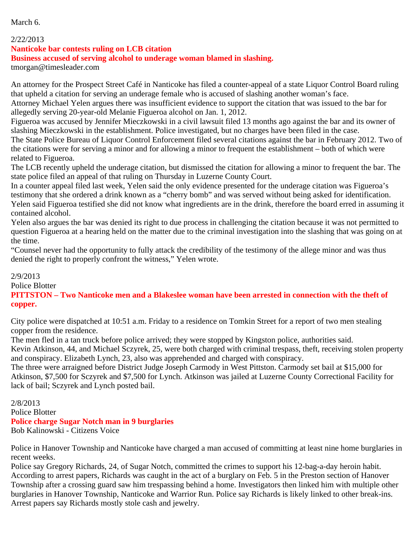March 6.

### 2/22/2013

### **Nanticoke bar contests ruling on LCB citation**

### **Business accused of serving alcohol to underage woman blamed in slashing.**

tmorgan@timesleader.com

An attorney for the Prospect Street Café in Nanticoke has filed a counter-appeal of a state Liquor Control Board ruling that upheld a citation for serving an underage female who is accused of slashing another woman's face.

Attorney Michael Yelen argues there was insufficient evidence to support the citation that was issued to the bar for allegedly serving 20-year-old Melanie Figueroa alcohol on Jan. 1, 2012.

Figueroa was accused by Jennifer Mieczkowski in a civil lawsuit filed 13 months ago against the bar and its owner of slashing Mieczkowski in the establishment. Police investigated, but no charges have been filed in the case.

The State Police Bureau of Liquor Control Enforcement filed several citations against the bar in February 2012. Two of the citations were for serving a minor and for allowing a minor to frequent the establishment – both of which were related to Figueroa.

The LCB recently upheld the underage citation, but dismissed the citation for allowing a minor to frequent the bar. The state police filed an appeal of that ruling on Thursday in Luzerne County Court.

In a counter appeal filed last week, Yelen said the only evidence presented for the underage citation was Figueroa's testimony that she ordered a drink known as a "cherry bomb" and was served without being asked for identification. Yelen said Figueroa testified she did not know what ingredients are in the drink, therefore the board erred in assuming it contained alcohol.

Yelen also argues the bar was denied its right to due process in challenging the citation because it was not permitted to question Figueroa at a hearing held on the matter due to the criminal investigation into the slashing that was going on at the time.

"Counsel never had the opportunity to fully attack the credibility of the testimony of the allege minor and was thus denied the right to properly confront the witness," Yelen wrote.

2/9/2013 Police Blotter **PITTSTON – Two Nanticoke men and a Blakeslee woman have been arrested in connection with the theft of copper.**

City police were dispatched at 10:51 a.m. Friday to a residence on Tomkin Street for a report of two men stealing copper from the residence.

The men fled in a tan truck before police arrived; they were stopped by Kingston police, authorities said.

Kevin Atkinson, 44, and Michael Sczyrek, 25, were both charged with criminal trespass, theft, receiving stolen property and conspiracy. Elizabeth Lynch, 23, also was apprehended and charged with conspiracy.

The three were arraigned before District Judge Joseph Carmody in West Pittston. Carmody set bail at \$15,000 for Atkinson, \$7,500 for Sczyrek and \$7,500 for Lynch. Atkinson was jailed at Luzerne County Correctional Facility for lack of bail; Sczyrek and Lynch posted bail.

2/8/2013 Police Blotter **Police charge Sugar Notch man in 9 burglaries** Bob Kalinowski - Citizens Voice

Police in Hanover Township and Nanticoke have charged a man accused of committing at least nine home burglaries in recent weeks.

Police say Gregory Richards, 24, of Sugar Notch, committed the crimes to support his 12-bag-a-day heroin habit. According to arrest papers, Richards was caught in the act of a burglary on Feb. 5 in the Preston section of Hanover Township after a crossing guard saw him trespassing behind a home. Investigators then linked him with multiple other burglaries in Hanover Township, Nanticoke and Warrior Run. Police say Richards is likely linked to other break-ins. Arrest papers say Richards mostly stole cash and jewelry.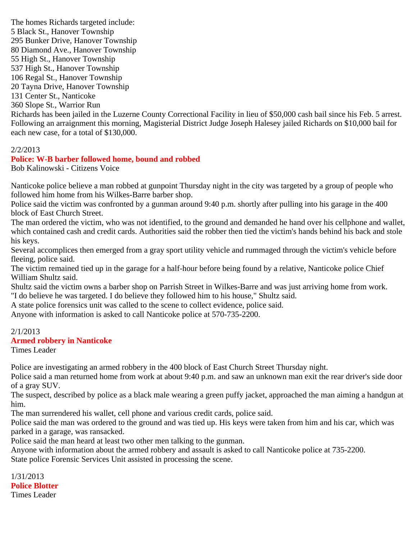The homes Richards targeted include: 5 Black St., Hanover Township 295 Bunker Drive, Hanover Township 80 Diamond Ave., Hanover Township 55 High St., Hanover Township 537 High St., Hanover Township 106 Regal St., Hanover Township 20 Tayna Drive, Hanover Township 131 Center St., Nanticoke 360 Slope St., Warrior Run Richards has been jailed in the Luzerne County Correctional Facility in lieu of \$50,000 cash bail since his Feb. 5 arrest. Following an arraignment this morning, Magisterial District Judge Joseph Halesey jailed Richards on \$10,000 bail for each new case, for a total of \$130,000.

### 2/2/2013

## **Police: W-B barber followed home, bound and robbed**

Bob Kalinowski - Citizens Voice

Nanticoke police believe a man robbed at gunpoint Thursday night in the city was targeted by a group of people who followed him home from his Wilkes-Barre barber shop.

Police said the victim was confronted by a gunman around 9:40 p.m. shortly after pulling into his garage in the 400 block of East Church Street.

The man ordered the victim, who was not identified, to the ground and demanded he hand over his cellphone and wallet, which contained cash and credit cards. Authorities said the robber then tied the victim's hands behind his back and stole his keys.

Several accomplices then emerged from a gray sport utility vehicle and rummaged through the victim's vehicle before fleeing, police said.

The victim remained tied up in the garage for a half-hour before being found by a relative, Nanticoke police Chief William Shultz said.

Shultz said the victim owns a barber shop on Parrish Street in Wilkes-Barre and was just arriving home from work. "I do believe he was targeted. I do believe they followed him to his house," Shultz said.

A state police forensics unit was called to the scene to collect evidence, police said.

Anyone with information is asked to call Nanticoke police at 570-735-2200.

#### 2/1/2013 **Armed robbery in Nanticoke**

Times Leader

Police are investigating an armed robbery in the 400 block of East Church Street Thursday night.

Police said a man returned home from work at about 9:40 p.m. and saw an unknown man exit the rear driver's side door of a gray SUV.

The suspect, described by police as a black male wearing a green puffy jacket, approached the man aiming a handgun at him.

The man surrendered his wallet, cell phone and various credit cards, police said.

Police said the man was ordered to the ground and was tied up. His keys were taken from him and his car, which was parked in a garage, was ransacked.

Police said the man heard at least two other men talking to the gunman.

Anyone with information about the armed robbery and assault is asked to call Nanticoke police at 735-2200. State police Forensic Services Unit assisted in processing the scene.

1/31/2013 **Police Blotter** Times Leader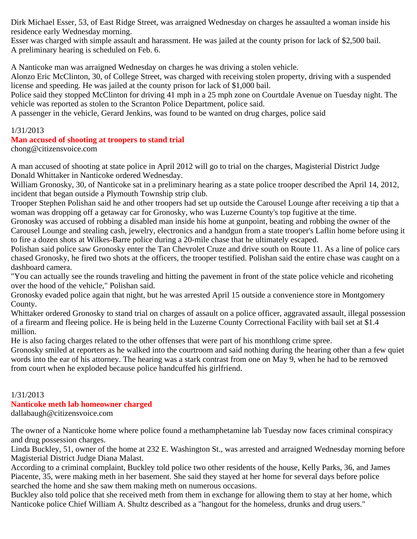Dirk Michael Esser, 53, of East Ridge Street, was arraigned Wednesday on charges he assaulted a woman inside his residence early Wednesday morning.

Esser was charged with simple assault and harassment. He was jailed at the county prison for lack of \$2,500 bail. A preliminary hearing is scheduled on Feb. 6.

A Nanticoke man was arraigned Wednesday on charges he was driving a stolen vehicle.

Alonzo Eric McClinton, 30, of College Street, was charged with receiving stolen property, driving with a suspended license and speeding. He was jailed at the county prison for lack of \$1,000 bail.

Police said they stopped McClinton for driving 41 mph in a 25 mph zone on Courtdale Avenue on Tuesday night. The vehicle was reported as stolen to the Scranton Police Department, police said.

A passenger in the vehicle, Gerard Jenkins, was found to be wanted on drug charges, police said

## 1/31/2013

# **Man accused of shooting at troopers to stand trial**

chong@citizensvoice.com

A man accused of shooting at state police in April 2012 will go to trial on the charges, Magisterial District Judge Donald Whittaker in Nanticoke ordered Wednesday.

William Gronosky, 30, of Nanticoke sat in a preliminary hearing as a state police trooper described the April 14, 2012, incident that began outside a Plymouth Township strip club.

Trooper Stephen Polishan said he and other troopers had set up outside the Carousel Lounge after receiving a tip that a woman was dropping off a getaway car for Gronosky, who was Luzerne County's top fugitive at the time.

Gronosky was accused of robbing a disabled man inside his home at gunpoint, beating and robbing the owner of the Carousel Lounge and stealing cash, jewelry, electronics and a handgun from a state trooper's Laflin home before using it to fire a dozen shots at Wilkes-Barre police during a 20-mile chase that he ultimately escaped.

Polishan said police saw Gronosky enter the Tan Chevrolet Cruze and drive south on Route 11. As a line of police cars chased Gronosky, he fired two shots at the officers, the trooper testified. Polishan said the entire chase was caught on a dashboard camera.

"You can actually see the rounds traveling and hitting the pavement in front of the state police vehicle and ricoheting over the hood of the vehicle," Polishan said.

Gronosky evaded police again that night, but he was arrested April 15 outside a convenience store in Montgomery County.

Whittaker ordered Gronosky to stand trial on charges of assault on a police officer, aggravated assault, illegal possession of a firearm and fleeing police. He is being held in the Luzerne County Correctional Facility with bail set at \$1.4 million.

He is also facing charges related to the other offenses that were part of his monthlong crime spree.

Gronosky smiled at reporters as he walked into the courtroom and said nothing during the hearing other than a few quiet words into the ear of his attorney. The hearing was a stark contrast from one on May 9, when he had to be removed from court when he exploded because police handcuffed his girlfriend.

# 1/31/2013

# **Nanticoke meth lab homeowner charged**

dallabaugh@citizensvoice.com

The owner of a Nanticoke home where police found a methamphetamine lab Tuesday now faces criminal conspiracy and drug possession charges.

Linda Buckley, 51, owner of the home at 232 E. Washington St., was arrested and arraigned Wednesday morning before Magisterial District Judge Diana Malast.

According to a criminal complaint, Buckley told police two other residents of the house, Kelly Parks, 36, and James Piacente, 35, were making meth in her basement. She said they stayed at her home for several days before police searched the home and she saw them making meth on numerous occasions.

Buckley also told police that she received meth from them in exchange for allowing them to stay at her home, which Nanticoke police Chief William A. Shultz described as a "hangout for the homeless, drunks and drug users."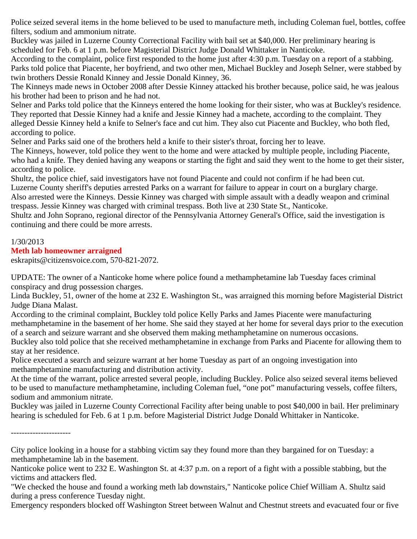Police seized several items in the home believed to be used to manufacture meth, including Coleman fuel, bottles, coffee filters, sodium and ammonium nitrate.

Buckley was jailed in Luzerne County Correctional Facility with bail set at \$40,000. Her preliminary hearing is scheduled for Feb. 6 at 1 p.m. before Magisterial District Judge Donald Whittaker in Nanticoke.

According to the complaint, police first responded to the home just after 4:30 p.m. Tuesday on a report of a stabbing. Parks told police that Piacente, her boyfriend, and two other men, Michael Buckley and Joseph Selner, were stabbed by twin brothers Dessie Ronald Kinney and Jessie Donald Kinney, 36.

The Kinneys made news in October 2008 after Dessie Kinney attacked his brother because, police said, he was jealous his brother had been to prison and he had not.

Selner and Parks told police that the Kinneys entered the home looking for their sister, who was at Buckley's residence. They reported that Dessie Kinney had a knife and Jessie Kinney had a machete, according to the complaint. They alleged Dessie Kinney held a knife to Selner's face and cut him. They also cut Piacente and Buckley, who both fled, according to police.

Selner and Parks said one of the brothers held a knife to their sister's throat, forcing her to leave.

The Kinneys, however, told police they went to the home and were attacked by multiple people, including Piacente, who had a knife. They denied having any weapons or starting the fight and said they went to the home to get their sister, according to police.

Shultz, the police chief, said investigators have not found Piacente and could not confirm if he had been cut. Luzerne County sheriff's deputies arrested Parks on a warrant for failure to appear in court on a burglary charge.

Also arrested were the Kinneys. Dessie Kinney was charged with simple assault with a deadly weapon and criminal trespass. Jessie Kinney was charged with criminal trespass. Both live at 230 State St., Nanticoke.

Shultz and John Soprano, regional director of the Pennsylvania Attorney General's Office, said the investigation is continuing and there could be more arrests.

# 1/30/2013

## **Meth lab homeowner arraigned**

eskrapits@citizensvoice.com, 570-821-2072.

UPDATE: The owner of a Nanticoke home where police found a methamphetamine lab Tuesday faces criminal conspiracy and drug possession charges.

Linda Buckley, 51, owner of the home at 232 E. Washington St., was arraigned this morning before Magisterial District Judge Diana Malast.

According to the criminal complaint, Buckley told police Kelly Parks and James Piacente were manufacturing methamphetamine in the basement of her home. She said they stayed at her home for several days prior to the execution of a search and seizure warrant and she observed them making methamphetamine on numerous occasions.

Buckley also told police that she received methamphetamine in exchange from Parks and Piacente for allowing them to stay at her residence.

Police executed a search and seizure warrant at her home Tuesday as part of an ongoing investigation into methamphetamine manufacturing and distribution activity.

At the time of the warrant, police arrested several people, including Buckley. Police also seized several items believed to be used to manufacture methamphetamine, including Coleman fuel, "one pot" manufacturing vessels, coffee filters, sodium and ammonium nitrate.

Buckley was jailed in Luzerne County Correctional Facility after being unable to post \$40,000 in bail. Her preliminary hearing is scheduled for Feb. 6 at 1 p.m. before Magisterial District Judge Donald Whittaker in Nanticoke.

<sup>----------------------</sup>

City police looking in a house for a stabbing victim say they found more than they bargained for on Tuesday: a methamphetamine lab in the basement.

Nanticoke police went to 232 E. Washington St. at 4:37 p.m. on a report of a fight with a possible stabbing, but the victims and attackers fled.

<sup>&</sup>quot;We checked the house and found a working meth lab downstairs," Nanticoke police Chief William A. Shultz said during a press conference Tuesday night.

Emergency responders blocked off Washington Street between Walnut and Chestnut streets and evacuated four or five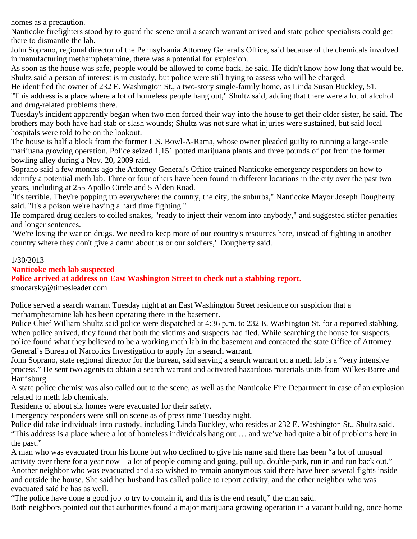homes as a precaution.

Nanticoke firefighters stood by to guard the scene until a search warrant arrived and state police specialists could get there to dismantle the lab.

John Soprano, regional director of the Pennsylvania Attorney General's Office, said because of the chemicals involved in manufacturing methamphetamine, there was a potential for explosion.

As soon as the house was safe, people would be allowed to come back, he said. He didn't know how long that would be. Shultz said a person of interest is in custody, but police were still trying to assess who will be charged.

He identified the owner of 232 E. Washington St., a two-story single-family home, as Linda Susan Buckley, 51. "This address is a place where a lot of homeless people hang out," Shultz said, adding that there were a lot of alcohol and drug-related problems there.

Tuesday's incident apparently began when two men forced their way into the house to get their older sister, he said. The brothers may both have had stab or slash wounds; Shultz was not sure what injuries were sustained, but said local hospitals were told to be on the lookout.

The house is half a block from the former L.S. Bowl-A-Rama, whose owner pleaded guilty to running a large-scale marijuana growing operation. Police seized 1,151 potted marijuana plants and three pounds of pot from the former bowling alley during a Nov. 20, 2009 raid.

Soprano said a few months ago the Attorney General's Office trained Nanticoke emergency responders on how to identify a potential meth lab. Three or four others have been found in different locations in the city over the past two years, including at 255 Apollo Circle and 5 Alden Road.

"It's terrible. They're popping up everywhere: the country, the city, the suburbs," Nanticoke Mayor Joseph Dougherty said. "It's a poison we're having a hard time fighting."

He compared drug dealers to coiled snakes, "ready to inject their venom into anybody," and suggested stiffer penalties and longer sentences.

"We're losing the war on drugs. We need to keep more of our country's resources here, instead of fighting in another country where they don't give a damn about us or our soldiers," Dougherty said.

## 1/30/2013

## **Nanticoke meth lab suspected**

**Police arrived at address on East Washington Street to check out a stabbing report.**

smocarsky@timesleader.com

Police served a search warrant Tuesday night at an East Washington Street residence on suspicion that a methamphetamine lab has been operating there in the basement.

Police Chief William Shultz said police were dispatched at 4:36 p.m. to 232 E. Washington St. for a reported stabbing. When police arrived, they found that both the victims and suspects had fled. While searching the house for suspects, police found what they believed to be a working meth lab in the basement and contacted the state Office of Attorney General's Bureau of Narcotics Investigation to apply for a search warrant.

John Soprano, state regional director for the bureau, said serving a search warrant on a meth lab is a "very intensive process." He sent two agents to obtain a search warrant and activated hazardous materials units from Wilkes-Barre and Harrisburg.

A state police chemist was also called out to the scene, as well as the Nanticoke Fire Department in case of an explosion related to meth lab chemicals.

Residents of about six homes were evacuated for their safety.

Emergency responders were still on scene as of press time Tuesday night.

Police did take individuals into custody, including Linda Buckley, who resides at 232 E. Washington St., Shultz said. "This address is a place where a lot of homeless individuals hang out … and we've had quite a bit of problems here in the past."

A man who was evacuated from his home but who declined to give his name said there has been "a lot of unusual activity over there for a year now – a lot of people coming and going, pull up, double-park, run in and run back out." Another neighbor who was evacuated and also wished to remain anonymous said there have been several fights inside and outside the house. She said her husband has called police to report activity, and the other neighbor who was evacuated said he has as well.

"The police have done a good job to try to contain it, and this is the end result," the man said.

Both neighbors pointed out that authorities found a major marijuana growing operation in a vacant building, once home